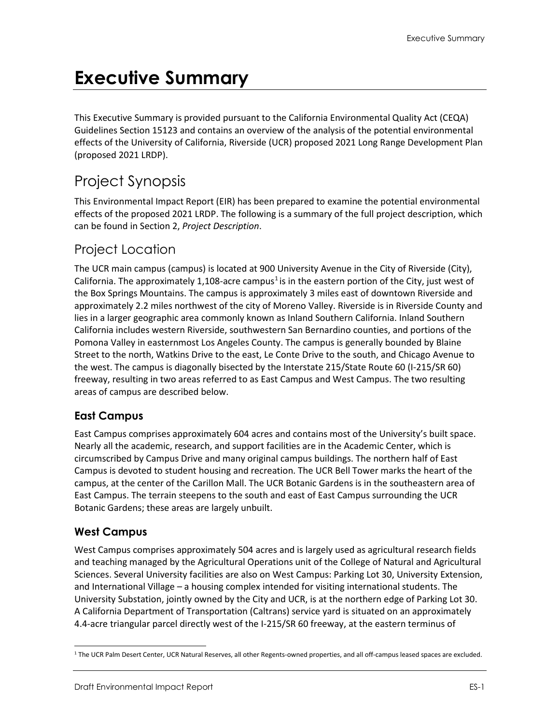# **Executive Summary**

This Executive Summary is provided pursuant to the California Environmental Quality Act (CEQA) Guidelines Section 15123 and contains an overview of the analysis of the potential environmental effects of the University of California, Riverside (UCR) proposed 2021 Long Range Development Plan (proposed 2021 LRDP).

# Project Synopsis

This Environmental Impact Report (EIR) has been prepared to examine the potential environmental effects of the proposed 2021 LRDP. The following is a summary of the full project description, which can be found in Section 2, *Project Description*.

# Project Location

The UCR main campus (campus) is located at 900 University Avenue in the City of Riverside (City), California. The approximately [1](#page-0-0),108-acre campus<sup>1</sup> is in the eastern portion of the City, just west of the Box Springs Mountains. The campus is approximately 3 miles east of downtown Riverside and approximately 2.2 miles northwest of the city of Moreno Valley. Riverside is in Riverside County and lies in a larger geographic area commonly known as Inland Southern California. Inland Southern California includes western Riverside, southwestern San Bernardino counties, and portions of the Pomona Valley in easternmost Los Angeles County. The campus is generally bounded by Blaine Street to the north, Watkins Drive to the east, Le Conte Drive to the south, and Chicago Avenue to the west. The campus is diagonally bisected by the Interstate 215/State Route 60 (I-215/SR 60) freeway, resulting in two areas referred to as East Campus and West Campus. The two resulting areas of campus are described below.

## **East Campus**

East Campus comprises approximately 604 acres and contains most of the University's built space. Nearly all the academic, research, and support facilities are in the Academic Center, which is circumscribed by Campus Drive and many original campus buildings. The northern half of East Campus is devoted to student housing and recreation. The UCR Bell Tower marks the heart of the campus, at the center of the Carillon Mall. The UCR Botanic Gardens is in the southeastern area of East Campus. The terrain steepens to the south and east of East Campus surrounding the UCR Botanic Gardens; these areas are largely unbuilt.

## **West Campus**

West Campus comprises approximately 504 acres and is largely used as agricultural research fields and teaching managed by the Agricultural Operations unit of the College of Natural and Agricultural Sciences. Several University facilities are also on West Campus: Parking Lot 30, University Extension, and International Village – a housing complex intended for visiting international students. The University Substation, jointly owned by the City and UCR, is at the northern edge of Parking Lot 30. A California Department of Transportation (Caltrans) service yard is situated on an approximately 4.4-acre triangular parcel directly west of the I-215/SR 60 freeway, at the eastern terminus of

<span id="page-0-0"></span><sup>1</sup> The UCR Palm Desert Center, UCR Natural Reserves, all other Regents-owned properties, and all off-campus leased spaces are excluded.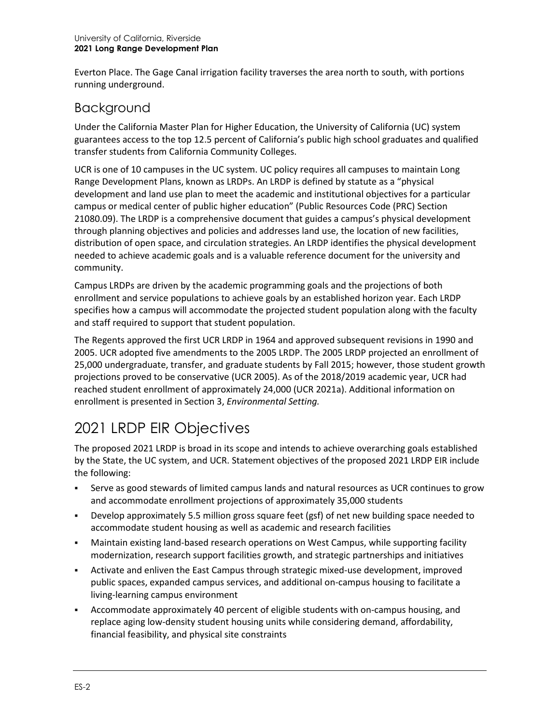Everton Place. The Gage Canal irrigation facility traverses the area north to south, with portions running underground.

## Background

Under the California Master Plan for Higher Education, the University of California (UC) system guarantees access to the top 12.5 percent of California's public high school graduates and qualified transfer students from California Community Colleges.

UCR is one of 10 campuses in the UC system. UC policy requires all campuses to maintain Long Range Development Plans, known as LRDPs. An LRDP is defined by statute as a "physical development and land use plan to meet the academic and institutional objectives for a particular campus or medical center of public higher education" (Public Resources Code (PRC) Section 21080.09). The LRDP is a comprehensive document that guides a campus's physical development through planning objectives and policies and addresses land use, the location of new facilities, distribution of open space, and circulation strategies. An LRDP identifies the physical development needed to achieve academic goals and is a valuable reference document for the university and community.

Campus LRDPs are driven by the academic programming goals and the projections of both enrollment and service populations to achieve goals by an established horizon year. Each LRDP specifies how a campus will accommodate the projected student population along with the faculty and staff required to support that student population.

The Regents approved the first UCR LRDP in 1964 and approved subsequent revisions in 1990 and 2005. UCR adopted five amendments to the 2005 LRDP. The 2005 LRDP projected an enrollment of 25,000 undergraduate, transfer, and graduate students by Fall 2015; however, those student growth projections proved to be conservative (UCR 2005). As of the 2018/2019 academic year, UCR had reached student enrollment of approximately 24,000 (UCR 2021a). Additional information on enrollment is presented in Section 3, *Environmental Setting.*

# 2021 LRDP EIR Objectives

The proposed 2021 LRDP is broad in its scope and intends to achieve overarching goals established by the State, the UC system, and UCR. Statement objectives of the proposed 2021 LRDP EIR include the following:

- Serve as good stewards of limited campus lands and natural resources as UCR continues to grow and accommodate enrollment projections of approximately 35,000 students
- Develop approximately 5.5 million gross square feet (gsf) of net new building space needed to accommodate student housing as well as academic and research facilities
- Maintain existing land-based research operations on West Campus, while supporting facility modernization, research support facilities growth, and strategic partnerships and initiatives
- Activate and enliven the East Campus through strategic mixed-use development, improved public spaces, expanded campus services, and additional on-campus housing to facilitate a living-learning campus environment
- Accommodate approximately 40 percent of eligible students with on-campus housing, and replace aging low-density student housing units while considering demand, affordability, financial feasibility, and physical site constraints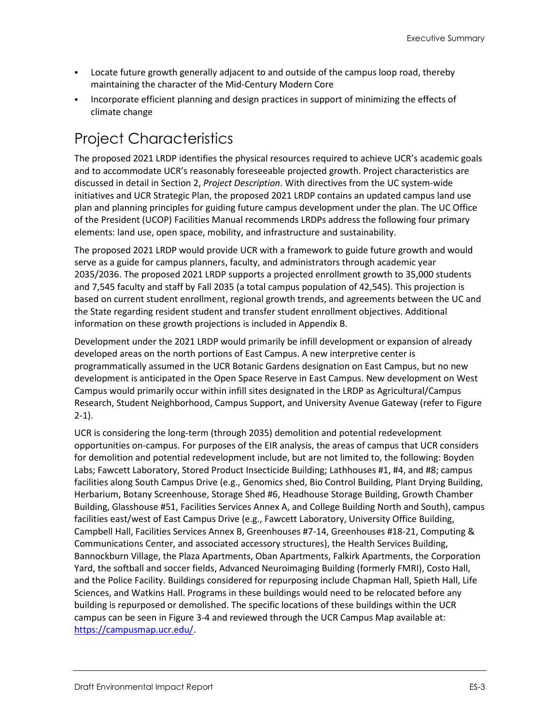- Locate future growth generally adjacent to and outside of the campus loop road, thereby maintaining the character of the Mid-Century Modern Core
- Incorporate efficient planning and design practices in support of minimizing the effects of climate change

# Project Characteristics

The proposed 2021 LRDP identifies the physical resources required to achieve UCR's academic goals and to accommodate UCR's reasonably foreseeable projected growth. Project characteristics are discussed in detail in Section 2, *Project Description*. With directives from the UC system-wide initiatives and UCR Strategic Plan, the proposed 2021 LRDP contains an updated campus land use plan and planning principles for guiding future campus development under the plan. The UC Office of the President (UCOP) Facilities Manual recommends LRDPs address the following four primary elements: land use, open space, mobility, and infrastructure and sustainability.

The proposed 2021 LRDP would provide UCR with a framework to guide future growth and would serve as a guide for campus planners, faculty, and administrators through academic year 2035/2036. The proposed 2021 LRDP supports a projected enrollment growth to 35,000 students and 7,545 faculty and staff by Fall 2035 (a total campus population of 42,545). This projection is based on current student enrollment, regional growth trends, and agreements between the UC and the State regarding resident student and transfer student enrollment objectives. Additional information on these growth projections is included in Appendix B.

Development under the 2021 LRDP would primarily be infill development or expansion of already developed areas on the north portions of East Campus. A new interpretive center is programmatically assumed in the UCR Botanic Gardens designation on East Campus, but no new development is anticipated in the Open Space Reserve in East Campus. New development on West Campus would primarily occur within infill sites designated in the LRDP as Agricultural/Campus Research, Student Neighborhood, Campus Support, and University Avenue Gateway (refer to Figure 2-1).

UCR is considering the long-term (through 2035) demolition and potential redevelopment opportunities on-campus. For purposes of the EIR analysis, the areas of campus that UCR considers for demolition and potential redevelopment include, but are not limited to, the following: Boyden Labs; Fawcett Laboratory, Stored Product Insecticide Building; Lathhouses #1, #4, and #8; campus facilities along South Campus Drive (e.g., Genomics shed, Bio Control Building, Plant Drying Building, Herbarium, Botany Screenhouse, Storage Shed #6, Headhouse Storage Building, Growth Chamber Building, Glasshouse #51, Facilities Services Annex A, and College Building North and South), campus facilities east/west of East Campus Drive (e.g., Fawcett Laboratory, University Office Building, Campbell Hall, Facilities Services Annex B, Greenhouses #7-14, Greenhouses #18-21, Computing & Communications Center, and associated accessory structures), the Health Services Building, Bannockburn Village, the Plaza Apartments, Oban Apartments, Falkirk Apartments, the Corporation Yard, the softball and soccer fields, Advanced Neuroimaging Building (formerly FMRI), Costo Hall, and the Police Facility. Buildings considered for repurposing include Chapman Hall, Spieth Hall, Life Sciences, and Watkins Hall. Programs in these buildings would need to be relocated before any building is repurposed or demolished. The specific locations of these buildings within the UCR campus can be seen in Figure 3-4 and reviewed through the UCR Campus Map available at: [https://campusmap.ucr.edu/.](https://campusmap.ucr.edu/)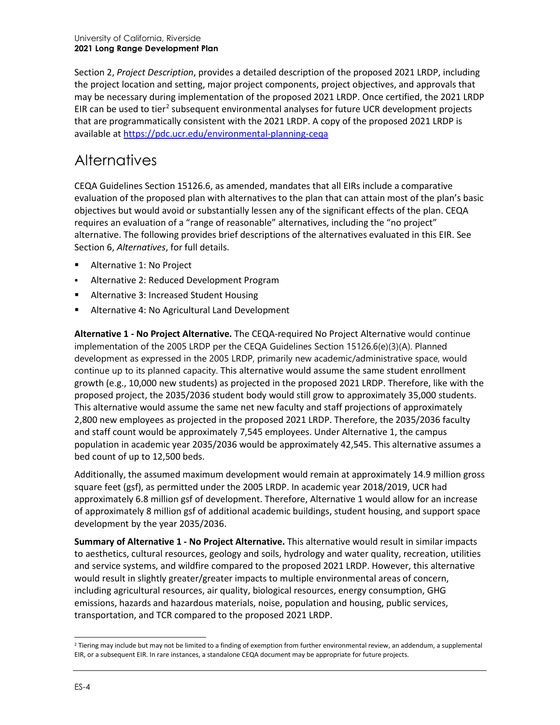Section 2, *Project Description*, provides a detailed description of the proposed 2021 LRDP, including the project location and setting, major project components, project objectives, and approvals that may be necessary during implementation of the proposed 2021 LRDP. Once certified, the 2021 LRDP EIR can be used to tier<sup>[2](#page-3-0)</sup> subsequent environmental analyses for future UCR development projects that are programmatically consistent with the 2021 LRDP. A copy of the proposed 2021 LRDP is available at<https://pdc.ucr.edu/environmental-planning-ceqa>

# **Alternatives**

CEQA Guidelines Section 15126.6, as amended, mandates that all EIRs include a comparative evaluation of the proposed plan with alternatives to the plan that can attain most of the plan's basic objectives but would avoid or substantially lessen any of the significant effects of the plan. CEQA requires an evaluation of a "range of reasonable" alternatives, including the "no project" alternative. The following provides brief descriptions of the alternatives evaluated in this EIR. See Section 6, *Alternatives*, for full details.

- Alternative 1: No Project
- Alternative 2: Reduced Development Program
- Alternative 3: Increased Student Housing
- Alternative 4: No Agricultural Land Development

**Alternative 1 - No Project Alternative.** The CEQA-required No Project Alternative would continue implementation of the 2005 LRDP per the CEQA Guidelines Section 15126.6(e)(3)(A). Planned development as expressed in the 2005 LRDP, primarily new academic/administrative space, would continue up to its planned capacity. This alternative would assume the same student enrollment growth (e.g., 10,000 new students) as projected in the proposed 2021 LRDP. Therefore, like with the proposed project, the 2035/2036 student body would still grow to approximately 35,000 students. This alternative would assume the same net new faculty and staff projections of approximately 2,800 new employees as projected in the proposed 2021 LRDP. Therefore, the 2035/2036 faculty and staff count would be approximately 7,545 employees. Under Alternative 1, the campus population in academic year 2035/2036 would be approximately 42,545. This alternative assumes a bed count of up to 12,500 beds.

Additionally, the assumed maximum development would remain at approximately 14.9 million gross square feet (gsf), as permitted under the 2005 LRDP. In academic year 2018/2019, UCR had approximately 6.8 million gsf of development. Therefore, Alternative 1 would allow for an increase of approximately 8 million gsf of additional academic buildings, student housing, and support space development by the year 2035/2036.

**Summary of Alternative 1 - No Project Alternative.** This alternative would result in similar impacts to aesthetics, cultural resources, geology and soils, hydrology and water quality, recreation, utilities and service systems, and wildfire compared to the proposed 2021 LRDP. However, this alternative would result in slightly greater/greater impacts to multiple environmental areas of concern, including agricultural resources, air quality, biological resources, energy consumption, GHG emissions, hazards and hazardous materials, noise, population and housing, public services, transportation, and TCR compared to the proposed 2021 LRDP.

<span id="page-3-0"></span> $2$  Tiering may include but may not be limited to a finding of exemption from further environmental review, an addendum, a supplemental EIR, or a subsequent EIR. In rare instances, a standalone CEQA document may be appropriate for future projects.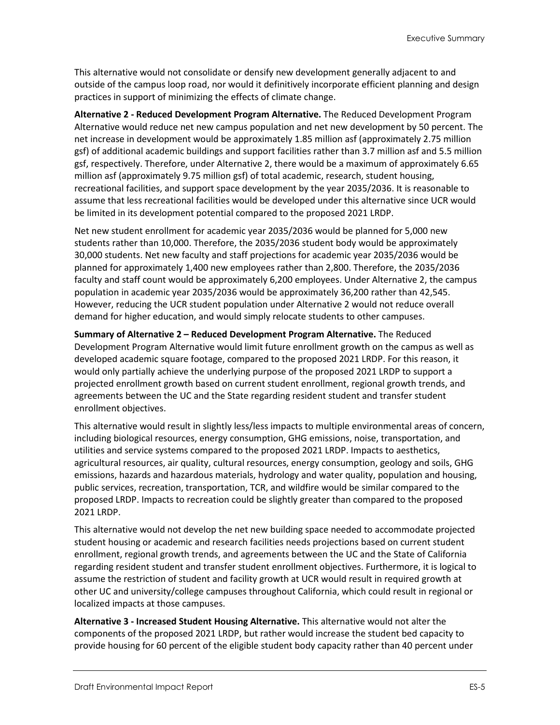This alternative would not consolidate or densify new development generally adjacent to and outside of the campus loop road, nor would it definitively incorporate efficient planning and design practices in support of minimizing the effects of climate change.

**Alternative 2 - Reduced Development Program Alternative.** The Reduced Development Program Alternative would reduce net new campus population and net new development by 50 percent. The net increase in development would be approximately 1.85 million asf (approximately 2.75 million gsf) of additional academic buildings and support facilities rather than 3.7 million asf and 5.5 million gsf, respectively. Therefore, under Alternative 2, there would be a maximum of approximately 6.65 million asf (approximately 9.75 million gsf) of total academic, research, student housing, recreational facilities, and support space development by the year 2035/2036. It is reasonable to assume that less recreational facilities would be developed under this alternative since UCR would be limited in its development potential compared to the proposed 2021 LRDP.

Net new student enrollment for academic year 2035/2036 would be planned for 5,000 new students rather than 10,000. Therefore, the 2035/2036 student body would be approximately 30,000 students. Net new faculty and staff projections for academic year 2035/2036 would be planned for approximately 1,400 new employees rather than 2,800. Therefore, the 2035/2036 faculty and staff count would be approximately 6,200 employees. Under Alternative 2, the campus population in academic year 2035/2036 would be approximately 36,200 rather than 42,545. However, reducing the UCR student population under Alternative 2 would not reduce overall demand for higher education, and would simply relocate students to other campuses.

**Summary of Alternative 2 – Reduced Development Program Alternative.** The Reduced Development Program Alternative would limit future enrollment growth on the campus as well as developed academic square footage, compared to the proposed 2021 LRDP. For this reason, it would only partially achieve the underlying purpose of the proposed 2021 LRDP to support a projected enrollment growth based on current student enrollment, regional growth trends, and agreements between the UC and the State regarding resident student and transfer student enrollment objectives.

This alternative would result in slightly less/less impacts to multiple environmental areas of concern, including biological resources, energy consumption, GHG emissions, noise, transportation, and utilities and service systems compared to the proposed 2021 LRDP. Impacts to aesthetics, agricultural resources, air quality, cultural resources, energy consumption, geology and soils, GHG emissions, hazards and hazardous materials, hydrology and water quality, population and housing, public services, recreation, transportation, TCR, and wildfire would be similar compared to the proposed LRDP. Impacts to recreation could be slightly greater than compared to the proposed 2021 LRDP.

This alternative would not develop the net new building space needed to accommodate projected student housing or academic and research facilities needs projections based on current student enrollment, regional growth trends, and agreements between the UC and the State of California regarding resident student and transfer student enrollment objectives. Furthermore, it is logical to assume the restriction of student and facility growth at UCR would result in required growth at other UC and university/college campuses throughout California, which could result in regional or localized impacts at those campuses.

**Alternative 3 - Increased Student Housing Alternative.** This alternative would not alter the components of the proposed 2021 LRDP, but rather would increase the student bed capacity to provide housing for 60 percent of the eligible student body capacity rather than 40 percent under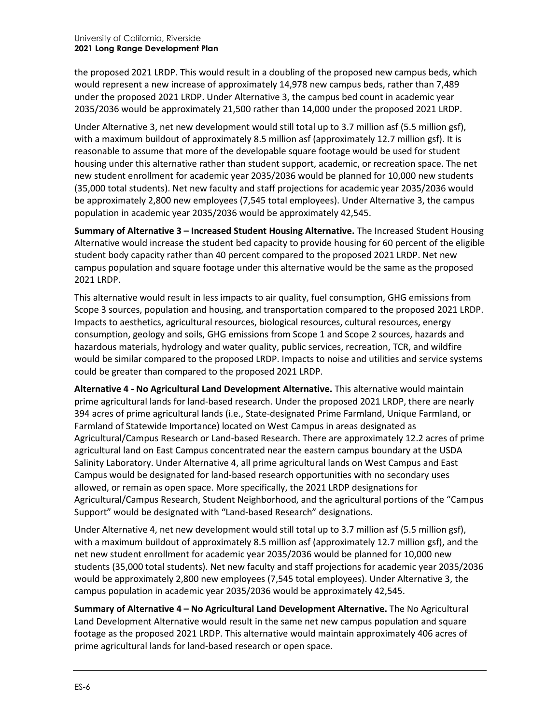the proposed 2021 LRDP. This would result in a doubling of the proposed new campus beds, which would represent a new increase of approximately 14,978 new campus beds, rather than 7,489 under the proposed 2021 LRDP. Under Alternative 3, the campus bed count in academic year 2035/2036 would be approximately 21,500 rather than 14,000 under the proposed 2021 LRDP.

Under Alternative 3, net new development would still total up to 3.7 million asf (5.5 million gsf), with a maximum buildout of approximately 8.5 million asf (approximately 12.7 million gsf). It is reasonable to assume that more of the developable square footage would be used for student housing under this alternative rather than student support, academic, or recreation space. The net new student enrollment for academic year 2035/2036 would be planned for 10,000 new students (35,000 total students). Net new faculty and staff projections for academic year 2035/2036 would be approximately 2,800 new employees (7,545 total employees). Under Alternative 3, the campus population in academic year 2035/2036 would be approximately 42,545.

**Summary of Alternative 3 – Increased Student Housing Alternative.** The Increased Student Housing Alternative would increase the student bed capacity to provide housing for 60 percent of the eligible student body capacity rather than 40 percent compared to the proposed 2021 LRDP. Net new campus population and square footage under this alternative would be the same as the proposed 2021 LRDP.

This alternative would result in less impacts to air quality, fuel consumption, GHG emissions from Scope 3 sources, population and housing, and transportation compared to the proposed 2021 LRDP. Impacts to aesthetics, agricultural resources, biological resources, cultural resources, energy consumption, geology and soils, GHG emissions from Scope 1 and Scope 2 sources, hazards and hazardous materials, hydrology and water quality, public services, recreation, TCR, and wildfire would be similar compared to the proposed LRDP. Impacts to noise and utilities and service systems could be greater than compared to the proposed 2021 LRDP.

**Alternative 4 - No Agricultural Land Development Alternative.** This alternative would maintain prime agricultural lands for land-based research. Under the proposed 2021 LRDP, there are nearly 394 acres of prime agricultural lands (i.e., State-designated Prime Farmland, Unique Farmland, or Farmland of Statewide Importance) located on West Campus in areas designated as Agricultural/Campus Research or Land-based Research. There are approximately 12.2 acres of prime agricultural land on East Campus concentrated near the eastern campus boundary at the USDA Salinity Laboratory. Under Alternative 4, all prime agricultural lands on West Campus and East Campus would be designated for land-based research opportunities with no secondary uses allowed, or remain as open space. More specifically, the 2021 LRDP designations for Agricultural/Campus Research, Student Neighborhood, and the agricultural portions of the "Campus Support" would be designated with "Land-based Research" designations.

Under Alternative 4, net new development would still total up to 3.7 million asf (5.5 million gsf), with a maximum buildout of approximately 8.5 million asf (approximately 12.7 million gsf), and the net new student enrollment for academic year 2035/2036 would be planned for 10,000 new students (35,000 total students). Net new faculty and staff projections for academic year 2035/2036 would be approximately 2,800 new employees (7,545 total employees). Under Alternative 3, the campus population in academic year 2035/2036 would be approximately 42,545.

**Summary of Alternative 4 – No Agricultural Land Development Alternative.** The No Agricultural Land Development Alternative would result in the same net new campus population and square footage as the proposed 2021 LRDP. This alternative would maintain approximately 406 acres of prime agricultural lands for land-based research or open space.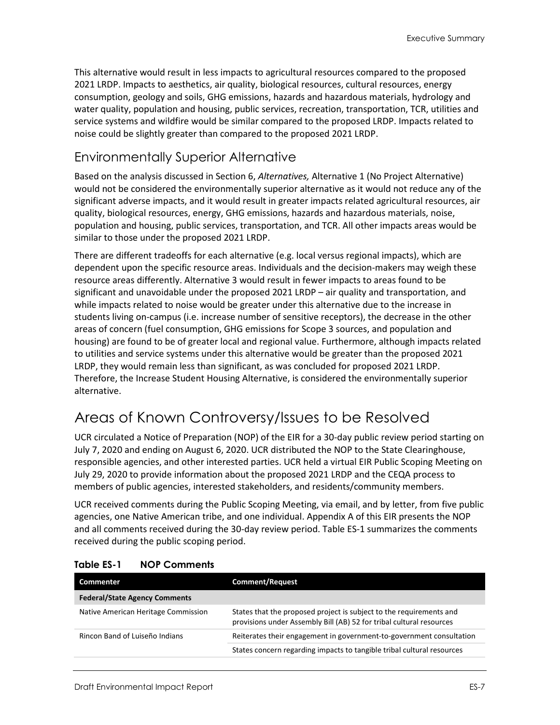This alternative would result in less impacts to agricultural resources compared to the proposed 2021 LRDP. Impacts to aesthetics, air quality, biological resources, cultural resources, energy consumption, geology and soils, GHG emissions, hazards and hazardous materials, hydrology and water quality, population and housing, public services, recreation, transportation, TCR, utilities and service systems and wildfire would be similar compared to the proposed LRDP. Impacts related to noise could be slightly greater than compared to the proposed 2021 LRDP.

## Environmentally Superior Alternative

Based on the analysis discussed in Section 6, *Alternatives,* Alternative 1 (No Project Alternative) would not be considered the environmentally superior alternative as it would not reduce any of the significant adverse impacts, and it would result in greater impacts related agricultural resources, air quality, biological resources, energy, GHG emissions, hazards and hazardous materials, noise, population and housing, public services, transportation, and TCR. All other impacts areas would be similar to those under the proposed 2021 LRDP.

There are different tradeoffs for each alternative (e.g. local versus regional impacts), which are dependent upon the specific resource areas. Individuals and the decision-makers may weigh these resource areas differently. Alternative 3 would result in fewer impacts to areas found to be significant and unavoidable under the proposed 2021 LRDP – air quality and transportation, and while impacts related to noise would be greater under this alternative due to the increase in students living on-campus (i.e. increase number of sensitive receptors), the decrease in the other areas of concern (fuel consumption, GHG emissions for Scope 3 sources, and population and housing) are found to be of greater local and regional value. Furthermore, although impacts related to utilities and service systems under this alternative would be greater than the proposed 2021 LRDP, they would remain less than significant, as was concluded for proposed 2021 LRDP. Therefore, the Increase Student Housing Alternative, is considered the environmentally superior alternative.

# Areas of Known Controversy/Issues to be Resolved

UCR circulated a Notice of Preparation (NOP) of the EIR for a 30-day public review period starting on July 7, 2020 and ending on August 6, 2020. UCR distributed the NOP to the State Clearinghouse, responsible agencies, and other interested parties. UCR held a virtual EIR Public Scoping Meeting on July 29, 2020 to provide information about the proposed 2021 LRDP and the CEQA process to members of public agencies, interested stakeholders, and residents/community members.

UCR received comments during the Public Scoping Meeting, via email, and by letter, from five public agencies, one Native American tribe, and one individual. Appendix A of this EIR presents the NOP and all comments received during the 30-day review period. [Table ES-1](#page-6-0) summarizes the comments received during the public scoping period.

| <b>Commenter</b>                     | <b>Comment/Request</b>                                                                                                                      |  |
|--------------------------------------|---------------------------------------------------------------------------------------------------------------------------------------------|--|
| <b>Federal/State Agency Comments</b> |                                                                                                                                             |  |
| Native American Heritage Commission  | States that the proposed project is subject to the requirements and<br>provisions under Assembly Bill (AB) 52 for tribal cultural resources |  |
| Rincon Band of Luiseño Indians       | Reiterates their engagement in government-to-government consultation                                                                        |  |
|                                      | States concern regarding impacts to tangible tribal cultural resources                                                                      |  |

## <span id="page-6-0"></span>**Table ES-1 NOP Comments**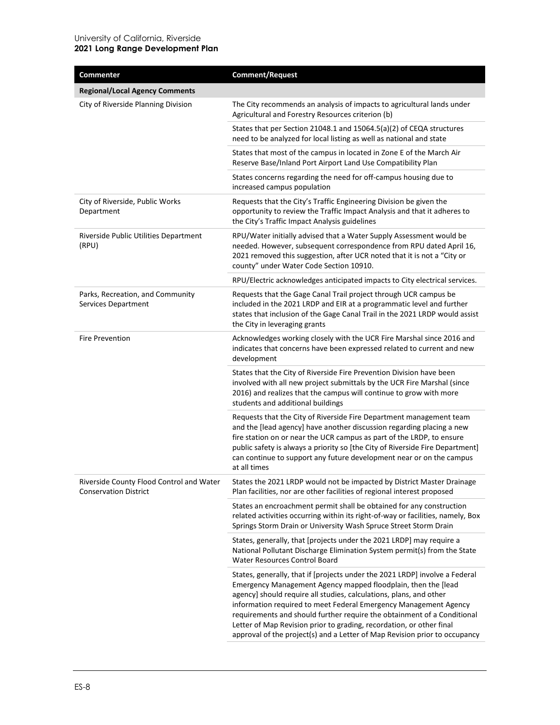| Commenter                                                                | <b>Comment/Request</b>                                                                                                                                                                                                                                                                                                                                                                                                                                                                                                  |
|--------------------------------------------------------------------------|-------------------------------------------------------------------------------------------------------------------------------------------------------------------------------------------------------------------------------------------------------------------------------------------------------------------------------------------------------------------------------------------------------------------------------------------------------------------------------------------------------------------------|
| <b>Regional/Local Agency Comments</b>                                    |                                                                                                                                                                                                                                                                                                                                                                                                                                                                                                                         |
| City of Riverside Planning Division                                      | The City recommends an analysis of impacts to agricultural lands under<br>Agricultural and Forestry Resources criterion (b)                                                                                                                                                                                                                                                                                                                                                                                             |
|                                                                          | States that per Section 21048.1 and 15064.5(a)(2) of CEQA structures<br>need to be analyzed for local listing as well as national and state                                                                                                                                                                                                                                                                                                                                                                             |
|                                                                          | States that most of the campus in located in Zone E of the March Air<br>Reserve Base/Inland Port Airport Land Use Compatibility Plan                                                                                                                                                                                                                                                                                                                                                                                    |
|                                                                          | States concerns regarding the need for off-campus housing due to<br>increased campus population                                                                                                                                                                                                                                                                                                                                                                                                                         |
| City of Riverside, Public Works<br>Department                            | Requests that the City's Traffic Engineering Division be given the<br>opportunity to review the Traffic Impact Analysis and that it adheres to<br>the City's Traffic Impact Analysis guidelines                                                                                                                                                                                                                                                                                                                         |
| Riverside Public Utilities Department<br>(RPU)                           | RPU/Water initially advised that a Water Supply Assessment would be<br>needed. However, subsequent correspondence from RPU dated April 16,<br>2021 removed this suggestion, after UCR noted that it is not a "City or<br>county" under Water Code Section 10910.                                                                                                                                                                                                                                                        |
|                                                                          | RPU/Electric acknowledges anticipated impacts to City electrical services.                                                                                                                                                                                                                                                                                                                                                                                                                                              |
| Parks, Recreation, and Community<br>Services Department                  | Requests that the Gage Canal Trail project through UCR campus be<br>included in the 2021 LRDP and EIR at a programmatic level and further<br>states that inclusion of the Gage Canal Trail in the 2021 LRDP would assist<br>the City in leveraging grants                                                                                                                                                                                                                                                               |
| <b>Fire Prevention</b>                                                   | Acknowledges working closely with the UCR Fire Marshal since 2016 and<br>indicates that concerns have been expressed related to current and new<br>development                                                                                                                                                                                                                                                                                                                                                          |
|                                                                          | States that the City of Riverside Fire Prevention Division have been<br>involved with all new project submittals by the UCR Fire Marshal (since<br>2016) and realizes that the campus will continue to grow with more<br>students and additional buildings                                                                                                                                                                                                                                                              |
|                                                                          | Requests that the City of Riverside Fire Department management team<br>and the [lead agency] have another discussion regarding placing a new<br>fire station on or near the UCR campus as part of the LRDP, to ensure<br>public safety is always a priority so [the City of Riverside Fire Department]<br>can continue to support any future development near or on the campus<br>at all times                                                                                                                          |
| Riverside County Flood Control and Water<br><b>Conservation District</b> | States the 2021 LRDP would not be impacted by District Master Drainage<br>Plan facilities, nor are other facilities of regional interest proposed                                                                                                                                                                                                                                                                                                                                                                       |
|                                                                          | States an encroachment permit shall be obtained for any construction<br>related activities occurring within its right-of-way or facilities, namely, Box<br>Springs Storm Drain or University Wash Spruce Street Storm Drain                                                                                                                                                                                                                                                                                             |
|                                                                          | States, generally, that [projects under the 2021 LRDP] may require a<br>National Pollutant Discharge Elimination System permit(s) from the State<br><b>Water Resources Control Board</b>                                                                                                                                                                                                                                                                                                                                |
|                                                                          | States, generally, that if [projects under the 2021 LRDP] involve a Federal<br>Emergency Management Agency mapped floodplain, then the [lead<br>agency] should require all studies, calculations, plans, and other<br>information required to meet Federal Emergency Management Agency<br>requirements and should further require the obtainment of a Conditional<br>Letter of Map Revision prior to grading, recordation, or other final<br>approval of the project(s) and a Letter of Map Revision prior to occupancy |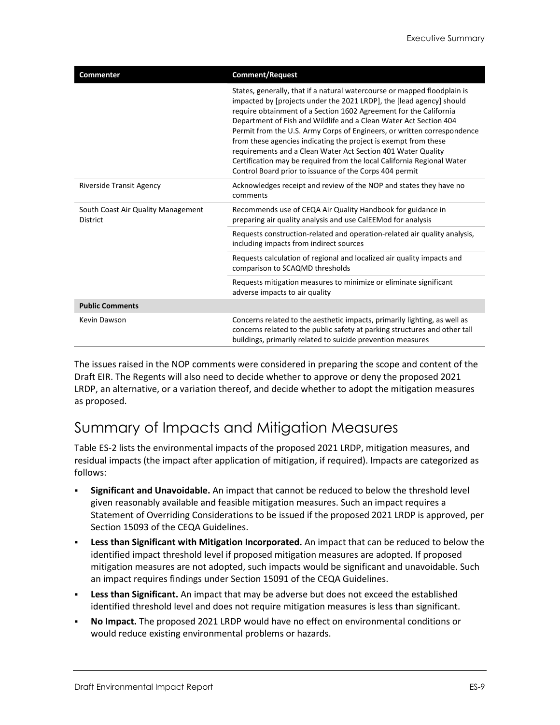| <b>Commenter</b>                                      | <b>Comment/Request</b>                                                                                                                                                                                                                                                                                                                                                                                                                                                                                                                                                                                                                        |
|-------------------------------------------------------|-----------------------------------------------------------------------------------------------------------------------------------------------------------------------------------------------------------------------------------------------------------------------------------------------------------------------------------------------------------------------------------------------------------------------------------------------------------------------------------------------------------------------------------------------------------------------------------------------------------------------------------------------|
|                                                       | States, generally, that if a natural watercourse or mapped floodplain is<br>impacted by [projects under the 2021 LRDP], the [lead agency] should<br>require obtainment of a Section 1602 Agreement for the California<br>Department of Fish and Wildlife and a Clean Water Act Section 404<br>Permit from the U.S. Army Corps of Engineers, or written correspondence<br>from these agencies indicating the project is exempt from these<br>requirements and a Clean Water Act Section 401 Water Quality<br>Certification may be required from the local California Regional Water<br>Control Board prior to issuance of the Corps 404 permit |
| <b>Riverside Transit Agency</b>                       | Acknowledges receipt and review of the NOP and states they have no<br>comments                                                                                                                                                                                                                                                                                                                                                                                                                                                                                                                                                                |
| South Coast Air Quality Management<br><b>District</b> | Recommends use of CEQA Air Quality Handbook for guidance in<br>preparing air quality analysis and use CalEEMod for analysis                                                                                                                                                                                                                                                                                                                                                                                                                                                                                                                   |
|                                                       | Requests construction-related and operation-related air quality analysis,<br>including impacts from indirect sources                                                                                                                                                                                                                                                                                                                                                                                                                                                                                                                          |
|                                                       | Requests calculation of regional and localized air quality impacts and<br>comparison to SCAQMD thresholds                                                                                                                                                                                                                                                                                                                                                                                                                                                                                                                                     |
|                                                       | Requests mitigation measures to minimize or eliminate significant<br>adverse impacts to air quality                                                                                                                                                                                                                                                                                                                                                                                                                                                                                                                                           |
| <b>Public Comments</b>                                |                                                                                                                                                                                                                                                                                                                                                                                                                                                                                                                                                                                                                                               |
| Kevin Dawson                                          | Concerns related to the aesthetic impacts, primarily lighting, as well as<br>concerns related to the public safety at parking structures and other tall<br>buildings, primarily related to suicide prevention measures                                                                                                                                                                                                                                                                                                                                                                                                                        |

The issues raised in the NOP comments were considered in preparing the scope and content of the Draft EIR. The Regents will also need to decide whether to approve or deny the proposed 2021 LRDP, an alternative, or a variation thereof, and decide whether to adopt the mitigation measures as proposed.

# Summary of Impacts and Mitigation Measures

[Table ES-2](#page-9-0) lists the environmental impacts of the proposed 2021 LRDP, mitigation measures, and residual impacts (the impact after application of mitigation, if required). Impacts are categorized as follows:

- **Significant and Unavoidable.** An impact that cannot be reduced to below the threshold level given reasonably available and feasible mitigation measures. Such an impact requires a Statement of Overriding Considerations to be issued if the proposed 2021 LRDP is approved, per Section 15093 of the CEQA Guidelines.
- **Less than Significant with Mitigation Incorporated.** An impact that can be reduced to below the identified impact threshold level if proposed mitigation measures are adopted. If proposed mitigation measures are not adopted, such impacts would be significant and unavoidable. Such an impact requires findings under Section 15091 of the CEQA Guidelines.
- **Less than Significant.** An impact that may be adverse but does not exceed the established identified threshold level and does not require mitigation measures is less than significant.
- **No Impact.** The proposed 2021 LRDP would have no effect on environmental conditions or would reduce existing environmental problems or hazards.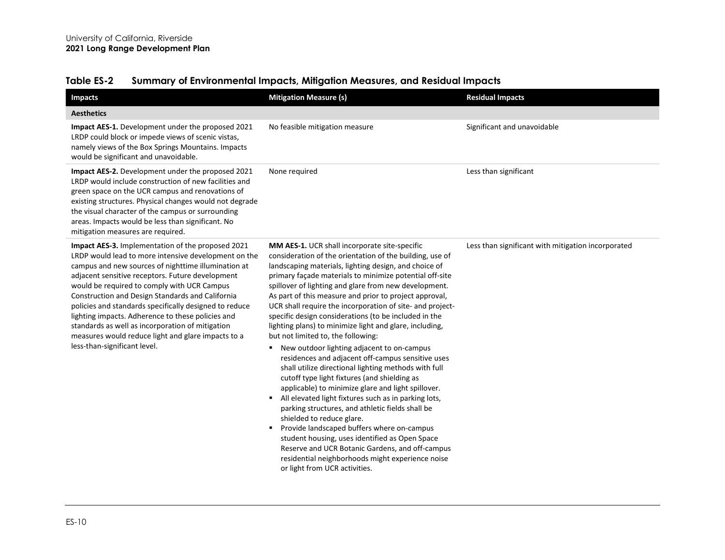<span id="page-9-0"></span>

| <b>Impacts</b>                                                                                                                                                                                                                                                                                                                                                                                                                                                                                                                                                                   | <b>Mitigation Measure (s)</b>                                                                                                                                                                                                                                                                                                                                                                                                                                                                                                                                                                                                                                                                                                                                                                                                                                                                                                                                                                                                                                                                                                                                                                                                  | <b>Residual Impacts</b>                            |
|----------------------------------------------------------------------------------------------------------------------------------------------------------------------------------------------------------------------------------------------------------------------------------------------------------------------------------------------------------------------------------------------------------------------------------------------------------------------------------------------------------------------------------------------------------------------------------|--------------------------------------------------------------------------------------------------------------------------------------------------------------------------------------------------------------------------------------------------------------------------------------------------------------------------------------------------------------------------------------------------------------------------------------------------------------------------------------------------------------------------------------------------------------------------------------------------------------------------------------------------------------------------------------------------------------------------------------------------------------------------------------------------------------------------------------------------------------------------------------------------------------------------------------------------------------------------------------------------------------------------------------------------------------------------------------------------------------------------------------------------------------------------------------------------------------------------------|----------------------------------------------------|
| <b>Aesthetics</b>                                                                                                                                                                                                                                                                                                                                                                                                                                                                                                                                                                |                                                                                                                                                                                                                                                                                                                                                                                                                                                                                                                                                                                                                                                                                                                                                                                                                                                                                                                                                                                                                                                                                                                                                                                                                                |                                                    |
| Impact AES-1. Development under the proposed 2021<br>LRDP could block or impede views of scenic vistas,<br>namely views of the Box Springs Mountains. Impacts<br>would be significant and unavoidable.                                                                                                                                                                                                                                                                                                                                                                           | No feasible mitigation measure                                                                                                                                                                                                                                                                                                                                                                                                                                                                                                                                                                                                                                                                                                                                                                                                                                                                                                                                                                                                                                                                                                                                                                                                 | Significant and unavoidable                        |
| Impact AES-2. Development under the proposed 2021<br>LRDP would include construction of new facilities and<br>green space on the UCR campus and renovations of<br>existing structures. Physical changes would not degrade<br>the visual character of the campus or surrounding<br>areas. Impacts would be less than significant. No<br>mitigation measures are required.                                                                                                                                                                                                         | None required                                                                                                                                                                                                                                                                                                                                                                                                                                                                                                                                                                                                                                                                                                                                                                                                                                                                                                                                                                                                                                                                                                                                                                                                                  | Less than significant                              |
| Impact AES-3. Implementation of the proposed 2021<br>LRDP would lead to more intensive development on the<br>campus and new sources of nighttime illumination at<br>adjacent sensitive receptors. Future development<br>would be required to comply with UCR Campus<br>Construction and Design Standards and California<br>policies and standards specifically designed to reduce<br>lighting impacts. Adherence to these policies and<br>standards as well as incorporation of mitigation<br>measures would reduce light and glare impacts to a<br>less-than-significant level. | MM AES-1. UCR shall incorporate site-specific<br>consideration of the orientation of the building, use of<br>landscaping materials, lighting design, and choice of<br>primary façade materials to minimize potential off-site<br>spillover of lighting and glare from new development.<br>As part of this measure and prior to project approval,<br>UCR shall require the incorporation of site- and project-<br>specific design considerations (to be included in the<br>lighting plans) to minimize light and glare, including,<br>but not limited to, the following:<br>New outdoor lighting adjacent to on-campus<br>٠<br>residences and adjacent off-campus sensitive uses<br>shall utilize directional lighting methods with full<br>cutoff type light fixtures (and shielding as<br>applicable) to minimize glare and light spillover.<br>All elevated light fixtures such as in parking lots,<br>parking structures, and athletic fields shall be<br>shielded to reduce glare.<br>Provide landscaped buffers where on-campus<br>student housing, uses identified as Open Space<br>Reserve and UCR Botanic Gardens, and off-campus<br>residential neighborhoods might experience noise<br>or light from UCR activities. | Less than significant with mitigation incorporated |

## **Table ES-2 Summary of Environmental Impacts, Mitigation Measures, and Residual Impacts**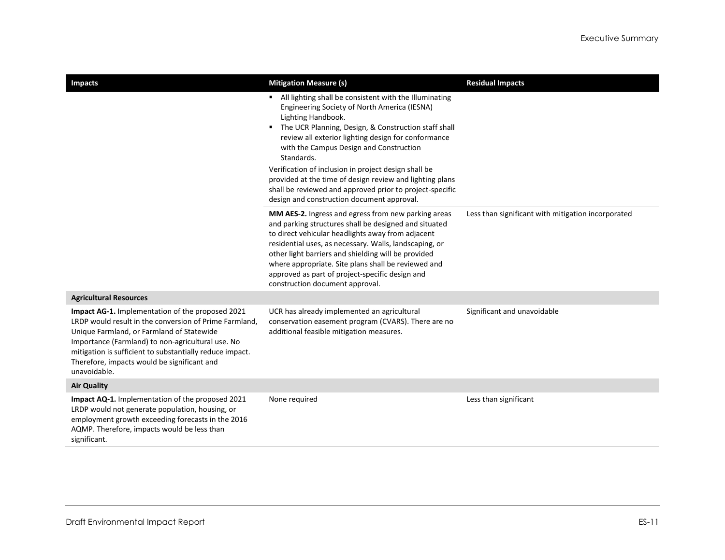| <b>Impacts</b>                                                                                                                                                                                                                                                                                                                          | <b>Mitigation Measure (s)</b>                                                                                                                                                                                                                                                                                                                                                                                                                                                                                                      | <b>Residual Impacts</b>                            |
|-----------------------------------------------------------------------------------------------------------------------------------------------------------------------------------------------------------------------------------------------------------------------------------------------------------------------------------------|------------------------------------------------------------------------------------------------------------------------------------------------------------------------------------------------------------------------------------------------------------------------------------------------------------------------------------------------------------------------------------------------------------------------------------------------------------------------------------------------------------------------------------|----------------------------------------------------|
|                                                                                                                                                                                                                                                                                                                                         | All lighting shall be consistent with the Illuminating<br>Engineering Society of North America (IESNA)<br>Lighting Handbook.<br>The UCR Planning, Design, & Construction staff shall<br>review all exterior lighting design for conformance<br>with the Campus Design and Construction<br>Standards.<br>Verification of inclusion in project design shall be<br>provided at the time of design review and lighting plans<br>shall be reviewed and approved prior to project-specific<br>design and construction document approval. |                                                    |
|                                                                                                                                                                                                                                                                                                                                         | MM AES-2. Ingress and egress from new parking areas<br>and parking structures shall be designed and situated<br>to direct vehicular headlights away from adjacent<br>residential uses, as necessary. Walls, landscaping, or<br>other light barriers and shielding will be provided<br>where appropriate. Site plans shall be reviewed and<br>approved as part of project-specific design and<br>construction document approval.                                                                                                    | Less than significant with mitigation incorporated |
| <b>Agricultural Resources</b>                                                                                                                                                                                                                                                                                                           |                                                                                                                                                                                                                                                                                                                                                                                                                                                                                                                                    |                                                    |
| Impact AG-1. Implementation of the proposed 2021<br>LRDP would result in the conversion of Prime Farmland,<br>Unique Farmland, or Farmland of Statewide<br>Importance (Farmland) to non-agricultural use. No<br>mitigation is sufficient to substantially reduce impact.<br>Therefore, impacts would be significant and<br>unavoidable. | UCR has already implemented an agricultural<br>conservation easement program (CVARS). There are no<br>additional feasible mitigation measures.                                                                                                                                                                                                                                                                                                                                                                                     | Significant and unavoidable                        |
| <b>Air Quality</b>                                                                                                                                                                                                                                                                                                                      |                                                                                                                                                                                                                                                                                                                                                                                                                                                                                                                                    |                                                    |
| Impact AQ-1. Implementation of the proposed 2021<br>LRDP would not generate population, housing, or<br>employment growth exceeding forecasts in the 2016<br>AQMP. Therefore, impacts would be less than<br>significant.                                                                                                                 | None required                                                                                                                                                                                                                                                                                                                                                                                                                                                                                                                      | Less than significant                              |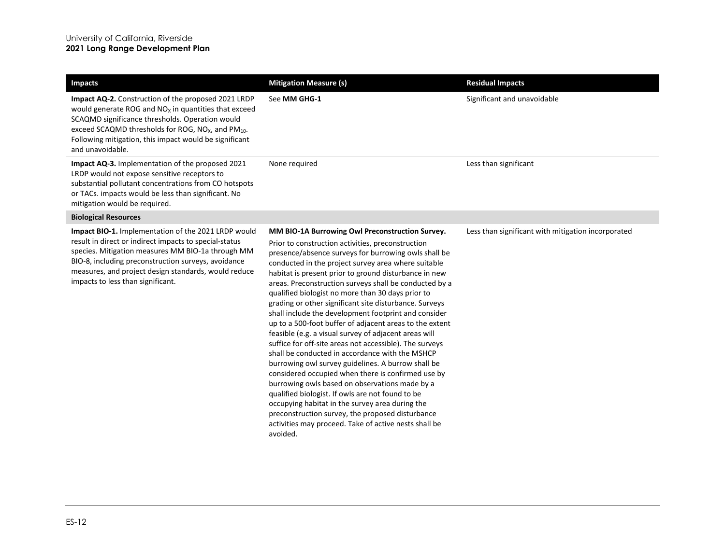| <b>Impacts</b>                                                                                                                                                                                                                                                                                                         | <b>Mitigation Measure (s)</b>                                                                                                                                                                                                                                                                                                                                                                                                                                                                                                                                                                                                                                                                                                                                                                                                                                                                                                                                                                                                                                                                                                                 | <b>Residual Impacts</b>                            |
|------------------------------------------------------------------------------------------------------------------------------------------------------------------------------------------------------------------------------------------------------------------------------------------------------------------------|-----------------------------------------------------------------------------------------------------------------------------------------------------------------------------------------------------------------------------------------------------------------------------------------------------------------------------------------------------------------------------------------------------------------------------------------------------------------------------------------------------------------------------------------------------------------------------------------------------------------------------------------------------------------------------------------------------------------------------------------------------------------------------------------------------------------------------------------------------------------------------------------------------------------------------------------------------------------------------------------------------------------------------------------------------------------------------------------------------------------------------------------------|----------------------------------------------------|
| Impact AQ-2. Construction of the proposed 2021 LRDP<br>would generate ROG and $NOx$ in quantities that exceed<br>SCAQMD significance thresholds. Operation would<br>exceed SCAQMD thresholds for ROG, $NOx$ , and $PM10$ .<br>Following mitigation, this impact would be significant<br>and unavoidable.               | See MM GHG-1                                                                                                                                                                                                                                                                                                                                                                                                                                                                                                                                                                                                                                                                                                                                                                                                                                                                                                                                                                                                                                                                                                                                  | Significant and unavoidable                        |
| <b>Impact AQ-3.</b> Implementation of the proposed 2021<br>LRDP would not expose sensitive receptors to<br>substantial pollutant concentrations from CO hotspots<br>or TACs. impacts would be less than significant. No<br>mitigation would be required.                                                               | None required                                                                                                                                                                                                                                                                                                                                                                                                                                                                                                                                                                                                                                                                                                                                                                                                                                                                                                                                                                                                                                                                                                                                 | Less than significant                              |
| <b>Biological Resources</b>                                                                                                                                                                                                                                                                                            |                                                                                                                                                                                                                                                                                                                                                                                                                                                                                                                                                                                                                                                                                                                                                                                                                                                                                                                                                                                                                                                                                                                                               |                                                    |
| Impact BIO-1. Implementation of the 2021 LRDP would<br>result in direct or indirect impacts to special-status<br>species. Mitigation measures MM BIO-1a through MM<br>BIO-8, including preconstruction surveys, avoidance<br>measures, and project design standards, would reduce<br>impacts to less than significant. | MM BIO-1A Burrowing Owl Preconstruction Survey.<br>Prior to construction activities, preconstruction<br>presence/absence surveys for burrowing owls shall be<br>conducted in the project survey area where suitable<br>habitat is present prior to ground disturbance in new<br>areas. Preconstruction surveys shall be conducted by a<br>qualified biologist no more than 30 days prior to<br>grading or other significant site disturbance. Surveys<br>shall include the development footprint and consider<br>up to a 500-foot buffer of adjacent areas to the extent<br>feasible (e.g. a visual survey of adjacent areas will<br>suffice for off-site areas not accessible). The surveys<br>shall be conducted in accordance with the MSHCP<br>burrowing owl survey guidelines. A burrow shall be<br>considered occupied when there is confirmed use by<br>burrowing owls based on observations made by a<br>qualified biologist. If owls are not found to be<br>occupying habitat in the survey area during the<br>preconstruction survey, the proposed disturbance<br>activities may proceed. Take of active nests shall be<br>avoided. | Less than significant with mitigation incorporated |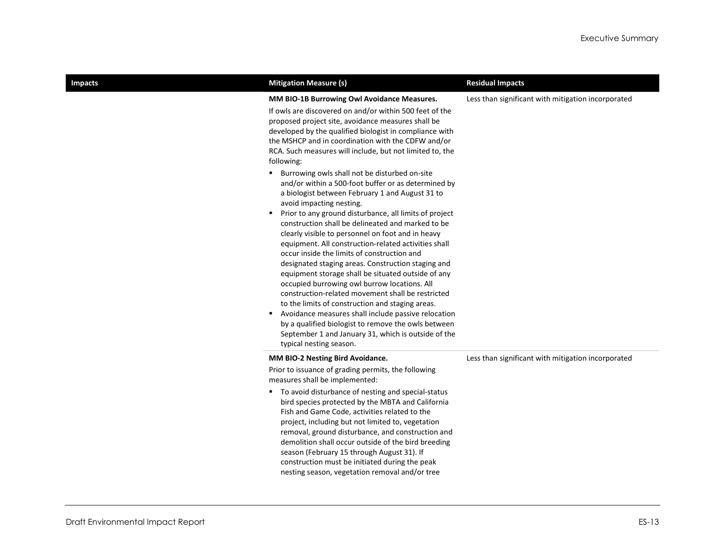| <b>Impacts</b> |  |
|----------------|--|
|                |  |
|                |  |
|                |  |

| <b>Mitigation Measure (s)</b>                                                                                                                                                                                                                                                                                                                                                                                                                                                                                                                                                                                                                                                                                                                                                                                                                                                                                                                 | <b>Residual Impacts</b>                            |
|-----------------------------------------------------------------------------------------------------------------------------------------------------------------------------------------------------------------------------------------------------------------------------------------------------------------------------------------------------------------------------------------------------------------------------------------------------------------------------------------------------------------------------------------------------------------------------------------------------------------------------------------------------------------------------------------------------------------------------------------------------------------------------------------------------------------------------------------------------------------------------------------------------------------------------------------------|----------------------------------------------------|
| MM BIO-1B Burrowing Owl Avoidance Measures.<br>If owls are discovered on and/or within 500 feet of the<br>proposed project site, avoidance measures shall be<br>developed by the qualified biologist in compliance with<br>the MSHCP and in coordination with the CDFW and/or<br>RCA. Such measures will include, but not limited to, the<br>following:                                                                                                                                                                                                                                                                                                                                                                                                                                                                                                                                                                                       | Less than significant with mitigation incorporated |
| Burrowing owls shall not be disturbed on-site<br>٠<br>and/or within a 500-foot buffer or as determined by<br>a biologist between February 1 and August 31 to<br>avoid impacting nesting.<br>Prior to any ground disturbance, all limits of project<br>construction shall be delineated and marked to be<br>clearly visible to personnel on foot and in heavy<br>equipment. All construction-related activities shall<br>occur inside the limits of construction and<br>designated staging areas. Construction staging and<br>equipment storage shall be situated outside of any<br>occupied burrowing owl burrow locations. All<br>construction-related movement shall be restricted<br>to the limits of construction and staging areas.<br>Avoidance measures shall include passive relocation<br>٠<br>by a qualified biologist to remove the owls between<br>September 1 and January 31, which is outside of the<br>typical nesting season. |                                                    |
| MM BIO-2 Nesting Bird Avoidance.                                                                                                                                                                                                                                                                                                                                                                                                                                                                                                                                                                                                                                                                                                                                                                                                                                                                                                              | Less than significant with mitigation incorporated |
| Prior to issuance of grading permits, the following<br>measures shall be implemented:                                                                                                                                                                                                                                                                                                                                                                                                                                                                                                                                                                                                                                                                                                                                                                                                                                                         |                                                    |
| " To avoid disturbance of nesting and special-status<br>bird species protected by the MBTA and California<br>Fish and Game Code, activities related to the<br>project, including but not limited to, vegetation<br>removal, ground disturbance, and construction and<br>demolition shall occur outside of the bird breeding<br>season (February 15 through August 31). If<br>construction must be initiated during the peak<br>nesting season, vegetation removal and/or tree                                                                                                                                                                                                                                                                                                                                                                                                                                                                 |                                                    |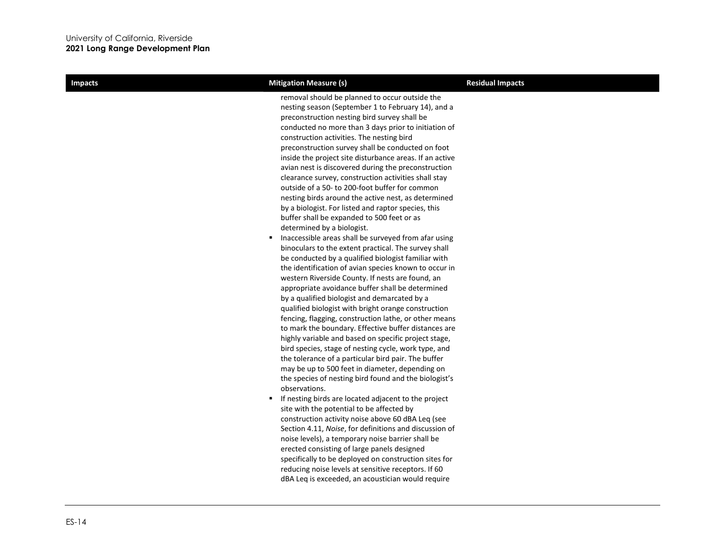| <b>Impacts</b> | <b>Mitigation Measure (s)</b>                                                                                                                                                                                                                                                                                                                                                                                                                                                                                                                                                                                                                                                                                                                                                                                                                                                                                                                                                                                                                                                                                                                                                                                                                                                                                                                                                                                                                                                                                                                                                                                                                                                                                                                                                                                                                                                                                                              | <b>Residual Impacts</b> |
|----------------|--------------------------------------------------------------------------------------------------------------------------------------------------------------------------------------------------------------------------------------------------------------------------------------------------------------------------------------------------------------------------------------------------------------------------------------------------------------------------------------------------------------------------------------------------------------------------------------------------------------------------------------------------------------------------------------------------------------------------------------------------------------------------------------------------------------------------------------------------------------------------------------------------------------------------------------------------------------------------------------------------------------------------------------------------------------------------------------------------------------------------------------------------------------------------------------------------------------------------------------------------------------------------------------------------------------------------------------------------------------------------------------------------------------------------------------------------------------------------------------------------------------------------------------------------------------------------------------------------------------------------------------------------------------------------------------------------------------------------------------------------------------------------------------------------------------------------------------------------------------------------------------------------------------------------------------------|-------------------------|
|                | removal should be planned to occur outside the<br>nesting season (September 1 to February 14), and a<br>preconstruction nesting bird survey shall be<br>conducted no more than 3 days prior to initiation of<br>construction activities. The nesting bird<br>preconstruction survey shall be conducted on foot<br>inside the project site disturbance areas. If an active<br>avian nest is discovered during the preconstruction<br>clearance survey, construction activities shall stay<br>outside of a 50- to 200-foot buffer for common<br>nesting birds around the active nest, as determined<br>by a biologist. For listed and raptor species, this<br>buffer shall be expanded to 500 feet or as<br>determined by a biologist.<br>Inaccessible areas shall be surveyed from afar using<br>٠<br>binoculars to the extent practical. The survey shall<br>be conducted by a qualified biologist familiar with<br>the identification of avian species known to occur in<br>western Riverside County. If nests are found, an<br>appropriate avoidance buffer shall be determined<br>by a qualified biologist and demarcated by a<br>qualified biologist with bright orange construction<br>fencing, flagging, construction lathe, or other means<br>to mark the boundary. Effective buffer distances are<br>highly variable and based on specific project stage,<br>bird species, stage of nesting cycle, work type, and<br>the tolerance of a particular bird pair. The buffer<br>may be up to 500 feet in diameter, depending on<br>the species of nesting bird found and the biologist's<br>observations.<br>If nesting birds are located adjacent to the project<br>٠<br>site with the potential to be affected by<br>construction activity noise above 60 dBA Leg (see<br>Section 4.11, Noise, for definitions and discussion of<br>noise levels), a temporary noise barrier shall be<br>erected consisting of large panels designed |                         |
|                | specifically to be deployed on construction sites for<br>reducing noise levels at sensitive receptors. If 60<br>dBA Leg is exceeded, an acoustician would require                                                                                                                                                                                                                                                                                                                                                                                                                                                                                                                                                                                                                                                                                                                                                                                                                                                                                                                                                                                                                                                                                                                                                                                                                                                                                                                                                                                                                                                                                                                                                                                                                                                                                                                                                                          |                         |
|                |                                                                                                                                                                                                                                                                                                                                                                                                                                                                                                                                                                                                                                                                                                                                                                                                                                                                                                                                                                                                                                                                                                                                                                                                                                                                                                                                                                                                                                                                                                                                                                                                                                                                                                                                                                                                                                                                                                                                            |                         |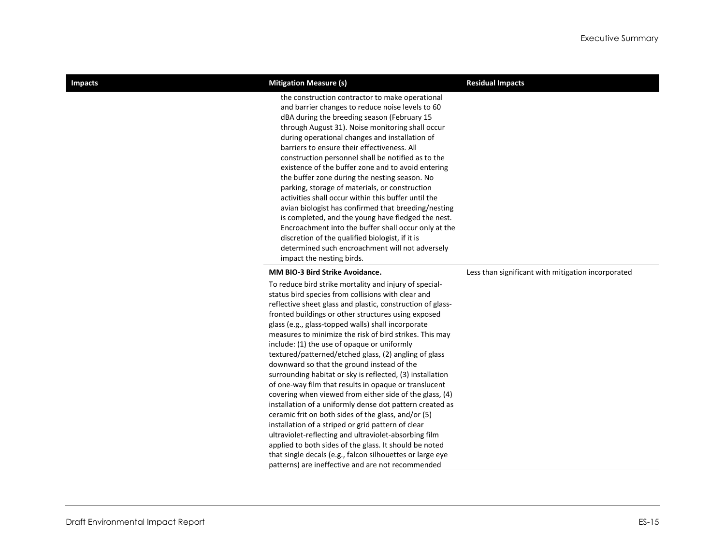| <b>Impacts</b> | <b>Mitigation Measure (s)</b>                                                                                                                                                                                                                                                                                                                                                                                                                                                                                                                                                                                                                                                                                                                                                                                                                                                                                                                                                                                                                                                                           | <b>Residual Impacts</b>                            |
|----------------|---------------------------------------------------------------------------------------------------------------------------------------------------------------------------------------------------------------------------------------------------------------------------------------------------------------------------------------------------------------------------------------------------------------------------------------------------------------------------------------------------------------------------------------------------------------------------------------------------------------------------------------------------------------------------------------------------------------------------------------------------------------------------------------------------------------------------------------------------------------------------------------------------------------------------------------------------------------------------------------------------------------------------------------------------------------------------------------------------------|----------------------------------------------------|
|                | the construction contractor to make operational<br>and barrier changes to reduce noise levels to 60<br>dBA during the breeding season (February 15<br>through August 31). Noise monitoring shall occur<br>during operational changes and installation of<br>barriers to ensure their effectiveness. All<br>construction personnel shall be notified as to the<br>existence of the buffer zone and to avoid entering<br>the buffer zone during the nesting season. No<br>parking, storage of materials, or construction<br>activities shall occur within this buffer until the<br>avian biologist has confirmed that breeding/nesting<br>is completed, and the young have fledged the nest.<br>Encroachment into the buffer shall occur only at the<br>discretion of the qualified biologist, if it is<br>determined such encroachment will not adversely<br>impact the nesting birds.                                                                                                                                                                                                                   |                                                    |
|                | MM BIO-3 Bird Strike Avoidance.                                                                                                                                                                                                                                                                                                                                                                                                                                                                                                                                                                                                                                                                                                                                                                                                                                                                                                                                                                                                                                                                         | Less than significant with mitigation incorporated |
|                | To reduce bird strike mortality and injury of special-<br>status bird species from collisions with clear and<br>reflective sheet glass and plastic, construction of glass-<br>fronted buildings or other structures using exposed<br>glass (e.g., glass-topped walls) shall incorporate<br>measures to minimize the risk of bird strikes. This may<br>include: (1) the use of opaque or uniformly<br>textured/patterned/etched glass, (2) angling of glass<br>downward so that the ground instead of the<br>surrounding habitat or sky is reflected, (3) installation<br>of one-way film that results in opaque or translucent<br>covering when viewed from either side of the glass, (4)<br>installation of a uniformly dense dot pattern created as<br>ceramic frit on both sides of the glass, and/or (5)<br>installation of a striped or grid pattern of clear<br>ultraviolet-reflecting and ultraviolet-absorbing film<br>applied to both sides of the glass. It should be noted<br>that single decals (e.g., falcon silhouettes or large eye<br>patterns) are ineffective and are not recommended |                                                    |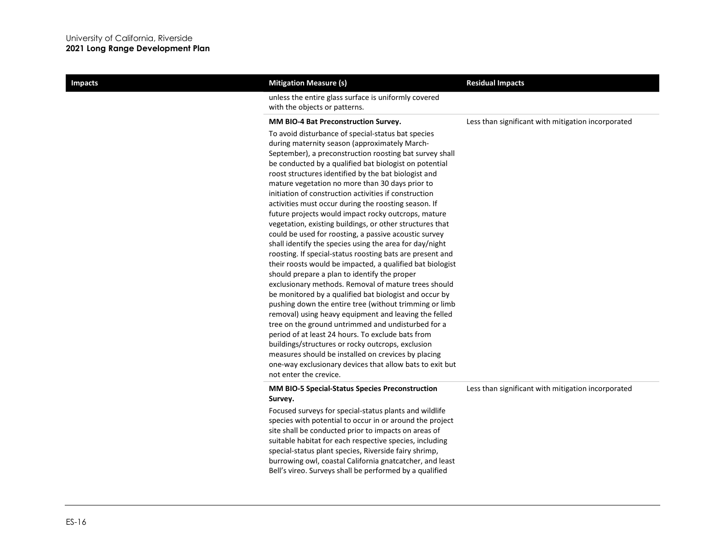| <b>Impacts</b> | <b>Mitigation Measure (s)</b><br>unless the entire glass surface is uniformly covered                                                                                                                                                                                                                                                                                                                                                                                                                                                                                                                                                                                                                                                                                                                                                                                                                                                                                                                                                                                                                                                                                                                                                                                                                                                                                                                                   | <b>Residual Impacts</b>                            |
|----------------|-------------------------------------------------------------------------------------------------------------------------------------------------------------------------------------------------------------------------------------------------------------------------------------------------------------------------------------------------------------------------------------------------------------------------------------------------------------------------------------------------------------------------------------------------------------------------------------------------------------------------------------------------------------------------------------------------------------------------------------------------------------------------------------------------------------------------------------------------------------------------------------------------------------------------------------------------------------------------------------------------------------------------------------------------------------------------------------------------------------------------------------------------------------------------------------------------------------------------------------------------------------------------------------------------------------------------------------------------------------------------------------------------------------------------|----------------------------------------------------|
|                | with the objects or patterns.                                                                                                                                                                                                                                                                                                                                                                                                                                                                                                                                                                                                                                                                                                                                                                                                                                                                                                                                                                                                                                                                                                                                                                                                                                                                                                                                                                                           |                                                    |
|                | MM BIO-4 Bat Preconstruction Survey.                                                                                                                                                                                                                                                                                                                                                                                                                                                                                                                                                                                                                                                                                                                                                                                                                                                                                                                                                                                                                                                                                                                                                                                                                                                                                                                                                                                    | Less than significant with mitigation incorporated |
|                | To avoid disturbance of special-status bat species<br>during maternity season (approximately March-<br>September), a preconstruction roosting bat survey shall<br>be conducted by a qualified bat biologist on potential<br>roost structures identified by the bat biologist and<br>mature vegetation no more than 30 days prior to<br>initiation of construction activities if construction<br>activities must occur during the roosting season. If<br>future projects would impact rocky outcrops, mature<br>vegetation, existing buildings, or other structures that<br>could be used for roosting, a passive acoustic survey<br>shall identify the species using the area for day/night<br>roosting. If special-status roosting bats are present and<br>their roosts would be impacted, a qualified bat biologist<br>should prepare a plan to identify the proper<br>exclusionary methods. Removal of mature trees should<br>be monitored by a qualified bat biologist and occur by<br>pushing down the entire tree (without trimming or limb<br>removal) using heavy equipment and leaving the felled<br>tree on the ground untrimmed and undisturbed for a<br>period of at least 24 hours. To exclude bats from<br>buildings/structures or rocky outcrops, exclusion<br>measures should be installed on crevices by placing<br>one-way exclusionary devices that allow bats to exit but<br>not enter the crevice. |                                                    |
|                | MM BIO-5 Special-Status Species Preconstruction<br>Survey.                                                                                                                                                                                                                                                                                                                                                                                                                                                                                                                                                                                                                                                                                                                                                                                                                                                                                                                                                                                                                                                                                                                                                                                                                                                                                                                                                              | Less than significant with mitigation incorporated |
|                | Focused surveys for special-status plants and wildlife<br>species with potential to occur in or around the project<br>site shall be conducted prior to impacts on areas of<br>suitable habitat for each respective species, including<br>special-status plant species, Riverside fairy shrimp,<br>burrowing owl, coastal California gnatcatcher, and least<br>Bell's vireo. Surveys shall be performed by a qualified                                                                                                                                                                                                                                                                                                                                                                                                                                                                                                                                                                                                                                                                                                                                                                                                                                                                                                                                                                                                   |                                                    |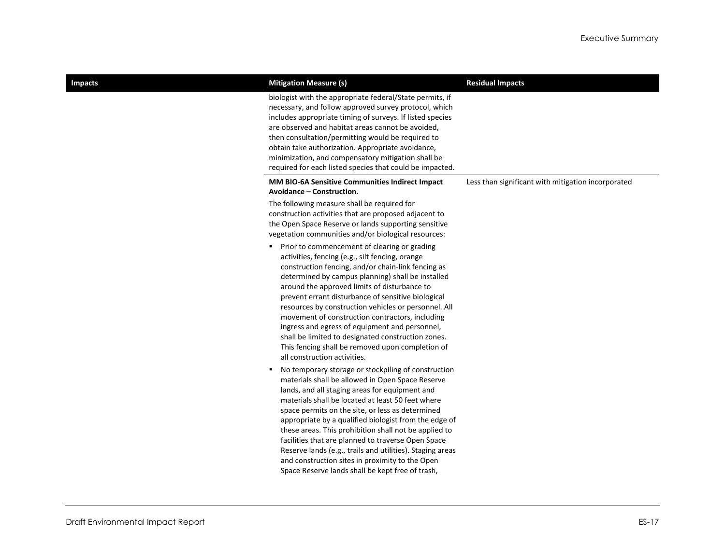| <b>Impacts</b> | <b>Mitigation Measure (s)</b>                                                                                                                                                                                                                                                                                                                                                                                                                                                                                                                                                                                                 | <b>Residual Impacts</b>                            |
|----------------|-------------------------------------------------------------------------------------------------------------------------------------------------------------------------------------------------------------------------------------------------------------------------------------------------------------------------------------------------------------------------------------------------------------------------------------------------------------------------------------------------------------------------------------------------------------------------------------------------------------------------------|----------------------------------------------------|
|                | biologist with the appropriate federal/State permits, if<br>necessary, and follow approved survey protocol, which<br>includes appropriate timing of surveys. If listed species<br>are observed and habitat areas cannot be avoided,<br>then consultation/permitting would be required to<br>obtain take authorization. Appropriate avoidance,<br>minimization, and compensatory mitigation shall be<br>required for each listed species that could be impacted.                                                                                                                                                               |                                                    |
|                | MM BIO-6A Sensitive Communities Indirect Impact<br>Avoidance – Construction.                                                                                                                                                                                                                                                                                                                                                                                                                                                                                                                                                  | Less than significant with mitigation incorporated |
|                | The following measure shall be required for<br>construction activities that are proposed adjacent to<br>the Open Space Reserve or lands supporting sensitive<br>vegetation communities and/or biological resources:                                                                                                                                                                                                                                                                                                                                                                                                           |                                                    |
|                | Prior to commencement of clearing or grading<br>٠.<br>activities, fencing (e.g., silt fencing, orange<br>construction fencing, and/or chain-link fencing as<br>determined by campus planning) shall be installed<br>around the approved limits of disturbance to<br>prevent errant disturbance of sensitive biological<br>resources by construction vehicles or personnel. All<br>movement of construction contractors, including<br>ingress and egress of equipment and personnel,<br>shall be limited to designated construction zones.<br>This fencing shall be removed upon completion of<br>all construction activities. |                                                    |
|                | No temporary storage or stockpiling of construction<br>materials shall be allowed in Open Space Reserve<br>lands, and all staging areas for equipment and<br>materials shall be located at least 50 feet where<br>space permits on the site, or less as determined<br>appropriate by a qualified biologist from the edge of<br>these areas. This prohibition shall not be applied to<br>facilities that are planned to traverse Open Space<br>Reserve lands (e.g., trails and utilities). Staging areas<br>and construction sites in proximity to the Open<br>Space Reserve lands shall be kept free of trash,                |                                                    |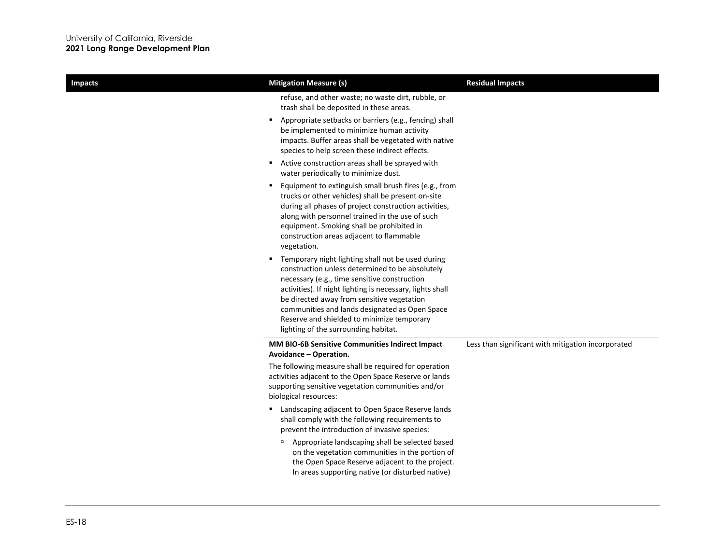| <b>Impacts</b> | <b>Mitigation Measure (s)</b>                                                                                                                                                                                                                                                                                                                                                                                                                      | <b>Residual Impacts</b>                            |
|----------------|----------------------------------------------------------------------------------------------------------------------------------------------------------------------------------------------------------------------------------------------------------------------------------------------------------------------------------------------------------------------------------------------------------------------------------------------------|----------------------------------------------------|
|                | refuse, and other waste; no waste dirt, rubble, or<br>trash shall be deposited in these areas.                                                                                                                                                                                                                                                                                                                                                     |                                                    |
|                | Appropriate setbacks or barriers (e.g., fencing) shall<br>٠<br>be implemented to minimize human activity<br>impacts. Buffer areas shall be vegetated with native<br>species to help screen these indirect effects.                                                                                                                                                                                                                                 |                                                    |
|                | Active construction areas shall be sprayed with<br>٠.<br>water periodically to minimize dust.                                                                                                                                                                                                                                                                                                                                                      |                                                    |
|                | Equipment to extinguish small brush fires (e.g., from<br>٠<br>trucks or other vehicles) shall be present on-site<br>during all phases of project construction activities,<br>along with personnel trained in the use of such<br>equipment. Smoking shall be prohibited in<br>construction areas adjacent to flammable<br>vegetation.<br>Temporary night lighting shall not be used during<br>٠.<br>construction unless determined to be absolutely |                                                    |
|                | necessary (e.g., time sensitive construction<br>activities). If night lighting is necessary, lights shall<br>be directed away from sensitive vegetation<br>communities and lands designated as Open Space<br>Reserve and shielded to minimize temporary<br>lighting of the surrounding habitat.                                                                                                                                                    |                                                    |
|                | MM BIO-6B Sensitive Communities Indirect Impact<br>Avoidance – Operation.                                                                                                                                                                                                                                                                                                                                                                          | Less than significant with mitigation incorporated |
|                | The following measure shall be required for operation<br>activities adjacent to the Open Space Reserve or lands<br>supporting sensitive vegetation communities and/or<br>biological resources:                                                                                                                                                                                                                                                     |                                                    |
|                | Landscaping adjacent to Open Space Reserve lands<br>٠.<br>shall comply with the following requirements to<br>prevent the introduction of invasive species:                                                                                                                                                                                                                                                                                         |                                                    |
|                | Appropriate landscaping shall be selected based<br>$\Box$<br>on the vegetation communities in the portion of<br>the Open Space Reserve adjacent to the project.<br>In areas supporting native (or disturbed native)                                                                                                                                                                                                                                |                                                    |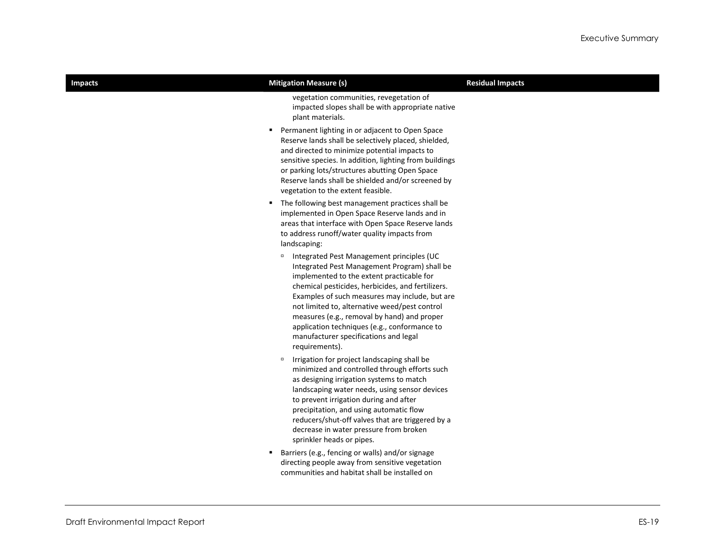| <b>Impacts</b> | <b>Mitigation Measure (s)</b>                                                                                                                                                                                                                                                                                                                                                                                                                                         | <b>Residual Impacts</b> |
|----------------|-----------------------------------------------------------------------------------------------------------------------------------------------------------------------------------------------------------------------------------------------------------------------------------------------------------------------------------------------------------------------------------------------------------------------------------------------------------------------|-------------------------|
|                | vegetation communities, revegetation of<br>impacted slopes shall be with appropriate native<br>plant materials.                                                                                                                                                                                                                                                                                                                                                       |                         |
|                | " Permanent lighting in or adjacent to Open Space<br>Reserve lands shall be selectively placed, shielded,<br>and directed to minimize potential impacts to<br>sensitive species. In addition, lighting from buildings<br>or parking lots/structures abutting Open Space<br>Reserve lands shall be shielded and/or screened by<br>vegetation to the extent feasible.                                                                                                   |                         |
|                | The following best management practices shall be<br>implemented in Open Space Reserve lands and in<br>areas that interface with Open Space Reserve lands<br>to address runoff/water quality impacts from<br>landscaping:                                                                                                                                                                                                                                              |                         |
|                | <sup>D</sup> Integrated Pest Management principles (UC<br>Integrated Pest Management Program) shall be<br>implemented to the extent practicable for<br>chemical pesticides, herbicides, and fertilizers.<br>Examples of such measures may include, but are<br>not limited to, alternative weed/pest control<br>measures (e.g., removal by hand) and proper<br>application techniques (e.g., conformance to<br>manufacturer specifications and legal<br>requirements). |                         |
|                | Irrigation for project landscaping shall be<br>$\Box$<br>minimized and controlled through efforts such<br>as designing irrigation systems to match<br>landscaping water needs, using sensor devices<br>to prevent irrigation during and after<br>precipitation, and using automatic flow<br>reducers/shut-off valves that are triggered by a<br>decrease in water pressure from broken<br>sprinkler heads or pipes.                                                   |                         |
|                | Barriers (e.g., fencing or walls) and/or signage<br>٠<br>directing people away from sensitive vegetation<br>communities and habitat shall be installed on                                                                                                                                                                                                                                                                                                             |                         |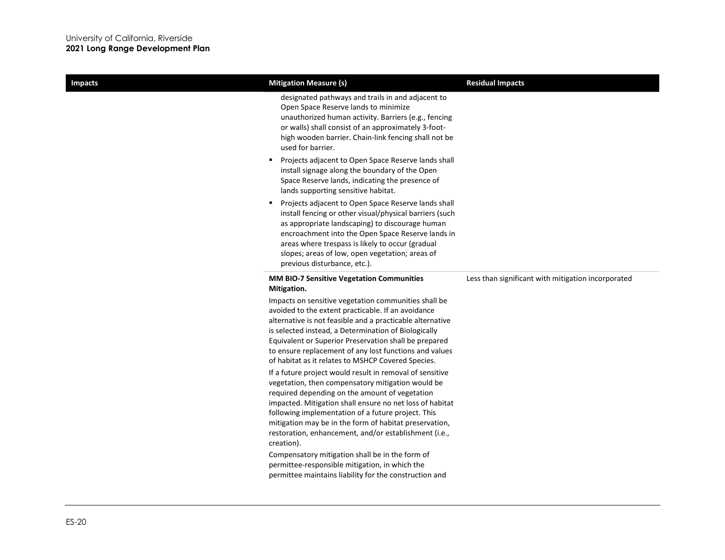×

| <b>Residual Impacts</b>                            |
|----------------------------------------------------|
|                                                    |
|                                                    |
|                                                    |
| Less than significant with mitigation incorporated |
|                                                    |
|                                                    |
|                                                    |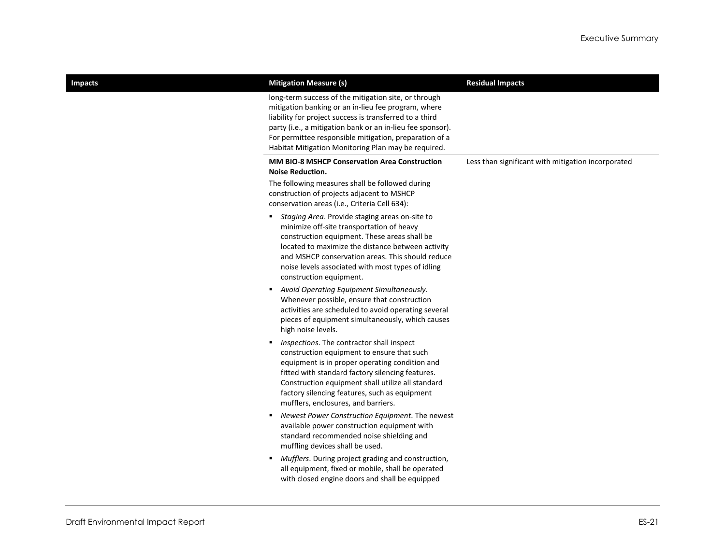| <b>Impacts</b> | <b>Mitigation Measure (s)</b>                                                                                                                                                                                                                                                                                                                                                                                                                                                                     | <b>Residual Impacts</b>                            |
|----------------|---------------------------------------------------------------------------------------------------------------------------------------------------------------------------------------------------------------------------------------------------------------------------------------------------------------------------------------------------------------------------------------------------------------------------------------------------------------------------------------------------|----------------------------------------------------|
|                | long-term success of the mitigation site, or through<br>mitigation banking or an in-lieu fee program, where<br>liability for project success is transferred to a third<br>party (i.e., a mitigation bank or an in-lieu fee sponsor).<br>For permittee responsible mitigation, preparation of a<br>Habitat Mitigation Monitoring Plan may be required.                                                                                                                                             |                                                    |
|                | <b>MM BIO-8 MSHCP Conservation Area Construction</b><br><b>Noise Reduction.</b>                                                                                                                                                                                                                                                                                                                                                                                                                   | Less than significant with mitigation incorporated |
|                | The following measures shall be followed during<br>construction of projects adjacent to MSHCP<br>conservation areas (i.e., Criteria Cell 634):                                                                                                                                                                                                                                                                                                                                                    |                                                    |
|                | Staging Area. Provide staging areas on-site to<br>٠<br>minimize off-site transportation of heavy<br>construction equipment. These areas shall be<br>located to maximize the distance between activity<br>and MSHCP conservation areas. This should reduce<br>noise levels associated with most types of idling<br>construction equipment.<br>Avoid Operating Equipment Simultaneously.<br>٠<br>Whenever possible, ensure that construction<br>activities are scheduled to avoid operating several |                                                    |
|                | pieces of equipment simultaneously, which causes<br>high noise levels.<br>Inspections. The contractor shall inspect<br>٠<br>construction equipment to ensure that such<br>equipment is in proper operating condition and<br>fitted with standard factory silencing features.<br>Construction equipment shall utilize all standard<br>factory silencing features, such as equipment<br>mufflers, enclosures, and barriers.                                                                         |                                                    |
|                | Newest Power Construction Equipment. The newest<br>٠<br>available power construction equipment with<br>standard recommended noise shielding and<br>muffling devices shall be used.<br>Mufflers. During project grading and construction,<br>٠<br>all equipment, fixed or mobile, shall be operated<br>with closed engine doors and shall be equipped                                                                                                                                              |                                                    |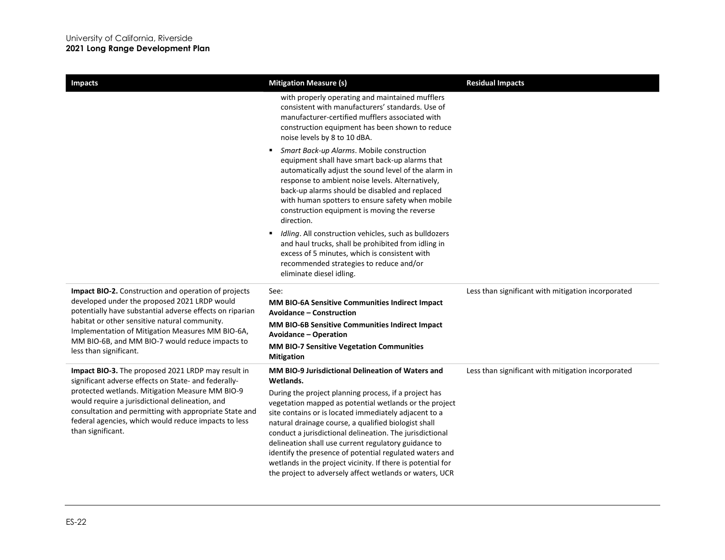| <b>Impacts</b>                                                                                                                                                                                                                                                                                                                                          | <b>Mitigation Measure (s)</b>                                                                                                                                                                                                                                                                                                                                                                                                                                                                                                             | <b>Residual Impacts</b>                            |
|---------------------------------------------------------------------------------------------------------------------------------------------------------------------------------------------------------------------------------------------------------------------------------------------------------------------------------------------------------|-------------------------------------------------------------------------------------------------------------------------------------------------------------------------------------------------------------------------------------------------------------------------------------------------------------------------------------------------------------------------------------------------------------------------------------------------------------------------------------------------------------------------------------------|----------------------------------------------------|
|                                                                                                                                                                                                                                                                                                                                                         | with properly operating and maintained mufflers<br>consistent with manufacturers' standards. Use of<br>manufacturer-certified mufflers associated with<br>construction equipment has been shown to reduce<br>noise levels by 8 to 10 dBA.                                                                                                                                                                                                                                                                                                 |                                                    |
|                                                                                                                                                                                                                                                                                                                                                         | Smart Back-up Alarms. Mobile construction<br>equipment shall have smart back-up alarms that<br>automatically adjust the sound level of the alarm in<br>response to ambient noise levels. Alternatively,<br>back-up alarms should be disabled and replaced<br>with human spotters to ensure safety when mobile<br>construction equipment is moving the reverse<br>direction.                                                                                                                                                               |                                                    |
|                                                                                                                                                                                                                                                                                                                                                         | Idling. All construction vehicles, such as bulldozers<br>and haul trucks, shall be prohibited from idling in<br>excess of 5 minutes, which is consistent with<br>recommended strategies to reduce and/or<br>eliminate diesel idling.                                                                                                                                                                                                                                                                                                      |                                                    |
| Impact BIO-2. Construction and operation of projects<br>developed under the proposed 2021 LRDP would<br>potentially have substantial adverse effects on riparian<br>habitat or other sensitive natural community.<br>Implementation of Mitigation Measures MM BIO-6A,<br>MM BIO-6B, and MM BIO-7 would reduce impacts to<br>less than significant.      | See:<br>MM BIO-6A Sensitive Communities Indirect Impact<br><b>Avoidance – Construction</b>                                                                                                                                                                                                                                                                                                                                                                                                                                                | Less than significant with mitigation incorporated |
|                                                                                                                                                                                                                                                                                                                                                         | MM BIO-6B Sensitive Communities Indirect Impact<br><b>Avoidance - Operation</b>                                                                                                                                                                                                                                                                                                                                                                                                                                                           |                                                    |
|                                                                                                                                                                                                                                                                                                                                                         | <b>MM BIO-7 Sensitive Vegetation Communities</b><br><b>Mitigation</b>                                                                                                                                                                                                                                                                                                                                                                                                                                                                     |                                                    |
| Impact BIO-3. The proposed 2021 LRDP may result in<br>significant adverse effects on State- and federally-<br>protected wetlands. Mitigation Measure MM BIO-9<br>would require a jurisdictional delineation, and<br>consultation and permitting with appropriate State and<br>federal agencies, which would reduce impacts to less<br>than significant. | MM BIO-9 Jurisdictional Delineation of Waters and<br>Wetlands.                                                                                                                                                                                                                                                                                                                                                                                                                                                                            | Less than significant with mitigation incorporated |
|                                                                                                                                                                                                                                                                                                                                                         | During the project planning process, if a project has<br>vegetation mapped as potential wetlands or the project<br>site contains or is located immediately adjacent to a<br>natural drainage course, a qualified biologist shall<br>conduct a jurisdictional delineation. The jurisdictional<br>delineation shall use current regulatory guidance to<br>identify the presence of potential regulated waters and<br>wetlands in the project vicinity. If there is potential for<br>the project to adversely affect wetlands or waters, UCR |                                                    |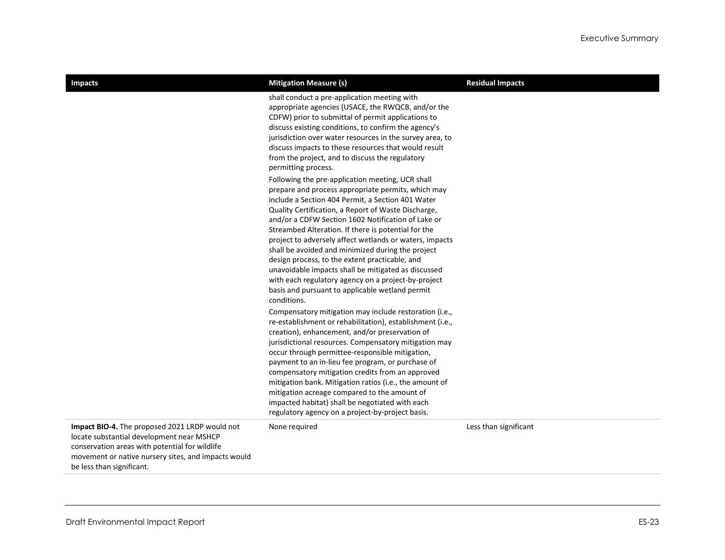| <b>Impacts</b>                                                                                                                                                                                                                    | <b>Mitigation Measure (s)</b>                                                                                                                                                                                                                                                                                                                                                                                                                                      | <b>Residual Impacts</b> |
|-----------------------------------------------------------------------------------------------------------------------------------------------------------------------------------------------------------------------------------|--------------------------------------------------------------------------------------------------------------------------------------------------------------------------------------------------------------------------------------------------------------------------------------------------------------------------------------------------------------------------------------------------------------------------------------------------------------------|-------------------------|
|                                                                                                                                                                                                                                   | shall conduct a pre-application meeting with<br>appropriate agencies (USACE, the RWQCB, and/or the<br>CDFW) prior to submittal of permit applications to<br>discuss existing conditions, to confirm the agency's<br>jurisdiction over water resources in the survey area, to<br>discuss impacts to these resources that would result<br>from the project, and to discuss the regulatory<br>permitting process.<br>Following the pre-application meeting, UCR shall |                         |
|                                                                                                                                                                                                                                   | prepare and process appropriate permits, which may<br>include a Section 404 Permit, a Section 401 Water<br>Quality Certification, a Report of Waste Discharge,<br>and/or a CDFW Section 1602 Notification of Lake or<br>Streambed Alteration. If there is potential for the<br>project to adversely affect wetlands or waters, impacts                                                                                                                             |                         |
|                                                                                                                                                                                                                                   | shall be avoided and minimized during the project<br>design process, to the extent practicable, and<br>unavoidable impacts shall be mitigated as discussed<br>with each regulatory agency on a project-by-project<br>basis and pursuant to applicable wetland permit<br>conditions.                                                                                                                                                                                |                         |
|                                                                                                                                                                                                                                   | Compensatory mitigation may include restoration (i.e.,<br>re-establishment or rehabilitation), establishment (i.e.,<br>creation), enhancement, and/or preservation of<br>jurisdictional resources. Compensatory mitigation may<br>occur through permittee-responsible mitigation,<br>payment to an in-lieu fee program, or purchase of                                                                                                                             |                         |
|                                                                                                                                                                                                                                   | compensatory mitigation credits from an approved<br>mitigation bank. Mitigation ratios (i.e., the amount of<br>mitigation acreage compared to the amount of<br>impacted habitat) shall be negotiated with each<br>regulatory agency on a project-by-project basis.                                                                                                                                                                                                 |                         |
| Impact BIO-4. The proposed 2021 LRDP would not<br>locate substantial development near MSHCP<br>conservation areas with potential for wildlife<br>movement or native nursery sites, and impacts would<br>be less than significant. | None required                                                                                                                                                                                                                                                                                                                                                                                                                                                      | Less than significant   |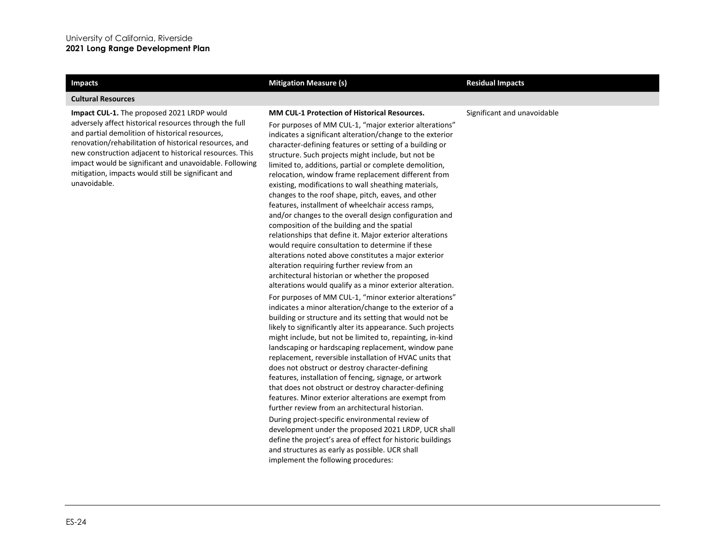### **Cultural Resources**

**Impact CUL-1.** The proposed 2021 LRDP would adversely affect historical resources through the full and partial demolition of historical resources, renovation/rehabilitation of historical resources, and new construction adjacent to historical resources. This impact would be significant and unavoidable. Following mitigation, impacts would still be significant and unavoidable.

### **Impacts Mitigation Measure (s) Mitigation Measure (s) Residual Impacts Residual Impacts**

### **MM CUL-1 Protection of Historical Resources.**

For purposes of MM CUL-1, "major exterior alterations" indicates a significant alteration/change to the exterior character-defining features or setting of a building or structure. Such projects might include, but not be limited to, additions, partial or complete demolition, relocation, window frame replacement different from existing, modifications to wall sheathing materials, changes to the roof shape, pitch, eaves, and other features, installment of wheelchair access ramps, and/or changes to the overall design configuration and composition of the building and the spatial relationships that define it. Major exterior alterations would require consultation to determine if these alterations noted above constitutes a major exterior alteration requiring further review from an architectural historian or whether the proposed alterations would qualify as a minor exterior alteration. For purposes of MM CUL-1, "minor exterior alterations" indicates a minor alteration/change to the exterior of a building or structure and its setting that would not be likely to significantly alter its appearance. Such projects might include, but not be limited to, repainting, in-kind landscaping or hardscaping replacement, window pane

replacement, reversible installation of HVAC units that does not obstruct or destroy character-defining features, installation of fencing, signage, or artwork that does not obstruct or destroy character-defining features. Minor exterior alterations are exempt from further review from an architectural historian. During project-specific environmental review of development under the proposed 2021 LRDP, UCR shall define the project's area of effect for historic buildings

and structures as early as possible. UCR shall implement the following procedures:

### Significant and unavoidable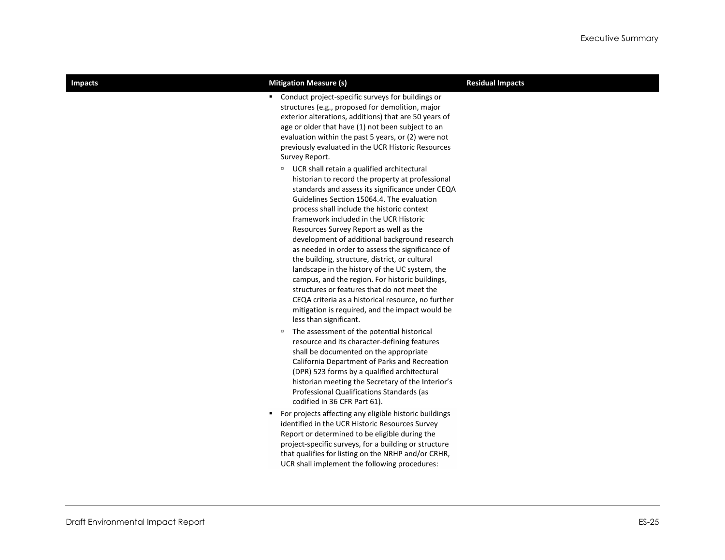| <b>Impacts</b> | <b>Mitigation Measure (s)</b>                                                                                                                                                                                                                                                                                                                                                                                                                                                                                                                                                                                                                                                                                                                                                                                                                                                                                                                                                                                                                                                                                                                         | <b>Residual Impacts</b> |
|----------------|-------------------------------------------------------------------------------------------------------------------------------------------------------------------------------------------------------------------------------------------------------------------------------------------------------------------------------------------------------------------------------------------------------------------------------------------------------------------------------------------------------------------------------------------------------------------------------------------------------------------------------------------------------------------------------------------------------------------------------------------------------------------------------------------------------------------------------------------------------------------------------------------------------------------------------------------------------------------------------------------------------------------------------------------------------------------------------------------------------------------------------------------------------|-------------------------|
|                | " Conduct project-specific surveys for buildings or<br>structures (e.g., proposed for demolition, major<br>exterior alterations, additions) that are 50 years of<br>age or older that have (1) not been subject to an<br>evaluation within the past 5 years, or (2) were not<br>previously evaluated in the UCR Historic Resources<br>Survey Report.<br><sup>D</sup> UCR shall retain a qualified architectural<br>historian to record the property at professional<br>standards and assess its significance under CEQA<br>Guidelines Section 15064.4. The evaluation<br>process shall include the historic context<br>framework included in the UCR Historic<br>Resources Survey Report as well as the<br>development of additional background research<br>as needed in order to assess the significance of<br>the building, structure, district, or cultural<br>landscape in the history of the UC system, the<br>campus, and the region. For historic buildings,<br>structures or features that do not meet the<br>CEQA criteria as a historical resource, no further<br>mitigation is required, and the impact would be<br>less than significant. |                         |
|                | The assessment of the potential historical<br>$\Box$<br>resource and its character-defining features<br>shall be documented on the appropriate<br>California Department of Parks and Recreation<br>(DPR) 523 forms by a qualified architectural<br>historian meeting the Secretary of the Interior's<br>Professional Qualifications Standards (as<br>codified in 36 CFR Part 61).                                                                                                                                                                                                                                                                                                                                                                                                                                                                                                                                                                                                                                                                                                                                                                     |                         |
|                | " For projects affecting any eligible historic buildings<br>identified in the UCR Historic Resources Survey<br>Report or determined to be eligible during the<br>project-specific surveys, for a building or structure<br>that qualifies for listing on the NRHP and/or CRHR,<br>UCR shall implement the following procedures:                                                                                                                                                                                                                                                                                                                                                                                                                                                                                                                                                                                                                                                                                                                                                                                                                        |                         |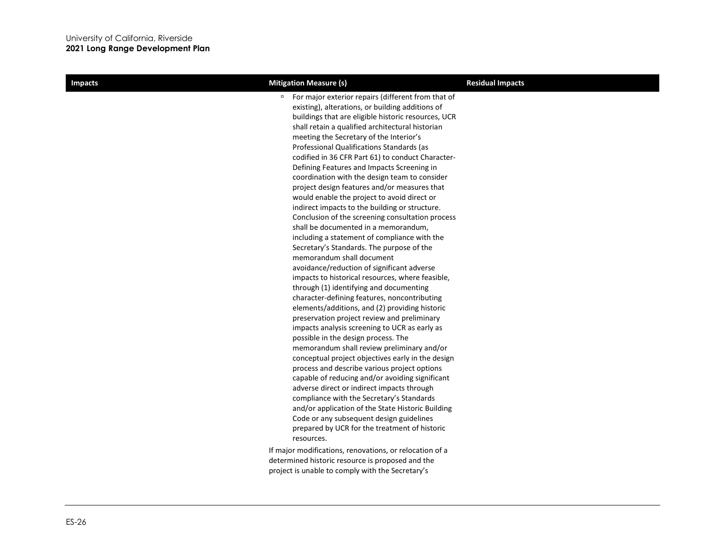| <b>Impacts</b> | <b>Mitigation Measure (s)</b>                                                                                                                                                                                                                                                                                                                                                                                                                                                                                                                                                                                                                                                                                                                                                                                                                                                                                                                                                                                                                                                                                                                                                                                                                                                                                                                                                                                                                                                                                                                                                                                                                                                                         | <b>Residual Impacts</b> |
|----------------|-------------------------------------------------------------------------------------------------------------------------------------------------------------------------------------------------------------------------------------------------------------------------------------------------------------------------------------------------------------------------------------------------------------------------------------------------------------------------------------------------------------------------------------------------------------------------------------------------------------------------------------------------------------------------------------------------------------------------------------------------------------------------------------------------------------------------------------------------------------------------------------------------------------------------------------------------------------------------------------------------------------------------------------------------------------------------------------------------------------------------------------------------------------------------------------------------------------------------------------------------------------------------------------------------------------------------------------------------------------------------------------------------------------------------------------------------------------------------------------------------------------------------------------------------------------------------------------------------------------------------------------------------------------------------------------------------------|-------------------------|
|                | For major exterior repairs (different from that of<br>$\Box$<br>existing), alterations, or building additions of<br>buildings that are eligible historic resources, UCR<br>shall retain a qualified architectural historian<br>meeting the Secretary of the Interior's<br>Professional Qualifications Standards (as<br>codified in 36 CFR Part 61) to conduct Character-<br>Defining Features and Impacts Screening in<br>coordination with the design team to consider<br>project design features and/or measures that<br>would enable the project to avoid direct or<br>indirect impacts to the building or structure.<br>Conclusion of the screening consultation process<br>shall be documented in a memorandum,<br>including a statement of compliance with the<br>Secretary's Standards. The purpose of the<br>memorandum shall document<br>avoidance/reduction of significant adverse<br>impacts to historical resources, where feasible,<br>through (1) identifying and documenting<br>character-defining features, noncontributing<br>elements/additions, and (2) providing historic<br>preservation project review and preliminary<br>impacts analysis screening to UCR as early as<br>possible in the design process. The<br>memorandum shall review preliminary and/or<br>conceptual project objectives early in the design<br>process and describe various project options<br>capable of reducing and/or avoiding significant<br>adverse direct or indirect impacts through<br>compliance with the Secretary's Standards<br>and/or application of the State Historic Building<br>Code or any subsequent design guidelines<br>prepared by UCR for the treatment of historic<br>resources. |                         |
|                | If major modifications, renovations, or relocation of a<br>determined historic resource is proposed and the<br>project is unable to comply with the Secretary's                                                                                                                                                                                                                                                                                                                                                                                                                                                                                                                                                                                                                                                                                                                                                                                                                                                                                                                                                                                                                                                                                                                                                                                                                                                                                                                                                                                                                                                                                                                                       |                         |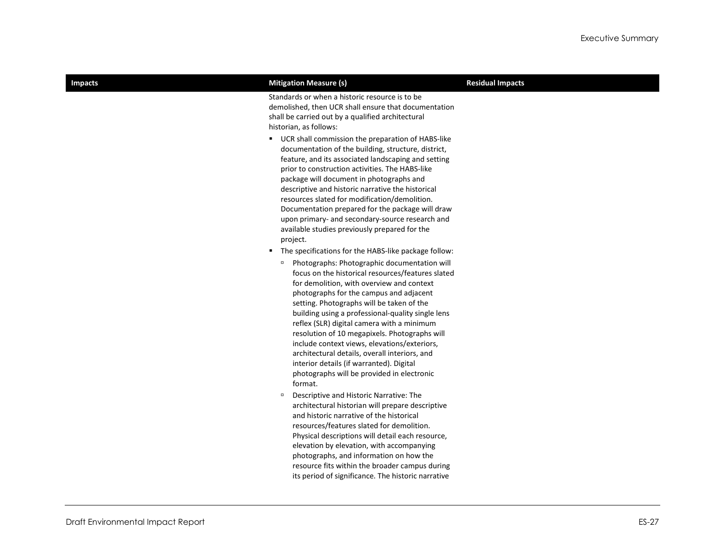| <b>Impacts</b> | <b>Mitigation Measure (s)</b>                                                                                                                                                                                                                                                                                                                                                                                                                                                                                                                                                                                                                                                                                                                                                    | <b>Residual Impacts</b> |
|----------------|----------------------------------------------------------------------------------------------------------------------------------------------------------------------------------------------------------------------------------------------------------------------------------------------------------------------------------------------------------------------------------------------------------------------------------------------------------------------------------------------------------------------------------------------------------------------------------------------------------------------------------------------------------------------------------------------------------------------------------------------------------------------------------|-------------------------|
|                | Standards or when a historic resource is to be<br>demolished, then UCR shall ensure that documentation<br>shall be carried out by a qualified architectural<br>historian, as follows:                                                                                                                                                                                                                                                                                                                                                                                                                                                                                                                                                                                            |                         |
|                | ■ UCR shall commission the preparation of HABS-like<br>documentation of the building, structure, district,<br>feature, and its associated landscaping and setting<br>prior to construction activities. The HABS-like<br>package will document in photographs and<br>descriptive and historic narrative the historical<br>resources slated for modification/demolition.<br>Documentation prepared for the package will draw<br>upon primary- and secondary-source research and<br>available studies previously prepared for the<br>project.                                                                                                                                                                                                                                       |                         |
|                | • The specifications for the HABS-like package follow:<br><sup>□</sup> Photographs: Photographic documentation will<br>focus on the historical resources/features slated<br>for demolition, with overview and context<br>photographs for the campus and adjacent<br>setting. Photographs will be taken of the<br>building using a professional-quality single lens<br>reflex (SLR) digital camera with a minimum<br>resolution of 10 megapixels. Photographs will<br>include context views, elevations/exteriors,<br>architectural details, overall interiors, and<br>interior details (if warranted). Digital<br>photographs will be provided in electronic<br>format.<br>$\Box$<br>Descriptive and Historic Narrative: The<br>architectural historian will prepare descriptive |                         |
|                | and historic narrative of the historical<br>resources/features slated for demolition.<br>Physical descriptions will detail each resource,<br>elevation by elevation, with accompanying<br>photographs, and information on how the<br>resource fits within the broader campus during<br>its period of significance. The historic narrative                                                                                                                                                                                                                                                                                                                                                                                                                                        |                         |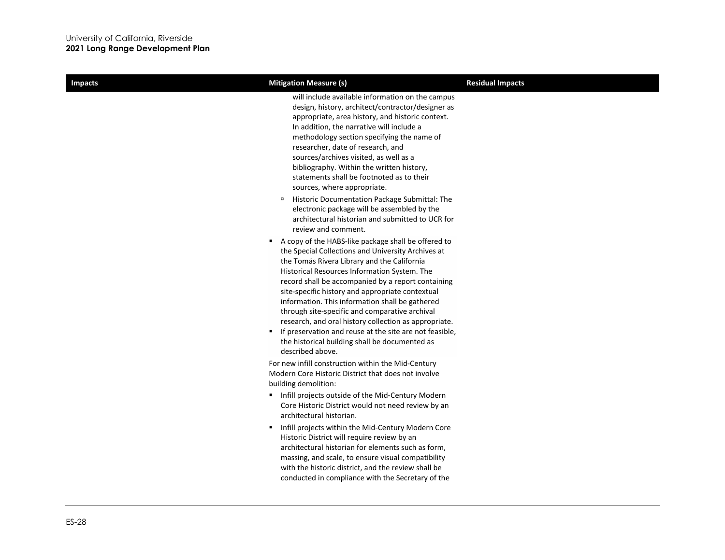| <b>Impacts</b> | <b>Mitigation Measure (s)</b>                                                                                                                                                                                                                                                                                                                                                                                                                                                                                                                                                                                       | <b>Residual Impacts</b> |
|----------------|---------------------------------------------------------------------------------------------------------------------------------------------------------------------------------------------------------------------------------------------------------------------------------------------------------------------------------------------------------------------------------------------------------------------------------------------------------------------------------------------------------------------------------------------------------------------------------------------------------------------|-------------------------|
|                | will include available information on the campus<br>design, history, architect/contractor/designer as<br>appropriate, area history, and historic context.<br>In addition, the narrative will include a<br>methodology section specifying the name of<br>researcher, date of research, and<br>sources/archives visited, as well as a<br>bibliography. Within the written history,<br>statements shall be footnoted as to their<br>sources, where appropriate.                                                                                                                                                        |                         |
|                | Historic Documentation Package Submittal: The<br>$\Box$<br>electronic package will be assembled by the<br>architectural historian and submitted to UCR for<br>review and comment.                                                                                                                                                                                                                                                                                                                                                                                                                                   |                         |
|                | A copy of the HABS-like package shall be offered to<br>the Special Collections and University Archives at<br>the Tomás Rivera Library and the California<br>Historical Resources Information System. The<br>record shall be accompanied by a report containing<br>site-specific history and appropriate contextual<br>information. This information shall be gathered<br>through site-specific and comparative archival<br>research, and oral history collection as appropriate.<br>" If preservation and reuse at the site are not feasible,<br>the historical building shall be documented as<br>described above. |                         |
|                | For new infill construction within the Mid-Century<br>Modern Core Historic District that does not involve<br>building demolition:                                                                                                                                                                                                                                                                                                                                                                                                                                                                                   |                         |
|                | Infill projects outside of the Mid-Century Modern<br>Core Historic District would not need review by an<br>architectural historian.                                                                                                                                                                                                                                                                                                                                                                                                                                                                                 |                         |
|                | Infill projects within the Mid-Century Modern Core<br>٠.<br>Historic District will require review by an<br>architectural historian for elements such as form,<br>massing, and scale, to ensure visual compatibility<br>with the historic district, and the review shall be<br>conducted in compliance with the Secretary of the                                                                                                                                                                                                                                                                                     |                         |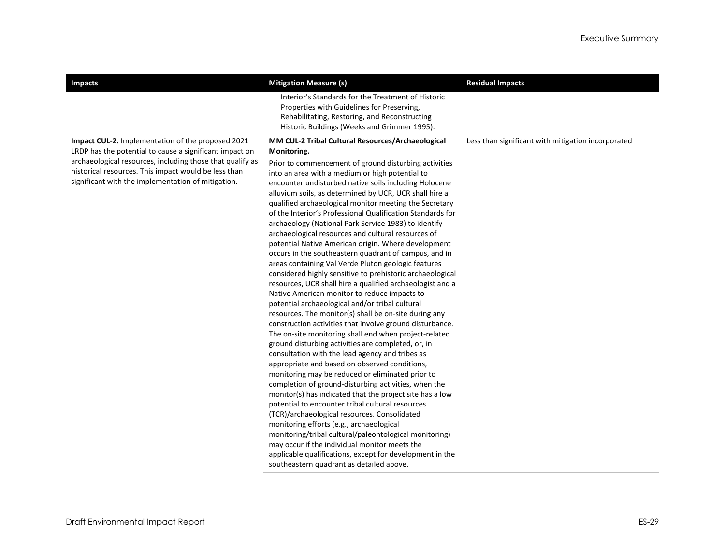| <b>Impacts</b>                                                                                                                                                                                                                                                                                 | <b>Mitigation Measure (s)</b>                                                                                                                                                                                                                                                                                                                                                                                                                                                                                                                                                                                                                                                                                                                                                                                                                                                                                                                                                                                                                                                                                                                                                                                                                                                                                                                                                                                                                                                                                                                                                                                                                                                                                                                                                                                                | <b>Residual Impacts</b>                            |
|------------------------------------------------------------------------------------------------------------------------------------------------------------------------------------------------------------------------------------------------------------------------------------------------|------------------------------------------------------------------------------------------------------------------------------------------------------------------------------------------------------------------------------------------------------------------------------------------------------------------------------------------------------------------------------------------------------------------------------------------------------------------------------------------------------------------------------------------------------------------------------------------------------------------------------------------------------------------------------------------------------------------------------------------------------------------------------------------------------------------------------------------------------------------------------------------------------------------------------------------------------------------------------------------------------------------------------------------------------------------------------------------------------------------------------------------------------------------------------------------------------------------------------------------------------------------------------------------------------------------------------------------------------------------------------------------------------------------------------------------------------------------------------------------------------------------------------------------------------------------------------------------------------------------------------------------------------------------------------------------------------------------------------------------------------------------------------------------------------------------------------|----------------------------------------------------|
|                                                                                                                                                                                                                                                                                                | Interior's Standards for the Treatment of Historic<br>Properties with Guidelines for Preserving,<br>Rehabilitating, Restoring, and Reconstructing<br>Historic Buildings (Weeks and Grimmer 1995).                                                                                                                                                                                                                                                                                                                                                                                                                                                                                                                                                                                                                                                                                                                                                                                                                                                                                                                                                                                                                                                                                                                                                                                                                                                                                                                                                                                                                                                                                                                                                                                                                            |                                                    |
| <b>Impact CUL-2.</b> Implementation of the proposed 2021<br>LRDP has the potential to cause a significant impact on<br>archaeological resources, including those that qualify as<br>historical resources. This impact would be less than<br>significant with the implementation of mitigation. | MM CUL-2 Tribal Cultural Resources/Archaeological<br>Monitoring.<br>Prior to commencement of ground disturbing activities<br>into an area with a medium or high potential to<br>encounter undisturbed native soils including Holocene<br>alluvium soils, as determined by UCR, UCR shall hire a<br>qualified archaeological monitor meeting the Secretary<br>of the Interior's Professional Qualification Standards for<br>archaeology (National Park Service 1983) to identify<br>archaeological resources and cultural resources of<br>potential Native American origin. Where development<br>occurs in the southeastern quadrant of campus, and in<br>areas containing Val Verde Pluton geologic features<br>considered highly sensitive to prehistoric archaeological<br>resources, UCR shall hire a qualified archaeologist and a<br>Native American monitor to reduce impacts to<br>potential archaeological and/or tribal cultural<br>resources. The monitor(s) shall be on-site during any<br>construction activities that involve ground disturbance.<br>The on-site monitoring shall end when project-related<br>ground disturbing activities are completed, or, in<br>consultation with the lead agency and tribes as<br>appropriate and based on observed conditions,<br>monitoring may be reduced or eliminated prior to<br>completion of ground-disturbing activities, when the<br>monitor(s) has indicated that the project site has a low<br>potential to encounter tribal cultural resources<br>(TCR)/archaeological resources. Consolidated<br>monitoring efforts (e.g., archaeological<br>monitoring/tribal cultural/paleontological monitoring)<br>may occur if the individual monitor meets the<br>applicable qualifications, except for development in the<br>southeastern quadrant as detailed above. | Less than significant with mitigation incorporated |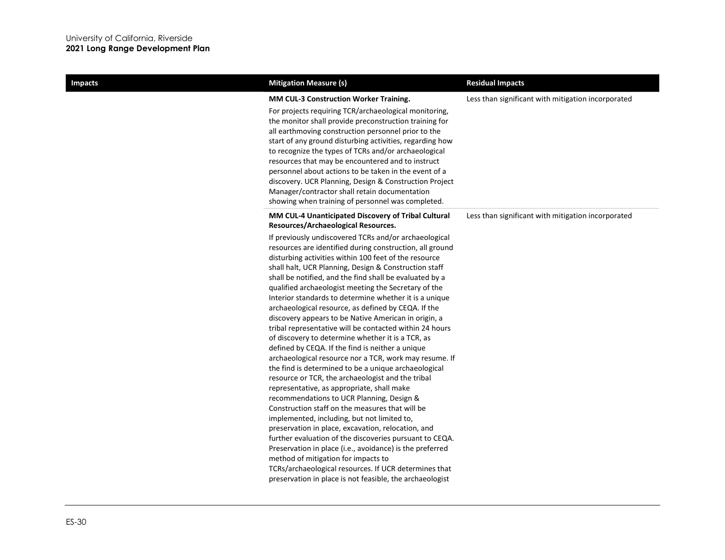| <b>Impacts</b> | <b>Mitigation Measure (s)</b>                                                                                                                                                                                                                                                                                                                                                                                                                                                                                                                                                                                                                                                                                                                                                                                                                                                                                                                                                                                                                                                                                                                                                                                                                                                                                                                                                                                    | <b>Residual Impacts</b>                            |
|----------------|------------------------------------------------------------------------------------------------------------------------------------------------------------------------------------------------------------------------------------------------------------------------------------------------------------------------------------------------------------------------------------------------------------------------------------------------------------------------------------------------------------------------------------------------------------------------------------------------------------------------------------------------------------------------------------------------------------------------------------------------------------------------------------------------------------------------------------------------------------------------------------------------------------------------------------------------------------------------------------------------------------------------------------------------------------------------------------------------------------------------------------------------------------------------------------------------------------------------------------------------------------------------------------------------------------------------------------------------------------------------------------------------------------------|----------------------------------------------------|
|                | MM CUL-3 Construction Worker Training.<br>For projects requiring TCR/archaeological monitoring,<br>the monitor shall provide preconstruction training for<br>all earthmoving construction personnel prior to the<br>start of any ground disturbing activities, regarding how<br>to recognize the types of TCRs and/or archaeological<br>resources that may be encountered and to instruct<br>personnel about actions to be taken in the event of a<br>discovery. UCR Planning, Design & Construction Project<br>Manager/contractor shall retain documentation<br>showing when training of personnel was completed.                                                                                                                                                                                                                                                                                                                                                                                                                                                                                                                                                                                                                                                                                                                                                                                               | Less than significant with mitigation incorporated |
|                | MM CUL-4 Unanticipated Discovery of Tribal Cultural<br>Resources/Archaeological Resources.                                                                                                                                                                                                                                                                                                                                                                                                                                                                                                                                                                                                                                                                                                                                                                                                                                                                                                                                                                                                                                                                                                                                                                                                                                                                                                                       | Less than significant with mitigation incorporated |
|                | If previously undiscovered TCRs and/or archaeological<br>resources are identified during construction, all ground<br>disturbing activities within 100 feet of the resource<br>shall halt, UCR Planning, Design & Construction staff<br>shall be notified, and the find shall be evaluated by a<br>qualified archaeologist meeting the Secretary of the<br>Interior standards to determine whether it is a unique<br>archaeological resource, as defined by CEQA. If the<br>discovery appears to be Native American in origin, a<br>tribal representative will be contacted within 24 hours<br>of discovery to determine whether it is a TCR, as<br>defined by CEQA. If the find is neither a unique<br>archaeological resource nor a TCR, work may resume. If<br>the find is determined to be a unique archaeological<br>resource or TCR, the archaeologist and the tribal<br>representative, as appropriate, shall make<br>recommendations to UCR Planning, Design &<br>Construction staff on the measures that will be<br>implemented, including, but not limited to,<br>preservation in place, excavation, relocation, and<br>further evaluation of the discoveries pursuant to CEQA.<br>Preservation in place (i.e., avoidance) is the preferred<br>method of mitigation for impacts to<br>TCRs/archaeological resources. If UCR determines that<br>preservation in place is not feasible, the archaeologist |                                                    |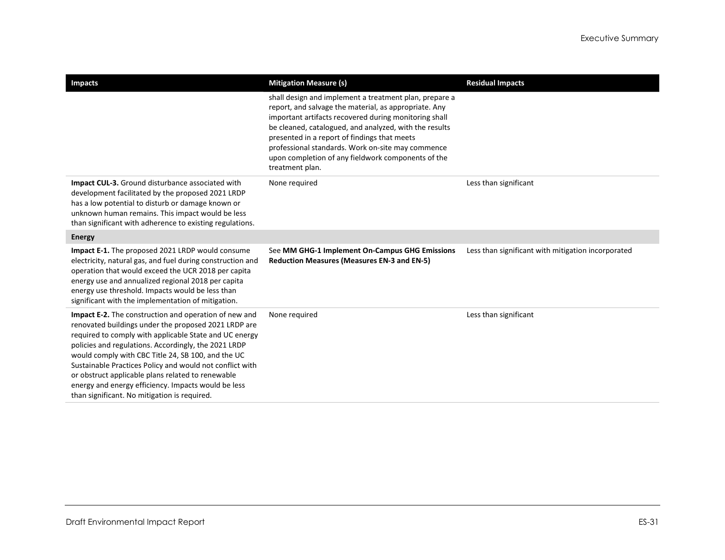| <b>Impacts</b>                                                                                                                                                                                                                                                                                                                                                                                                                                                                                                       | <b>Mitigation Measure (s)</b>                                                                                                                                                                                                                                                                                                                                                                                    | <b>Residual Impacts</b>                            |
|----------------------------------------------------------------------------------------------------------------------------------------------------------------------------------------------------------------------------------------------------------------------------------------------------------------------------------------------------------------------------------------------------------------------------------------------------------------------------------------------------------------------|------------------------------------------------------------------------------------------------------------------------------------------------------------------------------------------------------------------------------------------------------------------------------------------------------------------------------------------------------------------------------------------------------------------|----------------------------------------------------|
|                                                                                                                                                                                                                                                                                                                                                                                                                                                                                                                      | shall design and implement a treatment plan, prepare a<br>report, and salvage the material, as appropriate. Any<br>important artifacts recovered during monitoring shall<br>be cleaned, catalogued, and analyzed, with the results<br>presented in a report of findings that meets<br>professional standards. Work on-site may commence<br>upon completion of any fieldwork components of the<br>treatment plan. |                                                    |
| Impact CUL-3. Ground disturbance associated with<br>development facilitated by the proposed 2021 LRDP<br>has a low potential to disturb or damage known or<br>unknown human remains. This impact would be less<br>than significant with adherence to existing regulations.                                                                                                                                                                                                                                           | None required                                                                                                                                                                                                                                                                                                                                                                                                    | Less than significant                              |
| <b>Energy</b>                                                                                                                                                                                                                                                                                                                                                                                                                                                                                                        |                                                                                                                                                                                                                                                                                                                                                                                                                  |                                                    |
| Impact E-1. The proposed 2021 LRDP would consume<br>electricity, natural gas, and fuel during construction and<br>operation that would exceed the UCR 2018 per capita<br>energy use and annualized regional 2018 per capita<br>energy use threshold. Impacts would be less than<br>significant with the implementation of mitigation.                                                                                                                                                                                | See MM GHG-1 Implement On-Campus GHG Emissions<br><b>Reduction Measures (Measures EN-3 and EN-5)</b>                                                                                                                                                                                                                                                                                                             | Less than significant with mitigation incorporated |
| <b>Impact E-2.</b> The construction and operation of new and<br>renovated buildings under the proposed 2021 LRDP are<br>required to comply with applicable State and UC energy<br>policies and regulations. Accordingly, the 2021 LRDP<br>would comply with CBC Title 24, SB 100, and the UC<br>Sustainable Practices Policy and would not conflict with<br>or obstruct applicable plans related to renewable<br>energy and energy efficiency. Impacts would be less<br>than significant. No mitigation is required. | None required                                                                                                                                                                                                                                                                                                                                                                                                    | Less than significant                              |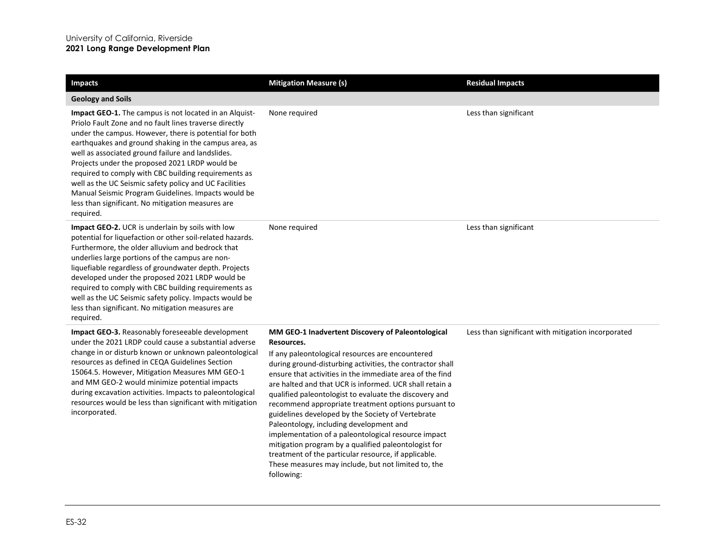| <b>Impacts</b>                                                                                                                                                                                                                                                                                                                                                                                                                                                                                                                                                                        | <b>Mitigation Measure (s)</b>                                                                                                                                                                                                                                                                                                                                                                                                                                                                                                                                                                                                                                                                                                                                        | <b>Residual Impacts</b>                            |
|---------------------------------------------------------------------------------------------------------------------------------------------------------------------------------------------------------------------------------------------------------------------------------------------------------------------------------------------------------------------------------------------------------------------------------------------------------------------------------------------------------------------------------------------------------------------------------------|----------------------------------------------------------------------------------------------------------------------------------------------------------------------------------------------------------------------------------------------------------------------------------------------------------------------------------------------------------------------------------------------------------------------------------------------------------------------------------------------------------------------------------------------------------------------------------------------------------------------------------------------------------------------------------------------------------------------------------------------------------------------|----------------------------------------------------|
| <b>Geology and Soils</b>                                                                                                                                                                                                                                                                                                                                                                                                                                                                                                                                                              |                                                                                                                                                                                                                                                                                                                                                                                                                                                                                                                                                                                                                                                                                                                                                                      |                                                    |
| Impact GEO-1. The campus is not located in an Alquist-<br>Priolo Fault Zone and no fault lines traverse directly<br>under the campus. However, there is potential for both<br>earthquakes and ground shaking in the campus area, as<br>well as associated ground failure and landslides.<br>Projects under the proposed 2021 LRDP would be<br>required to comply with CBC building requirements as<br>well as the UC Seismic safety policy and UC Facilities<br>Manual Seismic Program Guidelines. Impacts would be<br>less than significant. No mitigation measures are<br>required. | None required                                                                                                                                                                                                                                                                                                                                                                                                                                                                                                                                                                                                                                                                                                                                                        | Less than significant                              |
| Impact GEO-2. UCR is underlain by soils with low<br>potential for liquefaction or other soil-related hazards.<br>Furthermore, the older alluvium and bedrock that<br>underlies large portions of the campus are non-<br>liquefiable regardless of groundwater depth. Projects<br>developed under the proposed 2021 LRDP would be<br>required to comply with CBC building requirements as<br>well as the UC Seismic safety policy. Impacts would be<br>less than significant. No mitigation measures are<br>required.                                                                  | None required                                                                                                                                                                                                                                                                                                                                                                                                                                                                                                                                                                                                                                                                                                                                                        | Less than significant                              |
| Impact GEO-3. Reasonably foreseeable development<br>under the 2021 LRDP could cause a substantial adverse<br>change in or disturb known or unknown paleontological<br>resources as defined in CEQA Guidelines Section<br>15064.5. However, Mitigation Measures MM GEO-1<br>and MM GEO-2 would minimize potential impacts<br>during excavation activities. Impacts to paleontological<br>resources would be less than significant with mitigation<br>incorporated.                                                                                                                     | MM GEO-1 Inadvertent Discovery of Paleontological<br>Resources.<br>If any paleontological resources are encountered<br>during ground-disturbing activities, the contractor shall<br>ensure that activities in the immediate area of the find<br>are halted and that UCR is informed. UCR shall retain a<br>qualified paleontologist to evaluate the discovery and<br>recommend appropriate treatment options pursuant to<br>guidelines developed by the Society of Vertebrate<br>Paleontology, including development and<br>implementation of a paleontological resource impact<br>mitigation program by a qualified paleontologist for<br>treatment of the particular resource, if applicable.<br>These measures may include, but not limited to, the<br>following: | Less than significant with mitigation incorporated |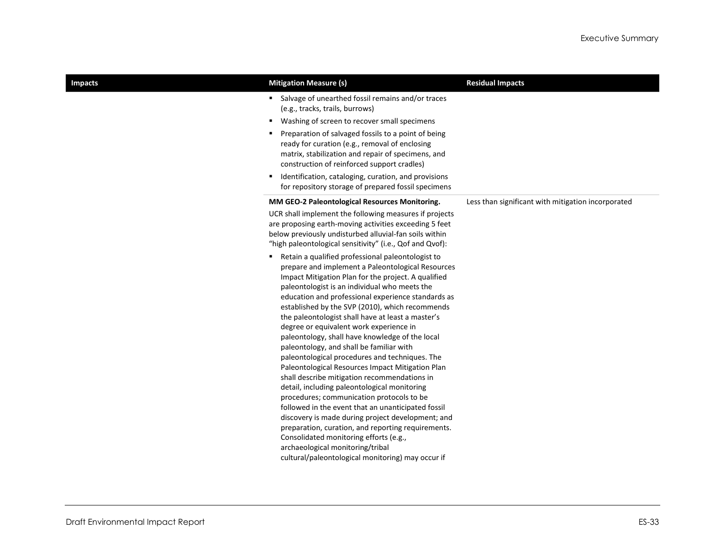| <b>Impacts</b> | <b>Mitigation Measure (s)</b>                                                                                                                                                                                                                                                                                                                                                                                                                                                                                                                                                                                                                                                                                                                                                                                                                                                                                                                                                                                                                                                      | <b>Residual Impacts</b>                            |
|----------------|------------------------------------------------------------------------------------------------------------------------------------------------------------------------------------------------------------------------------------------------------------------------------------------------------------------------------------------------------------------------------------------------------------------------------------------------------------------------------------------------------------------------------------------------------------------------------------------------------------------------------------------------------------------------------------------------------------------------------------------------------------------------------------------------------------------------------------------------------------------------------------------------------------------------------------------------------------------------------------------------------------------------------------------------------------------------------------|----------------------------------------------------|
|                | Salvage of unearthed fossil remains and/or traces<br>٠<br>(e.g., tracks, trails, burrows)<br>Washing of screen to recover small specimens<br>٠<br>Preparation of salvaged fossils to a point of being<br>٠<br>ready for curation (e.g., removal of enclosing<br>matrix, stabilization and repair of specimens, and<br>construction of reinforced support cradles)<br>Identification, cataloging, curation, and provisions<br>٠<br>for repository storage of prepared fossil specimens                                                                                                                                                                                                                                                                                                                                                                                                                                                                                                                                                                                              |                                                    |
|                | MM GEO-2 Paleontological Resources Monitoring.<br>UCR shall implement the following measures if projects<br>are proposing earth-moving activities exceeding 5 feet<br>below previously undisturbed alluvial-fan soils within<br>"high paleontological sensitivity" (i.e., Qof and Qvof):                                                                                                                                                                                                                                                                                                                                                                                                                                                                                                                                                                                                                                                                                                                                                                                           | Less than significant with mitigation incorporated |
|                | Retain a qualified professional paleontologist to<br>٠<br>prepare and implement a Paleontological Resources<br>Impact Mitigation Plan for the project. A qualified<br>paleontologist is an individual who meets the<br>education and professional experience standards as<br>established by the SVP (2010), which recommends<br>the paleontologist shall have at least a master's<br>degree or equivalent work experience in<br>paleontology, shall have knowledge of the local<br>paleontology, and shall be familiar with<br>paleontological procedures and techniques. The<br>Paleontological Resources Impact Mitigation Plan<br>shall describe mitigation recommendations in<br>detail, including paleontological monitoring<br>procedures; communication protocols to be<br>followed in the event that an unanticipated fossil<br>discovery is made during project development; and<br>preparation, curation, and reporting requirements.<br>Consolidated monitoring efforts (e.g.,<br>archaeological monitoring/tribal<br>cultural/paleontological monitoring) may occur if |                                                    |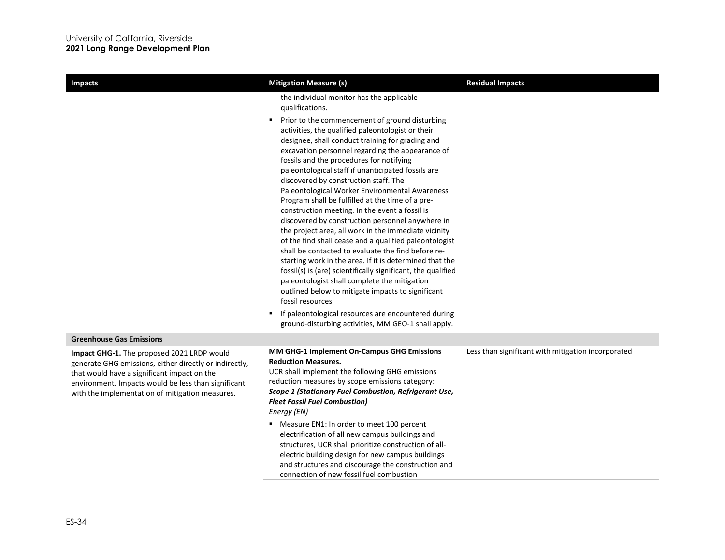| <b>Impacts</b>                                                                                                                                                                                                                                                | <b>Mitigation Measure (s)</b>                                                                                                                                                                                                                                                                                                                                                                                                                                                                                                                                                                                                                                                                                                                                                                                                                                                                                                                                                                       | <b>Residual Impacts</b>                            |
|---------------------------------------------------------------------------------------------------------------------------------------------------------------------------------------------------------------------------------------------------------------|-----------------------------------------------------------------------------------------------------------------------------------------------------------------------------------------------------------------------------------------------------------------------------------------------------------------------------------------------------------------------------------------------------------------------------------------------------------------------------------------------------------------------------------------------------------------------------------------------------------------------------------------------------------------------------------------------------------------------------------------------------------------------------------------------------------------------------------------------------------------------------------------------------------------------------------------------------------------------------------------------------|----------------------------------------------------|
|                                                                                                                                                                                                                                                               | the individual monitor has the applicable<br>qualifications.                                                                                                                                                                                                                                                                                                                                                                                                                                                                                                                                                                                                                                                                                                                                                                                                                                                                                                                                        |                                                    |
|                                                                                                                                                                                                                                                               | Prior to the commencement of ground disturbing<br>٠<br>activities, the qualified paleontologist or their<br>designee, shall conduct training for grading and<br>excavation personnel regarding the appearance of<br>fossils and the procedures for notifying<br>paleontological staff if unanticipated fossils are<br>discovered by construction staff. The<br>Paleontological Worker Environmental Awareness<br>Program shall be fulfilled at the time of a pre-<br>construction meeting. In the event a fossil is<br>discovered by construction personnel anywhere in<br>the project area, all work in the immediate vicinity<br>of the find shall cease and a qualified paleontologist<br>shall be contacted to evaluate the find before re-<br>starting work in the area. If it is determined that the<br>fossil(s) is (are) scientifically significant, the qualified<br>paleontologist shall complete the mitigation<br>outlined below to mitigate impacts to significant<br>fossil resources |                                                    |
|                                                                                                                                                                                                                                                               | If paleontological resources are encountered during<br>ground-disturbing activities, MM GEO-1 shall apply.                                                                                                                                                                                                                                                                                                                                                                                                                                                                                                                                                                                                                                                                                                                                                                                                                                                                                          |                                                    |
| <b>Greenhouse Gas Emissions</b>                                                                                                                                                                                                                               |                                                                                                                                                                                                                                                                                                                                                                                                                                                                                                                                                                                                                                                                                                                                                                                                                                                                                                                                                                                                     |                                                    |
| Impact GHG-1. The proposed 2021 LRDP would<br>generate GHG emissions, either directly or indirectly,<br>that would have a significant impact on the<br>environment. Impacts would be less than significant<br>with the implementation of mitigation measures. | MM GHG-1 Implement On-Campus GHG Emissions<br><b>Reduction Measures.</b><br>UCR shall implement the following GHG emissions<br>reduction measures by scope emissions category:<br>Scope 1 (Stationary Fuel Combustion, Refrigerant Use,<br><b>Fleet Fossil Fuel Combustion)</b><br>Energy (EN)<br>• Measure EN1: In order to meet 100 percent<br>electrification of all new campus buildings and<br>structures, UCR shall prioritize construction of all-<br>electric building design for new campus buildings                                                                                                                                                                                                                                                                                                                                                                                                                                                                                      | Less than significant with mitigation incorporated |
|                                                                                                                                                                                                                                                               | and structures and discourage the construction and<br>connection of new fossil fuel combustion                                                                                                                                                                                                                                                                                                                                                                                                                                                                                                                                                                                                                                                                                                                                                                                                                                                                                                      |                                                    |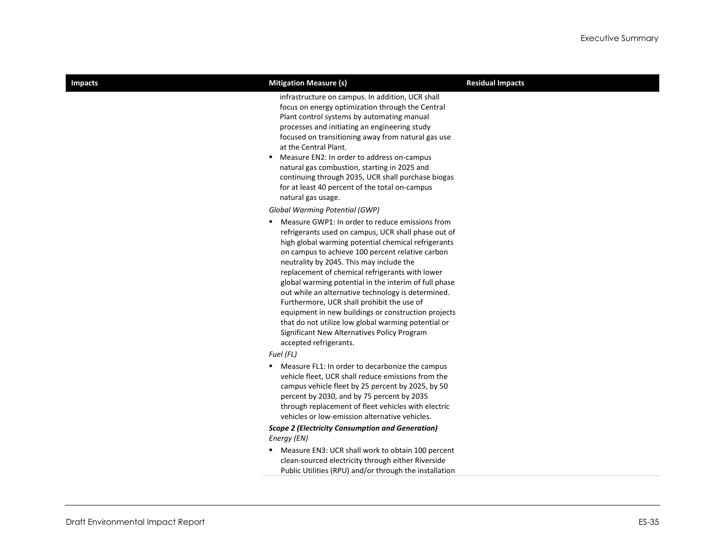| <b>Impacts</b> | <b>Mitigation Measure (s)</b>                                                                                                                                                                                                                                                                                                                                                                                                                                                                                                                                                                                                                                          | <b>Residual Impacts</b> |
|----------------|------------------------------------------------------------------------------------------------------------------------------------------------------------------------------------------------------------------------------------------------------------------------------------------------------------------------------------------------------------------------------------------------------------------------------------------------------------------------------------------------------------------------------------------------------------------------------------------------------------------------------------------------------------------------|-------------------------|
|                | infrastructure on campus. In addition, UCR shall<br>focus on energy optimization through the Central<br>Plant control systems by automating manual<br>processes and initiating an engineering study<br>focused on transitioning away from natural gas use<br>at the Central Plant.<br>Measure EN2: In order to address on-campus<br>natural gas combustion, starting in 2025 and<br>continuing through 2035, UCR shall purchase biogas<br>for at least 40 percent of the total on-campus<br>natural gas usage.                                                                                                                                                         |                         |
|                | Global Warming Potential (GWP)                                                                                                                                                                                                                                                                                                                                                                                                                                                                                                                                                                                                                                         |                         |
|                | ■ Measure GWP1: In order to reduce emissions from<br>refrigerants used on campus, UCR shall phase out of<br>high global warming potential chemical refrigerants<br>on campus to achieve 100 percent relative carbon<br>neutrality by 2045. This may include the<br>replacement of chemical refrigerants with lower<br>global warming potential in the interim of full phase<br>out while an alternative technology is determined.<br>Furthermore, UCR shall prohibit the use of<br>equipment in new buildings or construction projects<br>that do not utilize low global warming potential or<br>Significant New Alternatives Policy Program<br>accepted refrigerants. |                         |
|                | Fuel (FL)                                                                                                                                                                                                                                                                                                                                                                                                                                                                                                                                                                                                                                                              |                         |
|                | " Measure FL1: In order to decarbonize the campus<br>vehicle fleet, UCR shall reduce emissions from the<br>campus vehicle fleet by 25 percent by 2025, by 50<br>percent by 2030, and by 75 percent by 2035<br>through replacement of fleet vehicles with electric<br>vehicles or low-emission alternative vehicles.                                                                                                                                                                                                                                                                                                                                                    |                         |
|                | <b>Scope 2 (Electricity Consumption and Generation)</b><br>Energy (EN)                                                                                                                                                                                                                                                                                                                                                                                                                                                                                                                                                                                                 |                         |
|                | " Measure EN3: UCR shall work to obtain 100 percent                                                                                                                                                                                                                                                                                                                                                                                                                                                                                                                                                                                                                    |                         |
|                | clean-sourced electricity through either Riverside                                                                                                                                                                                                                                                                                                                                                                                                                                                                                                                                                                                                                     |                         |
|                | Public Utilities (RPU) and/or through the installation                                                                                                                                                                                                                                                                                                                                                                                                                                                                                                                                                                                                                 |                         |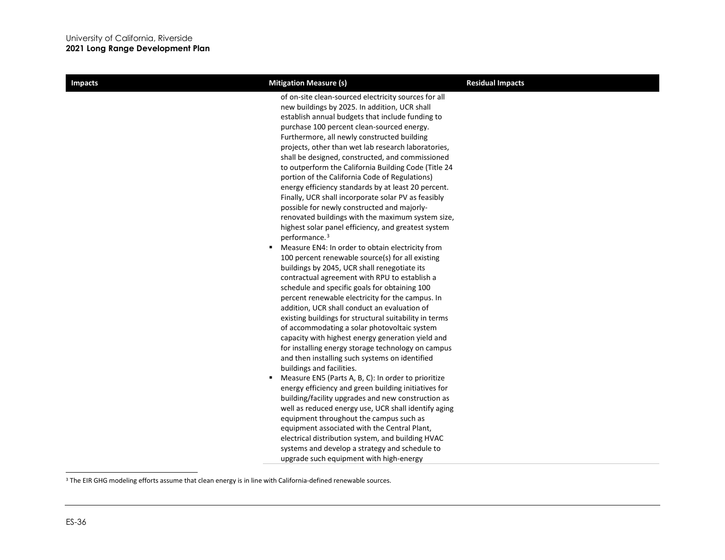<span id="page-35-0"></span>

| <b>Impacts</b> | <b>Mitigation Measure (s)</b>                                                                                                                                                                                                                                                                                                                                                                                                                                                                                                                                                                                                                                                                                                                                                                                                                                                                                                                                                                                                                                                                                                                                                                                                                                                                                                                                                                                                                                                                                                                                          | <b>Residual Impacts</b> |
|----------------|------------------------------------------------------------------------------------------------------------------------------------------------------------------------------------------------------------------------------------------------------------------------------------------------------------------------------------------------------------------------------------------------------------------------------------------------------------------------------------------------------------------------------------------------------------------------------------------------------------------------------------------------------------------------------------------------------------------------------------------------------------------------------------------------------------------------------------------------------------------------------------------------------------------------------------------------------------------------------------------------------------------------------------------------------------------------------------------------------------------------------------------------------------------------------------------------------------------------------------------------------------------------------------------------------------------------------------------------------------------------------------------------------------------------------------------------------------------------------------------------------------------------------------------------------------------------|-------------------------|
|                | of on-site clean-sourced electricity sources for all<br>new buildings by 2025. In addition, UCR shall<br>establish annual budgets that include funding to<br>purchase 100 percent clean-sourced energy.<br>Furthermore, all newly constructed building<br>projects, other than wet lab research laboratories,<br>shall be designed, constructed, and commissioned<br>to outperform the California Building Code (Title 24<br>portion of the California Code of Regulations)<br>energy efficiency standards by at least 20 percent.<br>Finally, UCR shall incorporate solar PV as feasibly<br>possible for newly constructed and majorly-<br>renovated buildings with the maximum system size,<br>highest solar panel efficiency, and greatest system<br>performance. <sup>3</sup><br>" Measure EN4: In order to obtain electricity from<br>100 percent renewable source(s) for all existing<br>buildings by 2045, UCR shall renegotiate its<br>contractual agreement with RPU to establish a<br>schedule and specific goals for obtaining 100<br>percent renewable electricity for the campus. In<br>addition, UCR shall conduct an evaluation of<br>existing buildings for structural suitability in terms<br>of accommodating a solar photovoltaic system<br>capacity with highest energy generation yield and<br>for installing energy storage technology on campus<br>and then installing such systems on identified<br>buildings and facilities.<br>" Measure EN5 (Parts A, B, C): In order to prioritize<br>energy efficiency and green building initiatives for |                         |
|                |                                                                                                                                                                                                                                                                                                                                                                                                                                                                                                                                                                                                                                                                                                                                                                                                                                                                                                                                                                                                                                                                                                                                                                                                                                                                                                                                                                                                                                                                                                                                                                        |                         |
|                | building/facility upgrades and new construction as<br>well as reduced energy use, UCR shall identify aging                                                                                                                                                                                                                                                                                                                                                                                                                                                                                                                                                                                                                                                                                                                                                                                                                                                                                                                                                                                                                                                                                                                                                                                                                                                                                                                                                                                                                                                             |                         |
|                | equipment throughout the campus such as<br>equipment associated with the Central Plant,                                                                                                                                                                                                                                                                                                                                                                                                                                                                                                                                                                                                                                                                                                                                                                                                                                                                                                                                                                                                                                                                                                                                                                                                                                                                                                                                                                                                                                                                                |                         |
|                | electrical distribution system, and building HVAC<br>systems and develop a strategy and schedule to                                                                                                                                                                                                                                                                                                                                                                                                                                                                                                                                                                                                                                                                                                                                                                                                                                                                                                                                                                                                                                                                                                                                                                                                                                                                                                                                                                                                                                                                    |                         |
|                | upgrade such equipment with high-energy                                                                                                                                                                                                                                                                                                                                                                                                                                                                                                                                                                                                                                                                                                                                                                                                                                                                                                                                                                                                                                                                                                                                                                                                                                                                                                                                                                                                                                                                                                                                |                         |

<sup>&</sup>lt;sup>3</sup> The EIR GHG modeling efforts assume that clean energy is in line with California-defined renewable sources.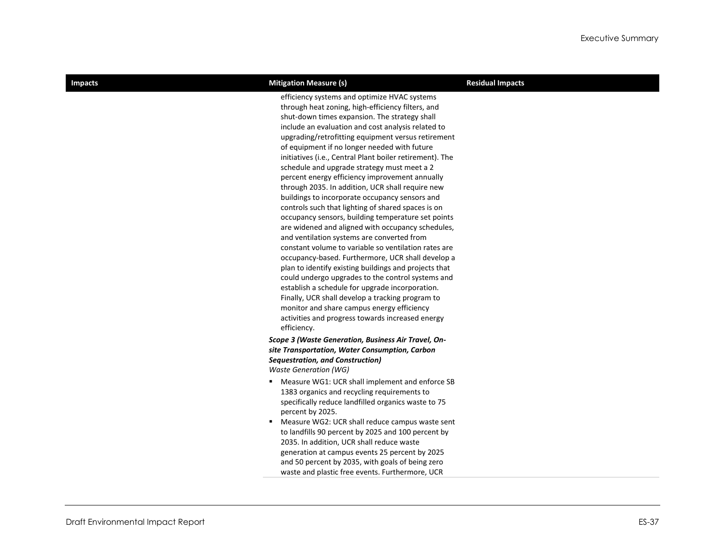| ı<br>н<br>1<br>ш<br>í<br>г |
|----------------------------|
|----------------------------|

### **Improvided Impacts Mitigation Measure (s) Residual Impacts**

efficiency systems and optimize HVAC systems through heat zoning, high-efficiency filters, and shut-down times expansion. The strategy shall include an evaluation and cost analysis related to upgrading/retrofitting equipment versus retirement of equipment if no longer needed with future initiatives (i.e., Central Plant boiler retirement). The schedule and upgrade strategy must meet a 2 percent energy efficiency improvement annually through 2035. In addition, UCR shall require new buildings to incorporate occupancy sensors and controls such that lighting of shared spaces is on occupancy sensors, building temperature set points are widened and aligned with occupancy schedules, and ventilation systems are converted from constant volume to variable so ventilation rates are occupancy-based. Furthermore, UCR shall develop a plan to identify existing buildings and projects that could undergo upgrades to the control systems and establish a schedule for upgrade incorporation. Finally, UCR shall develop a tracking program to monitor and share campus energy efficiency activities and progress towards increased energy efficiency.

### *Scope 3 (Waste Generation, Business Air Travel, Onsite Transportation, Water Consumption, Carbon Sequestration, and Construction) Waste Generation (WG)*

- Measure WG1: UCR shall implement and enforce SB 1383 organics and recycling requirements to specifically reduce landfilled organics waste to 75 percent by 2025.
- Measure WG2: UCR shall reduce campus waste sent to landfills 90 percent by 2025 and 100 percent by 2035. In addition, UCR shall reduce waste generation at campus events 25 percent by 2025 and 50 percent by 2035, with goals of being zero waste and plastic free events. Furthermore, UCR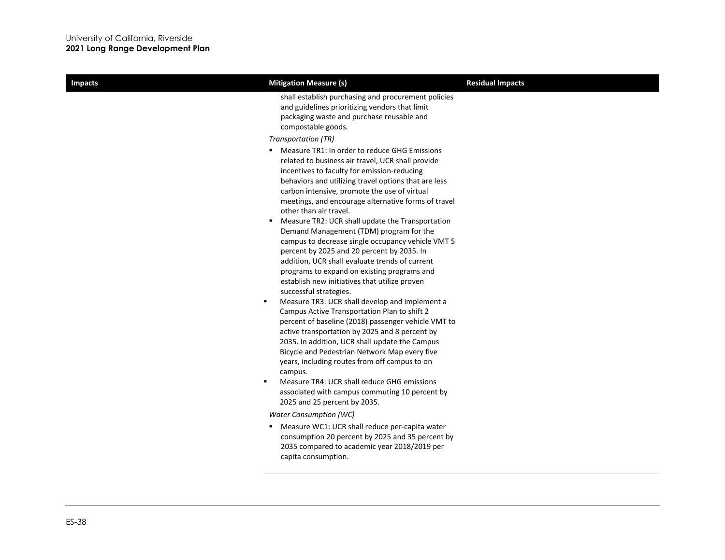| <b>Impacts</b> | <b>Mitigation Measure (s)</b>                                                                                                                                                                                                                                                                                                                                                                                                                                                                                | <b>Residual Impacts</b> |
|----------------|--------------------------------------------------------------------------------------------------------------------------------------------------------------------------------------------------------------------------------------------------------------------------------------------------------------------------------------------------------------------------------------------------------------------------------------------------------------------------------------------------------------|-------------------------|
|                | shall establish purchasing and procurement policies<br>and guidelines prioritizing vendors that limit<br>packaging waste and purchase reusable and<br>compostable goods.<br>Transportation (TR)<br>Measure TR1: In order to reduce GHG Emissions                                                                                                                                                                                                                                                             |                         |
|                | related to business air travel, UCR shall provide<br>incentives to faculty for emission-reducing<br>behaviors and utilizing travel options that are less<br>carbon intensive, promote the use of virtual<br>meetings, and encourage alternative forms of travel<br>other than air travel.                                                                                                                                                                                                                    |                         |
|                | Measure TR2: UCR shall update the Transportation<br>Demand Management (TDM) program for the<br>campus to decrease single occupancy vehicle VMT 5<br>percent by 2025 and 20 percent by 2035. In<br>addition, UCR shall evaluate trends of current<br>programs to expand on existing programs and<br>establish new initiatives that utilize proven<br>successful strategies.                                                                                                                                   |                         |
|                | Measure TR3: UCR shall develop and implement a<br>٠<br>Campus Active Transportation Plan to shift 2<br>percent of baseline (2018) passenger vehicle VMT to<br>active transportation by 2025 and 8 percent by<br>2035. In addition, UCR shall update the Campus<br>Bicycle and Pedestrian Network Map every five<br>years, including routes from off campus to on<br>campus.<br>Measure TR4: UCR shall reduce GHG emissions<br>associated with campus commuting 10 percent by<br>2025 and 25 percent by 2035. |                         |
|                | <b>Water Consumption (WC)</b>                                                                                                                                                                                                                                                                                                                                                                                                                                                                                |                         |
|                | Measure WC1: UCR shall reduce per-capita water<br>consumption 20 percent by 2025 and 35 percent by<br>2035 compared to academic year 2018/2019 per<br>capita consumption.                                                                                                                                                                                                                                                                                                                                    |                         |
|                |                                                                                                                                                                                                                                                                                                                                                                                                                                                                                                              |                         |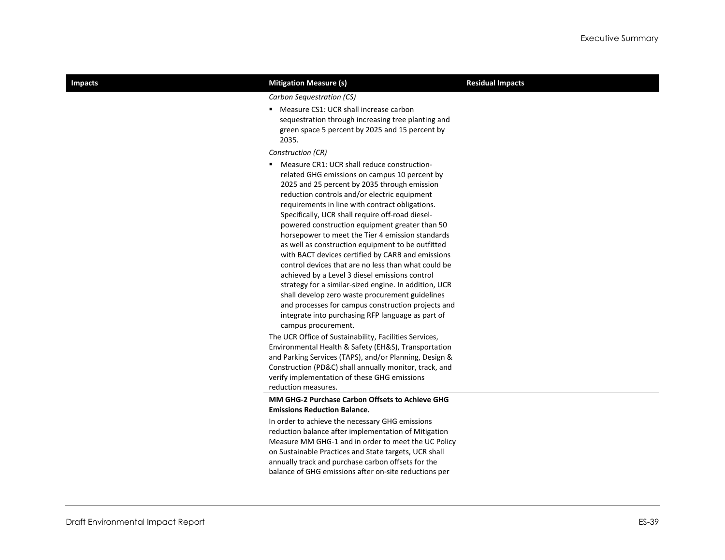| <b>Impacts</b> | <b>Mitigation Measure (s)</b>                                                                                                                                                                                                                                                                                                                                                                                                                                                                                                                                                                                                                                                                                                                                                                                                                                                | <b>Residual Impacts</b> |
|----------------|------------------------------------------------------------------------------------------------------------------------------------------------------------------------------------------------------------------------------------------------------------------------------------------------------------------------------------------------------------------------------------------------------------------------------------------------------------------------------------------------------------------------------------------------------------------------------------------------------------------------------------------------------------------------------------------------------------------------------------------------------------------------------------------------------------------------------------------------------------------------------|-------------------------|
|                | Carbon Sequestration (CS)                                                                                                                                                                                                                                                                                                                                                                                                                                                                                                                                                                                                                                                                                                                                                                                                                                                    |                         |
|                | " Measure CS1: UCR shall increase carbon<br>sequestration through increasing tree planting and<br>green space 5 percent by 2025 and 15 percent by<br>2035.                                                                                                                                                                                                                                                                                                                                                                                                                                                                                                                                                                                                                                                                                                                   |                         |
|                | Construction (CR)                                                                                                                                                                                                                                                                                                                                                                                                                                                                                                                                                                                                                                                                                                                                                                                                                                                            |                         |
|                | " Measure CR1: UCR shall reduce construction-<br>related GHG emissions on campus 10 percent by<br>2025 and 25 percent by 2035 through emission<br>reduction controls and/or electric equipment<br>requirements in line with contract obligations.<br>Specifically, UCR shall require off-road diesel-<br>powered construction equipment greater than 50<br>horsepower to meet the Tier 4 emission standards<br>as well as construction equipment to be outfitted<br>with BACT devices certified by CARB and emissions<br>control devices that are no less than what could be<br>achieved by a Level 3 diesel emissions control<br>strategy for a similar-sized engine. In addition, UCR<br>shall develop zero waste procurement guidelines<br>and processes for campus construction projects and<br>integrate into purchasing RFP language as part of<br>campus procurement. |                         |
|                | The UCR Office of Sustainability, Facilities Services,<br>Environmental Health & Safety (EH&S), Transportation<br>and Parking Services (TAPS), and/or Planning, Design &<br>Construction (PD&C) shall annually monitor, track, and<br>verify implementation of these GHG emissions<br>reduction measures.                                                                                                                                                                                                                                                                                                                                                                                                                                                                                                                                                                    |                         |
|                | <b>MM GHG-2 Purchase Carbon Offsets to Achieve GHG</b>                                                                                                                                                                                                                                                                                                                                                                                                                                                                                                                                                                                                                                                                                                                                                                                                                       |                         |
|                | <b>Emissions Reduction Balance.</b>                                                                                                                                                                                                                                                                                                                                                                                                                                                                                                                                                                                                                                                                                                                                                                                                                                          |                         |
|                | In order to achieve the necessary GHG emissions<br>reduction balance after implementation of Mitigation<br>Measure MM GHG-1 and in order to meet the UC Policy<br>on Sustainable Practices and State targets, UCR shall                                                                                                                                                                                                                                                                                                                                                                                                                                                                                                                                                                                                                                                      |                         |
|                | annually track and purchase carbon offsets for the                                                                                                                                                                                                                                                                                                                                                                                                                                                                                                                                                                                                                                                                                                                                                                                                                           |                         |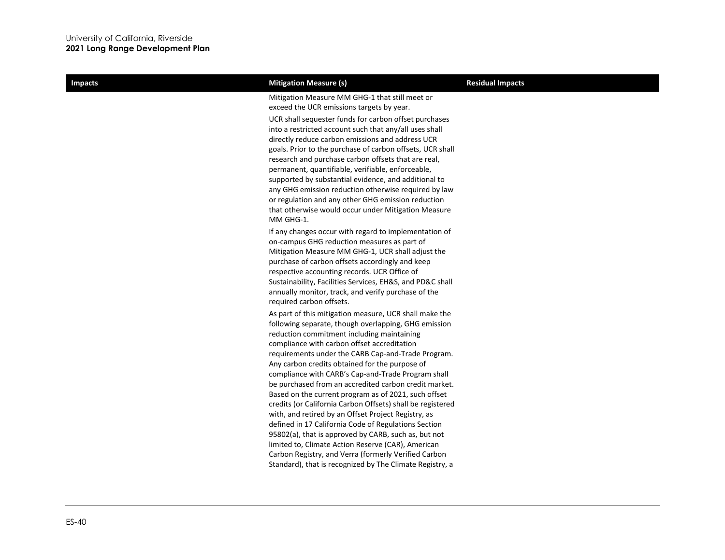| <b>Impacts</b> | <b>Mitigation Measure (s)</b>                                                                                                                                                                                                                                                                                                                                                                                                                                                                                                                                                                                                                                                                                                                                                                                                                                                                             | <b>Residual Impacts</b> |
|----------------|-----------------------------------------------------------------------------------------------------------------------------------------------------------------------------------------------------------------------------------------------------------------------------------------------------------------------------------------------------------------------------------------------------------------------------------------------------------------------------------------------------------------------------------------------------------------------------------------------------------------------------------------------------------------------------------------------------------------------------------------------------------------------------------------------------------------------------------------------------------------------------------------------------------|-------------------------|
|                | Mitigation Measure MM GHG-1 that still meet or<br>exceed the UCR emissions targets by year.<br>UCR shall sequester funds for carbon offset purchases<br>into a restricted account such that any/all uses shall<br>directly reduce carbon emissions and address UCR<br>goals. Prior to the purchase of carbon offsets, UCR shall<br>research and purchase carbon offsets that are real,<br>permanent, quantifiable, verifiable, enforceable,<br>supported by substantial evidence, and additional to<br>any GHG emission reduction otherwise required by law<br>or regulation and any other GHG emission reduction<br>that otherwise would occur under Mitigation Measure<br>MM GHG-1.                                                                                                                                                                                                                     |                         |
|                | If any changes occur with regard to implementation of<br>on-campus GHG reduction measures as part of<br>Mitigation Measure MM GHG-1, UCR shall adjust the<br>purchase of carbon offsets accordingly and keep<br>respective accounting records. UCR Office of<br>Sustainability, Facilities Services, EH&S, and PD&C shall<br>annually monitor, track, and verify purchase of the<br>required carbon offsets.                                                                                                                                                                                                                                                                                                                                                                                                                                                                                              |                         |
|                | As part of this mitigation measure, UCR shall make the<br>following separate, though overlapping, GHG emission<br>reduction commitment including maintaining<br>compliance with carbon offset accreditation<br>requirements under the CARB Cap-and-Trade Program.<br>Any carbon credits obtained for the purpose of<br>compliance with CARB's Cap-and-Trade Program shall<br>be purchased from an accredited carbon credit market.<br>Based on the current program as of 2021, such offset<br>credits (or California Carbon Offsets) shall be registered<br>with, and retired by an Offset Project Registry, as<br>defined in 17 California Code of Regulations Section<br>95802(a), that is approved by CARB, such as, but not<br>limited to, Climate Action Reserve (CAR), American<br>Carbon Registry, and Verra (formerly Verified Carbon<br>Standard), that is recognized by The Climate Registry, a |                         |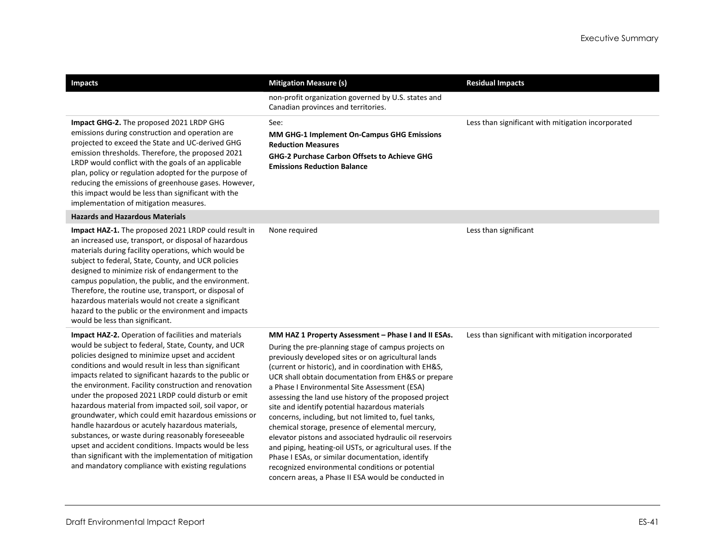| <b>Impacts</b>                                                                                                                                                                                                                                                                                                                                                                                                                                                                                                                                                                                                                                                                                                                                                                                      | <b>Mitigation Measure (s)</b>                                                                                                                                                                                                                                                                                                                                                                                                                                                                                                                                                                                                                                                                                                                                                                                                                        | <b>Residual Impacts</b>                            |
|-----------------------------------------------------------------------------------------------------------------------------------------------------------------------------------------------------------------------------------------------------------------------------------------------------------------------------------------------------------------------------------------------------------------------------------------------------------------------------------------------------------------------------------------------------------------------------------------------------------------------------------------------------------------------------------------------------------------------------------------------------------------------------------------------------|------------------------------------------------------------------------------------------------------------------------------------------------------------------------------------------------------------------------------------------------------------------------------------------------------------------------------------------------------------------------------------------------------------------------------------------------------------------------------------------------------------------------------------------------------------------------------------------------------------------------------------------------------------------------------------------------------------------------------------------------------------------------------------------------------------------------------------------------------|----------------------------------------------------|
|                                                                                                                                                                                                                                                                                                                                                                                                                                                                                                                                                                                                                                                                                                                                                                                                     | non-profit organization governed by U.S. states and<br>Canadian provinces and territories.                                                                                                                                                                                                                                                                                                                                                                                                                                                                                                                                                                                                                                                                                                                                                           |                                                    |
| Impact GHG-2. The proposed 2021 LRDP GHG<br>emissions during construction and operation are<br>projected to exceed the State and UC-derived GHG<br>emission thresholds. Therefore, the proposed 2021<br>LRDP would conflict with the goals of an applicable<br>plan, policy or regulation adopted for the purpose of<br>reducing the emissions of greenhouse gases. However,<br>this impact would be less than significant with the<br>implementation of mitigation measures.                                                                                                                                                                                                                                                                                                                       | See:<br>MM GHG-1 Implement On-Campus GHG Emissions<br><b>Reduction Measures</b><br><b>GHG-2 Purchase Carbon Offsets to Achieve GHG</b><br><b>Emissions Reduction Balance</b>                                                                                                                                                                                                                                                                                                                                                                                                                                                                                                                                                                                                                                                                         | Less than significant with mitigation incorporated |
| <b>Hazards and Hazardous Materials</b>                                                                                                                                                                                                                                                                                                                                                                                                                                                                                                                                                                                                                                                                                                                                                              |                                                                                                                                                                                                                                                                                                                                                                                                                                                                                                                                                                                                                                                                                                                                                                                                                                                      |                                                    |
| Impact HAZ-1. The proposed 2021 LRDP could result in<br>an increased use, transport, or disposal of hazardous<br>materials during facility operations, which would be<br>subject to federal, State, County, and UCR policies<br>designed to minimize risk of endangerment to the<br>campus population, the public, and the environment.<br>Therefore, the routine use, transport, or disposal of<br>hazardous materials would not create a significant<br>hazard to the public or the environment and impacts<br>would be less than significant.                                                                                                                                                                                                                                                    | None required                                                                                                                                                                                                                                                                                                                                                                                                                                                                                                                                                                                                                                                                                                                                                                                                                                        | Less than significant                              |
| Impact HAZ-2. Operation of facilities and materials<br>would be subject to federal, State, County, and UCR<br>policies designed to minimize upset and accident<br>conditions and would result in less than significant<br>impacts related to significant hazards to the public or<br>the environment. Facility construction and renovation<br>under the proposed 2021 LRDP could disturb or emit<br>hazardous material from impacted soil, soil vapor, or<br>groundwater, which could emit hazardous emissions or<br>handle hazardous or acutely hazardous materials,<br>substances, or waste during reasonably foreseeable<br>upset and accident conditions. Impacts would be less<br>than significant with the implementation of mitigation<br>and mandatory compliance with existing regulations | MM HAZ 1 Property Assessment - Phase I and II ESAs.<br>During the pre-planning stage of campus projects on<br>previously developed sites or on agricultural lands<br>(current or historic), and in coordination with EH&S,<br>UCR shall obtain documentation from EH&S or prepare<br>a Phase I Environmental Site Assessment (ESA)<br>assessing the land use history of the proposed project<br>site and identify potential hazardous materials<br>concerns, including, but not limited to, fuel tanks,<br>chemical storage, presence of elemental mercury,<br>elevator pistons and associated hydraulic oil reservoirs<br>and piping, heating-oil USTs, or agricultural uses. If the<br>Phase I ESAs, or similar documentation, identify<br>recognized environmental conditions or potential<br>concern areas, a Phase II ESA would be conducted in | Less than significant with mitigation incorporated |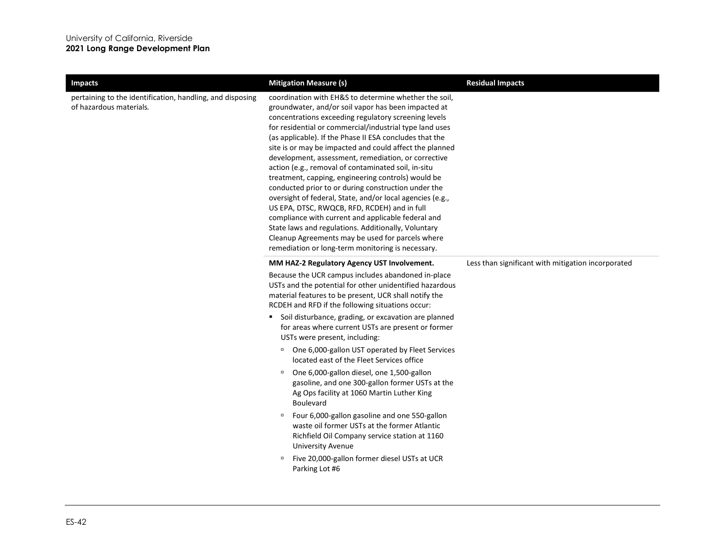| <b>Impacts</b>                                                                       | <b>Mitigation Measure (s)</b>                                                                                                                                                                                                                                                                                                                                                                                                                                                                                                                                                                                                                                                                                                                                                                                                                                                                                       | <b>Residual Impacts</b>                            |
|--------------------------------------------------------------------------------------|---------------------------------------------------------------------------------------------------------------------------------------------------------------------------------------------------------------------------------------------------------------------------------------------------------------------------------------------------------------------------------------------------------------------------------------------------------------------------------------------------------------------------------------------------------------------------------------------------------------------------------------------------------------------------------------------------------------------------------------------------------------------------------------------------------------------------------------------------------------------------------------------------------------------|----------------------------------------------------|
| pertaining to the identification, handling, and disposing<br>of hazardous materials. | coordination with EH&S to determine whether the soil,<br>groundwater, and/or soil vapor has been impacted at<br>concentrations exceeding regulatory screening levels<br>for residential or commercial/industrial type land uses<br>(as applicable). If the Phase II ESA concludes that the<br>site is or may be impacted and could affect the planned<br>development, assessment, remediation, or corrective<br>action (e.g., removal of contaminated soil, in-situ<br>treatment, capping, engineering controls) would be<br>conducted prior to or during construction under the<br>oversight of federal, State, and/or local agencies (e.g.,<br>US EPA, DTSC, RWQCB, RFD, RCDEH) and in full<br>compliance with current and applicable federal and<br>State laws and regulations. Additionally, Voluntary<br>Cleanup Agreements may be used for parcels where<br>remediation or long-term monitoring is necessary. |                                                    |
|                                                                                      | MM HAZ-2 Regulatory Agency UST Involvement.                                                                                                                                                                                                                                                                                                                                                                                                                                                                                                                                                                                                                                                                                                                                                                                                                                                                         | Less than significant with mitigation incorporated |
|                                                                                      | Because the UCR campus includes abandoned in-place<br>USTs and the potential for other unidentified hazardous<br>material features to be present, UCR shall notify the<br>RCDEH and RFD if the following situations occur:                                                                                                                                                                                                                                                                                                                                                                                                                                                                                                                                                                                                                                                                                          |                                                    |
|                                                                                      | " Soil disturbance, grading, or excavation are planned<br>for areas where current USTs are present or former<br>USTs were present, including:                                                                                                                                                                                                                                                                                                                                                                                                                                                                                                                                                                                                                                                                                                                                                                       |                                                    |
|                                                                                      | <sup>D</sup> One 6,000-gallon UST operated by Fleet Services<br>located east of the Fleet Services office                                                                                                                                                                                                                                                                                                                                                                                                                                                                                                                                                                                                                                                                                                                                                                                                           |                                                    |
|                                                                                      | One 6,000-gallon diesel, one 1,500-gallon<br>$\Box$<br>gasoline, and one 300-gallon former USTs at the<br>Ag Ops facility at 1060 Martin Luther King<br><b>Boulevard</b>                                                                                                                                                                                                                                                                                                                                                                                                                                                                                                                                                                                                                                                                                                                                            |                                                    |
|                                                                                      | Four 6,000-gallon gasoline and one 550-gallon<br>$\Box$<br>waste oil former USTs at the former Atlantic<br>Richfield Oil Company service station at 1160<br>University Avenue                                                                                                                                                                                                                                                                                                                                                                                                                                                                                                                                                                                                                                                                                                                                       |                                                    |
|                                                                                      | Five 20,000-gallon former diesel USTs at UCR<br>$\Box$<br>Parking Lot #6                                                                                                                                                                                                                                                                                                                                                                                                                                                                                                                                                                                                                                                                                                                                                                                                                                            |                                                    |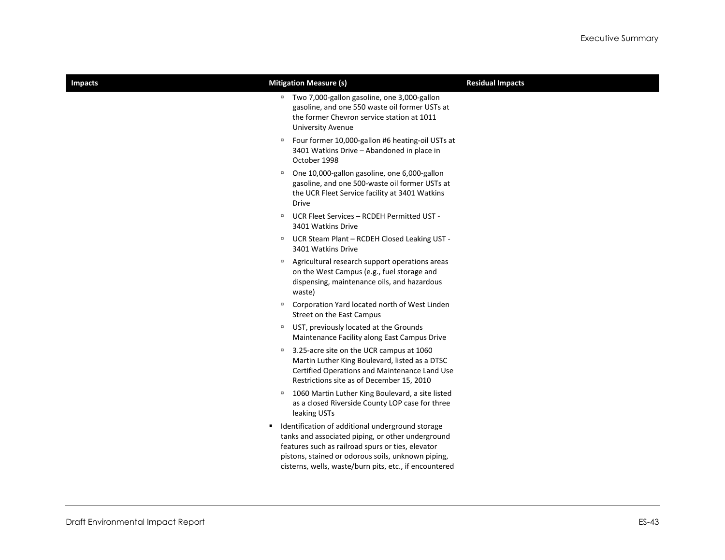| <b>Impacts</b> | <b>Mitigation Measure (s)</b>                                                                                                                                                                                                                                                   | <b>Residual Impacts</b> |
|----------------|---------------------------------------------------------------------------------------------------------------------------------------------------------------------------------------------------------------------------------------------------------------------------------|-------------------------|
|                | Two 7,000-gallon gasoline, one 3,000-gallon<br>$\Box$<br>gasoline, and one 550 waste oil former USTs at<br>the former Chevron service station at 1011<br><b>University Avenue</b>                                                                                               |                         |
|                | Four former 10,000-gallon #6 heating-oil USTs at<br>$\Box$<br>3401 Watkins Drive - Abandoned in place in<br>October 1998                                                                                                                                                        |                         |
|                | One 10,000-gallon gasoline, one 6,000-gallon<br>$\Box$<br>gasoline, and one 500-waste oil former USTs at<br>the UCR Fleet Service facility at 3401 Watkins<br>Drive                                                                                                             |                         |
|                | UCR Fleet Services - RCDEH Permitted UST -<br>$\Box$<br>3401 Watkins Drive                                                                                                                                                                                                      |                         |
|                | UCR Steam Plant - RCDEH Closed Leaking UST -<br>$\Box$<br>3401 Watkins Drive                                                                                                                                                                                                    |                         |
|                | Agricultural research support operations areas<br>$\Box$<br>on the West Campus (e.g., fuel storage and<br>dispensing, maintenance oils, and hazardous<br>waste)                                                                                                                 |                         |
|                | Corporation Yard located north of West Linden<br>$\Box$<br>Street on the East Campus                                                                                                                                                                                            |                         |
|                | UST, previously located at the Grounds<br>$\Box$<br>Maintenance Facility along East Campus Drive                                                                                                                                                                                |                         |
|                | 3.25-acre site on the UCR campus at 1060<br>$\Box$<br>Martin Luther King Boulevard, listed as a DTSC<br>Certified Operations and Maintenance Land Use<br>Restrictions site as of December 15, 2010                                                                              |                         |
|                | 1060 Martin Luther King Boulevard, a site listed<br>$\Box$<br>as a closed Riverside County LOP case for three<br>leaking USTs                                                                                                                                                   |                         |
|                | Identification of additional underground storage<br>٠<br>tanks and associated piping, or other underground<br>features such as railroad spurs or ties, elevator<br>pistons, stained or odorous soils, unknown piping,<br>cisterns, wells, waste/burn pits, etc., if encountered |                         |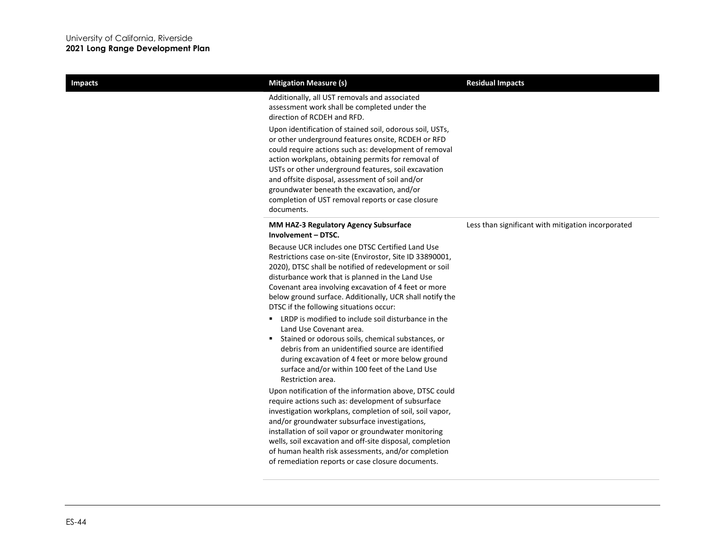| <b>Impacts</b> | <b>Mitigation Measure (s)</b>                                                                                                                                                                                                                                                                                                                                                                                                                                                                                                                                                                                                                                                                                      | <b>Residual Impacts</b>                            |
|----------------|--------------------------------------------------------------------------------------------------------------------------------------------------------------------------------------------------------------------------------------------------------------------------------------------------------------------------------------------------------------------------------------------------------------------------------------------------------------------------------------------------------------------------------------------------------------------------------------------------------------------------------------------------------------------------------------------------------------------|----------------------------------------------------|
|                | Additionally, all UST removals and associated<br>assessment work shall be completed under the<br>direction of RCDEH and RFD.<br>Upon identification of stained soil, odorous soil, USTs,<br>or other underground features onsite, RCDEH or RFD<br>could require actions such as: development of removal<br>action workplans, obtaining permits for removal of<br>USTs or other underground features, soil excavation<br>and offsite disposal, assessment of soil and/or<br>groundwater beneath the excavation, and/or<br>completion of UST removal reports or case closure<br>documents.                                                                                                                           |                                                    |
|                | <b>MM HAZ-3 Regulatory Agency Subsurface</b><br>Involvement - DTSC.                                                                                                                                                                                                                                                                                                                                                                                                                                                                                                                                                                                                                                                | Less than significant with mitigation incorporated |
|                | Because UCR includes one DTSC Certified Land Use<br>Restrictions case on-site (Envirostor, Site ID 33890001,<br>2020), DTSC shall be notified of redevelopment or soil<br>disturbance work that is planned in the Land Use<br>Covenant area involving excavation of 4 feet or more<br>below ground surface. Additionally, UCR shall notify the<br>DTSC if the following situations occur:<br>■ LRDP is modified to include soil disturbance in the<br>Land Use Covenant area.<br>Stained or odorous soils, chemical substances, or<br>debris from an unidentified source are identified<br>during excavation of 4 feet or more below ground<br>surface and/or within 100 feet of the Land Use<br>Restriction area. |                                                    |
|                | Upon notification of the information above, DTSC could<br>require actions such as: development of subsurface<br>investigation workplans, completion of soil, soil vapor,<br>and/or groundwater subsurface investigations,<br>installation of soil vapor or groundwater monitoring<br>wells, soil excavation and off-site disposal, completion<br>of human health risk assessments, and/or completion<br>of remediation reports or case closure documents.                                                                                                                                                                                                                                                          |                                                    |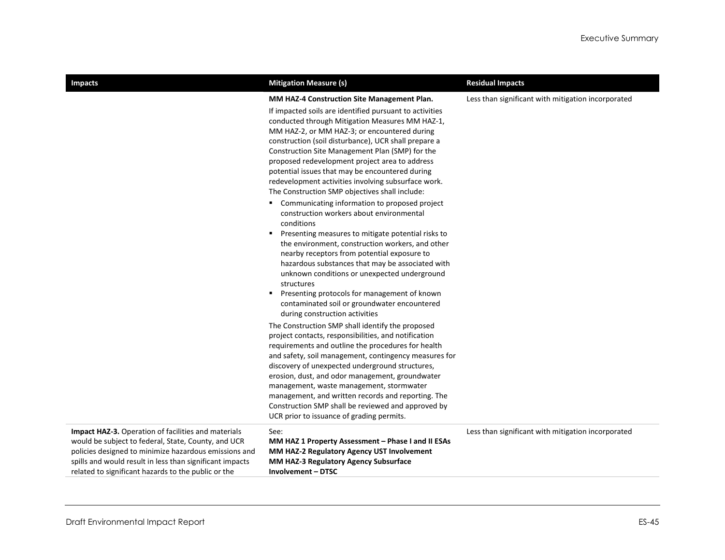| <b>Impacts</b>                                                                                                                                                                                                                                                                         | <b>Mitigation Measure (s)</b>                                                                                                                                                                                                                                                                                                                                                                                                                                                                                                      | <b>Residual Impacts</b>                            |
|----------------------------------------------------------------------------------------------------------------------------------------------------------------------------------------------------------------------------------------------------------------------------------------|------------------------------------------------------------------------------------------------------------------------------------------------------------------------------------------------------------------------------------------------------------------------------------------------------------------------------------------------------------------------------------------------------------------------------------------------------------------------------------------------------------------------------------|----------------------------------------------------|
|                                                                                                                                                                                                                                                                                        | MM HAZ-4 Construction Site Management Plan.<br>If impacted soils are identified pursuant to activities<br>conducted through Mitigation Measures MM HAZ-1,<br>MM HAZ-2, or MM HAZ-3; or encountered during<br>construction (soil disturbance), UCR shall prepare a<br>Construction Site Management Plan (SMP) for the<br>proposed redevelopment project area to address<br>potential issues that may be encountered during<br>redevelopment activities involving subsurface work.<br>The Construction SMP objectives shall include: | Less than significant with mitigation incorporated |
|                                                                                                                                                                                                                                                                                        | Communicating information to proposed project<br>п.<br>construction workers about environmental<br>conditions<br>Presenting measures to mitigate potential risks to<br>٠.<br>the environment, construction workers, and other<br>nearby receptors from potential exposure to<br>hazardous substances that may be associated with<br>unknown conditions or unexpected underground<br>structures<br>Presenting protocols for management of known<br>contaminated soil or groundwater encountered<br>during construction activities   |                                                    |
|                                                                                                                                                                                                                                                                                        | The Construction SMP shall identify the proposed<br>project contacts, responsibilities, and notification<br>requirements and outline the procedures for health<br>and safety, soil management, contingency measures for<br>discovery of unexpected underground structures,<br>erosion, dust, and odor management, groundwater<br>management, waste management, stormwater<br>management, and written records and reporting. The<br>Construction SMP shall be reviewed and approved by<br>UCR prior to issuance of grading permits. |                                                    |
| Impact HAZ-3. Operation of facilities and materials<br>would be subject to federal, State, County, and UCR<br>policies designed to minimize hazardous emissions and<br>spills and would result in less than significant impacts<br>related to significant hazards to the public or the | See:<br>MM HAZ 1 Property Assessment - Phase I and II ESAs<br>MM HAZ-2 Regulatory Agency UST Involvement<br><b>MM HAZ-3 Regulatory Agency Subsurface</b><br><b>Involvement - DTSC</b>                                                                                                                                                                                                                                                                                                                                              | Less than significant with mitigation incorporated |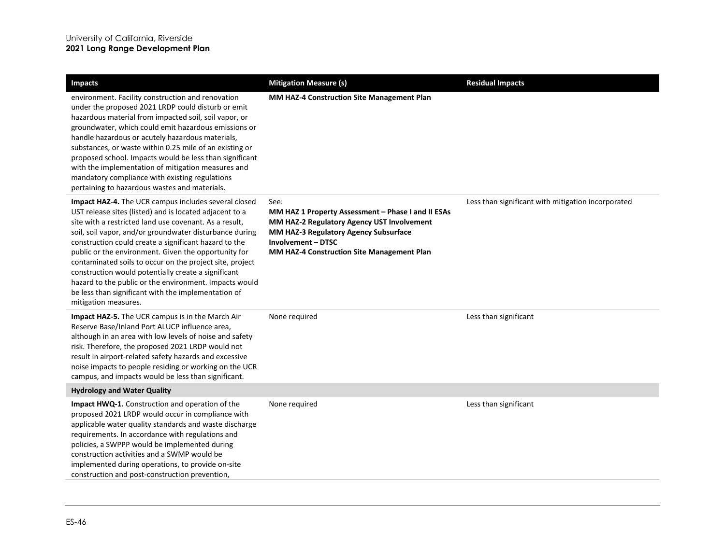| <b>Impacts</b>                                                                                                                                                                                                                                                                                                                                                                                                                                                                                                                                                                                                           | <b>Mitigation Measure (s)</b>                                                                                                                                                                                                | <b>Residual Impacts</b>                            |
|--------------------------------------------------------------------------------------------------------------------------------------------------------------------------------------------------------------------------------------------------------------------------------------------------------------------------------------------------------------------------------------------------------------------------------------------------------------------------------------------------------------------------------------------------------------------------------------------------------------------------|------------------------------------------------------------------------------------------------------------------------------------------------------------------------------------------------------------------------------|----------------------------------------------------|
| environment. Facility construction and renovation<br>under the proposed 2021 LRDP could disturb or emit<br>hazardous material from impacted soil, soil vapor, or<br>groundwater, which could emit hazardous emissions or<br>handle hazardous or acutely hazardous materials,<br>substances, or waste within 0.25 mile of an existing or<br>proposed school. Impacts would be less than significant<br>with the implementation of mitigation measures and<br>mandatory compliance with existing regulations<br>pertaining to hazardous wastes and materials.                                                              | MM HAZ-4 Construction Site Management Plan                                                                                                                                                                                   |                                                    |
| <b>Impact HAZ-4.</b> The UCR campus includes several closed<br>UST release sites (listed) and is located adjacent to a<br>site with a restricted land use covenant. As a result,<br>soil, soil vapor, and/or groundwater disturbance during<br>construction could create a significant hazard to the<br>public or the environment. Given the opportunity for<br>contaminated soils to occur on the project site, project<br>construction would potentially create a significant<br>hazard to the public or the environment. Impacts would<br>be less than significant with the implementation of<br>mitigation measures. | See:<br>MM HAZ 1 Property Assessment - Phase I and II ESAs<br>MM HAZ-2 Regulatory Agency UST Involvement<br>MM HAZ-3 Regulatory Agency Subsurface<br>Involvement - DTSC<br><b>MM HAZ-4 Construction Site Management Plan</b> | Less than significant with mitigation incorporated |
| <b>Impact HAZ-5.</b> The UCR campus is in the March Air<br>Reserve Base/Inland Port ALUCP influence area,<br>although in an area with low levels of noise and safety<br>risk. Therefore, the proposed 2021 LRDP would not<br>result in airport-related safety hazards and excessive<br>noise impacts to people residing or working on the UCR<br>campus, and impacts would be less than significant.                                                                                                                                                                                                                     | None required                                                                                                                                                                                                                | Less than significant                              |
| <b>Hydrology and Water Quality</b>                                                                                                                                                                                                                                                                                                                                                                                                                                                                                                                                                                                       |                                                                                                                                                                                                                              |                                                    |
| <b>Impact HWQ-1.</b> Construction and operation of the<br>proposed 2021 LRDP would occur in compliance with<br>applicable water quality standards and waste discharge<br>requirements. In accordance with regulations and<br>policies, a SWPPP would be implemented during<br>construction activities and a SWMP would be<br>implemented during operations, to provide on-site<br>construction and post-construction prevention,                                                                                                                                                                                         | None required                                                                                                                                                                                                                | Less than significant                              |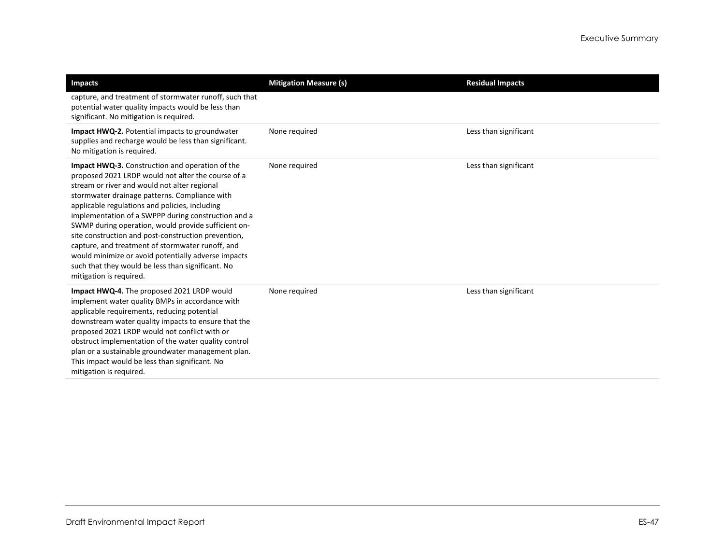| <b>Impacts</b>                                                                                                                                                                                                                                                                                                                                                                                                                                                                                                                                                                                                                  | <b>Mitigation Measure (s)</b> | <b>Residual Impacts</b> |
|---------------------------------------------------------------------------------------------------------------------------------------------------------------------------------------------------------------------------------------------------------------------------------------------------------------------------------------------------------------------------------------------------------------------------------------------------------------------------------------------------------------------------------------------------------------------------------------------------------------------------------|-------------------------------|-------------------------|
| capture, and treatment of stormwater runoff, such that<br>potential water quality impacts would be less than<br>significant. No mitigation is required.                                                                                                                                                                                                                                                                                                                                                                                                                                                                         |                               |                         |
| <b>Impact HWQ-2.</b> Potential impacts to groundwater<br>supplies and recharge would be less than significant.<br>No mitigation is required.                                                                                                                                                                                                                                                                                                                                                                                                                                                                                    | None required                 | Less than significant   |
| <b>Impact HWQ-3.</b> Construction and operation of the<br>proposed 2021 LRDP would not alter the course of a<br>stream or river and would not alter regional<br>stormwater drainage patterns. Compliance with<br>applicable regulations and policies, including<br>implementation of a SWPPP during construction and a<br>SWMP during operation, would provide sufficient on-<br>site construction and post-construction prevention,<br>capture, and treatment of stormwater runoff, and<br>would minimize or avoid potentially adverse impacts<br>such that they would be less than significant. No<br>mitigation is required. | None required                 | Less than significant   |
| Impact HWQ-4. The proposed 2021 LRDP would<br>implement water quality BMPs in accordance with<br>applicable requirements, reducing potential<br>downstream water quality impacts to ensure that the<br>proposed 2021 LRDP would not conflict with or<br>obstruct implementation of the water quality control<br>plan or a sustainable groundwater management plan.<br>This impact would be less than significant. No<br>mitigation is required.                                                                                                                                                                                 | None required                 | Less than significant   |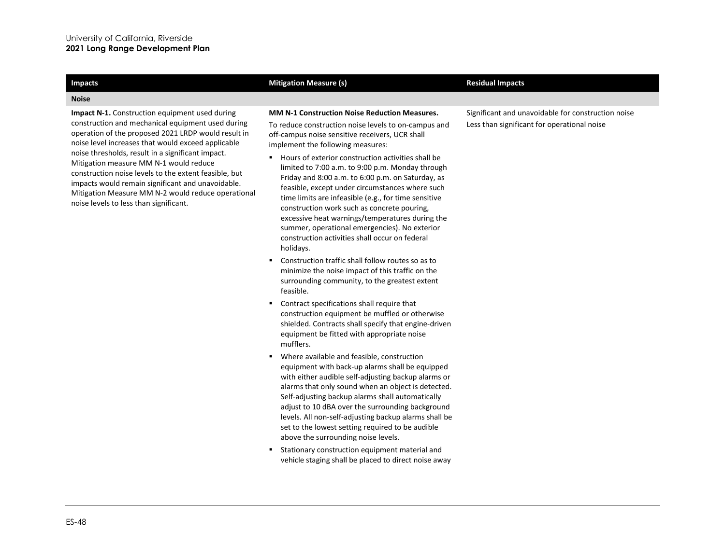### **Noise**

**Impact N-1.** Construction equipment used during construction and mechanical equipment used during operation of the proposed 2021 LRDP would result in noise level increases that would exceed applicable noise thresholds, result in a significant impact. Mitigation measure MM N-1 would reduce construction noise levels to the extent feasible, but impacts would remain significant and unavoidable. Mitigation Measure MM N-2 would reduce operational noise levels to less than significant.

### **Impacts Mitigation Measure (s) Mitigation Measure (s) Residual Impacts Residual Impacts**

### **MM N-1 Construction Noise Reduction Measures.**

To reduce construction noise levels to on-campus and off-campus noise sensitive receivers, UCR shall implement the following measures:

- Hours of exterior construction activities shall be limited to 7:00 a.m. to 9:00 p.m. Monday through Friday and 8:00 a.m. to 6:00 p.m. on Saturday, as feasible, except under circumstances where such time limits are infeasible (e.g., for time sensitive construction work such as concrete pouring, excessive heat warnings/temperatures during the summer, operational emergencies). No exterior construction activities shall occur on federal holidays.
- Construction traffic shall follow routes so as to minimize the noise impact of this traffic on the surrounding community, to the greatest extent feasible.
- Contract specifications shall require that construction equipment be muffled or otherwise shielded. Contracts shall specify that engine-driven equipment be fitted with appropriate noise mufflers.
- Where available and feasible, construction equipment with back-up alarms shall be equipped with either audible self-adjusting backup alarms or alarms that only sound when an object is detected. Self-adjusting backup alarms shall automatically adjust to 10 dBA over the surrounding background levels. All non-self-adjusting backup alarms shall be set to the lowest setting required to be audible above the surrounding noise levels.
- Stationary construction equipment material and vehicle staging shall be placed to direct noise away

Significant and unavoidable for construction noise Less than significant for operational noise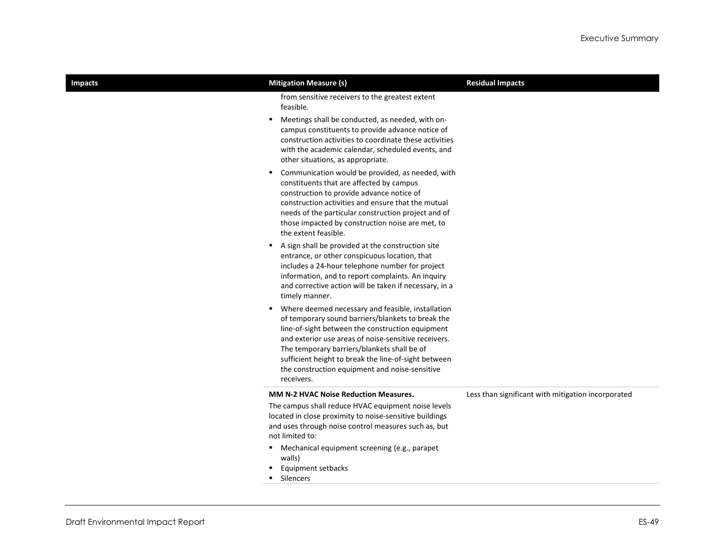| <b>Impacts</b> | <b>Mitigation Measure (s)</b>                                                                                                                                                                                                                                                                                                                                                                  | <b>Residual Impacts</b>                            |
|----------------|------------------------------------------------------------------------------------------------------------------------------------------------------------------------------------------------------------------------------------------------------------------------------------------------------------------------------------------------------------------------------------------------|----------------------------------------------------|
|                | from sensitive receivers to the greatest extent<br>feasible.                                                                                                                                                                                                                                                                                                                                   |                                                    |
|                | Meetings shall be conducted, as needed, with on-<br>٠<br>campus constituents to provide advance notice of<br>construction activities to coordinate these activities<br>with the academic calendar, scheduled events, and<br>other situations, as appropriate.                                                                                                                                  |                                                    |
|                | Communication would be provided, as needed, with<br>٠<br>constituents that are affected by campus<br>construction to provide advance notice of<br>construction activities and ensure that the mutual<br>needs of the particular construction project and of<br>those impacted by construction noise are met, to<br>the extent feasible.                                                        |                                                    |
|                | A sign shall be provided at the construction site<br>٠.<br>entrance, or other conspicuous location, that<br>includes a 24-hour telephone number for project<br>information, and to report complaints. An inquiry<br>and corrective action will be taken if necessary, in a<br>timely manner.                                                                                                   |                                                    |
|                | Where deemed necessary and feasible, installation<br>٠<br>of temporary sound barriers/blankets to break the<br>line-of-sight between the construction equipment<br>and exterior use areas of noise-sensitive receivers.<br>The temporary barriers/blankets shall be of<br>sufficient height to break the line-of-sight between<br>the construction equipment and noise-sensitive<br>receivers. |                                                    |
|                | <b>MM N-2 HVAC Noise Reduction Measures.</b>                                                                                                                                                                                                                                                                                                                                                   | Less than significant with mitigation incorporated |
|                | The campus shall reduce HVAC equipment noise levels<br>located in close proximity to noise-sensitive buildings<br>and uses through noise control measures such as, but<br>not limited to:                                                                                                                                                                                                      |                                                    |
|                | Mechanical equipment screening (e.g., parapet<br>٠.<br>walls)<br>Equipment setbacks<br>Silencers                                                                                                                                                                                                                                                                                               |                                                    |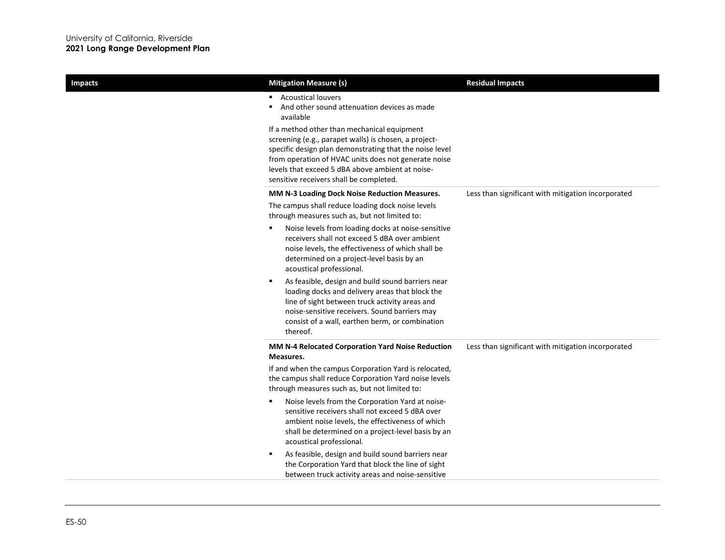| <b>Impacts</b> | <b>Mitigation Measure (s)</b>                                                                                                                                                                                                                                                            | <b>Residual Impacts</b>                            |
|----------------|------------------------------------------------------------------------------------------------------------------------------------------------------------------------------------------------------------------------------------------------------------------------------------------|----------------------------------------------------|
|                | <b>Acoustical louvers</b><br>And other sound attenuation devices as made<br>available<br>If a method other than mechanical equipment                                                                                                                                                     |                                                    |
|                | screening (e.g., parapet walls) is chosen, a project-<br>specific design plan demonstrating that the noise level<br>from operation of HVAC units does not generate noise<br>levels that exceed 5 dBA above ambient at noise-<br>sensitive receivers shall be completed.                  |                                                    |
|                | MM N-3 Loading Dock Noise Reduction Measures.<br>The campus shall reduce loading dock noise levels<br>through measures such as, but not limited to:                                                                                                                                      | Less than significant with mitigation incorporated |
|                | Noise levels from loading docks at noise-sensitive<br>٠<br>receivers shall not exceed 5 dBA over ambient<br>noise levels, the effectiveness of which shall be<br>determined on a project-level basis by an<br>acoustical professional.                                                   |                                                    |
|                | $\blacksquare$<br>As feasible, design and build sound barriers near<br>loading docks and delivery areas that block the<br>line of sight between truck activity areas and<br>noise-sensitive receivers. Sound barriers may<br>consist of a wall, earthen berm, or combination<br>thereof. |                                                    |
|                | MM N-4 Relocated Corporation Yard Noise Reduction<br>Measures.                                                                                                                                                                                                                           | Less than significant with mitigation incorporated |
|                | If and when the campus Corporation Yard is relocated,<br>the campus shall reduce Corporation Yard noise levels<br>through measures such as, but not limited to:                                                                                                                          |                                                    |
|                | ٠<br>Noise levels from the Corporation Yard at noise-<br>sensitive receivers shall not exceed 5 dBA over<br>ambient noise levels, the effectiveness of which<br>shall be determined on a project-level basis by an<br>acoustical professional.                                           |                                                    |
|                | As feasible, design and build sound barriers near<br>п<br>the Corporation Yard that block the line of sight<br>between truck activity areas and noise-sensitive                                                                                                                          |                                                    |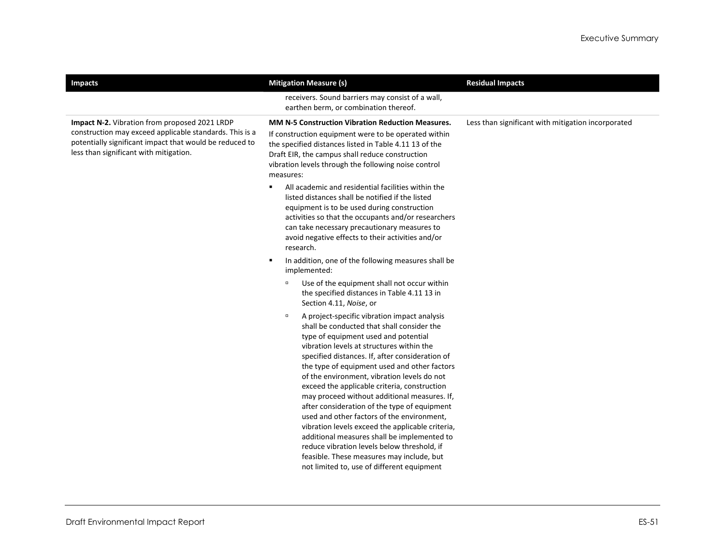| <b>Impacts</b>                                                                                                                                                                                                | <b>Mitigation Measure (s)</b>                                                                                                                                                                                                                                                                                                                                                                                                                                                                                                                                                                                                                                                                                                                                                          | <b>Residual Impacts</b>                            |
|---------------------------------------------------------------------------------------------------------------------------------------------------------------------------------------------------------------|----------------------------------------------------------------------------------------------------------------------------------------------------------------------------------------------------------------------------------------------------------------------------------------------------------------------------------------------------------------------------------------------------------------------------------------------------------------------------------------------------------------------------------------------------------------------------------------------------------------------------------------------------------------------------------------------------------------------------------------------------------------------------------------|----------------------------------------------------|
|                                                                                                                                                                                                               | receivers. Sound barriers may consist of a wall,<br>earthen berm, or combination thereof.                                                                                                                                                                                                                                                                                                                                                                                                                                                                                                                                                                                                                                                                                              |                                                    |
| Impact N-2. Vibration from proposed 2021 LRDP<br>construction may exceed applicable standards. This is a<br>potentially significant impact that would be reduced to<br>less than significant with mitigation. | <b>MM N-5 Construction Vibration Reduction Measures.</b><br>If construction equipment were to be operated within<br>the specified distances listed in Table 4.11 13 of the<br>Draft EIR, the campus shall reduce construction<br>vibration levels through the following noise control<br>measures:<br>All academic and residential facilities within the<br>٠                                                                                                                                                                                                                                                                                                                                                                                                                          | Less than significant with mitigation incorporated |
|                                                                                                                                                                                                               | listed distances shall be notified if the listed<br>equipment is to be used during construction<br>activities so that the occupants and/or researchers<br>can take necessary precautionary measures to<br>avoid negative effects to their activities and/or<br>research.                                                                                                                                                                                                                                                                                                                                                                                                                                                                                                               |                                                    |
|                                                                                                                                                                                                               | In addition, one of the following measures shall be<br>$\blacksquare$<br>implemented:                                                                                                                                                                                                                                                                                                                                                                                                                                                                                                                                                                                                                                                                                                  |                                                    |
|                                                                                                                                                                                                               | Use of the equipment shall not occur within<br>$\Box$<br>the specified distances in Table 4.11 13 in<br>Section 4.11, Noise, or                                                                                                                                                                                                                                                                                                                                                                                                                                                                                                                                                                                                                                                        |                                                    |
|                                                                                                                                                                                                               | A project-specific vibration impact analysis<br>$\Box$<br>shall be conducted that shall consider the<br>type of equipment used and potential<br>vibration levels at structures within the<br>specified distances. If, after consideration of<br>the type of equipment used and other factors<br>of the environment, vibration levels do not<br>exceed the applicable criteria, construction<br>may proceed without additional measures. If,<br>after consideration of the type of equipment<br>used and other factors of the environment,<br>vibration levels exceed the applicable criteria,<br>additional measures shall be implemented to<br>reduce vibration levels below threshold, if<br>feasible. These measures may include, but<br>not limited to, use of different equipment |                                                    |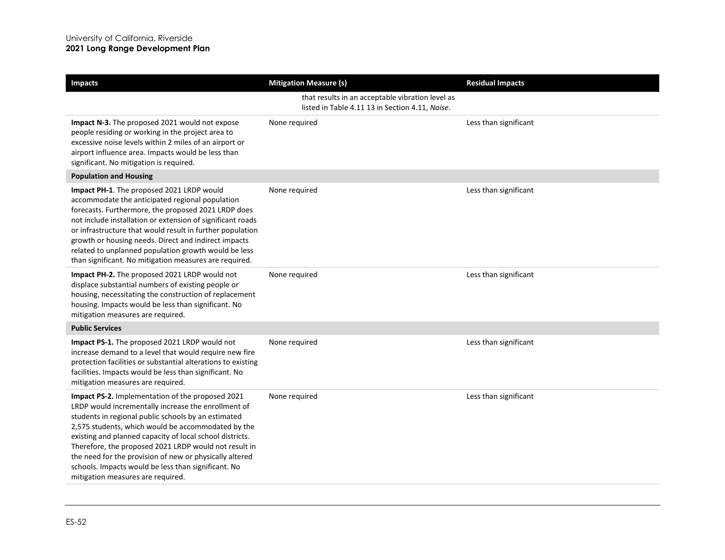| <b>Impacts</b>                                                                                                                                                                                                                                                                                                                                                                                                                                                                                   | <b>Mitigation Measure (s)</b>                                                                       | <b>Residual Impacts</b> |
|--------------------------------------------------------------------------------------------------------------------------------------------------------------------------------------------------------------------------------------------------------------------------------------------------------------------------------------------------------------------------------------------------------------------------------------------------------------------------------------------------|-----------------------------------------------------------------------------------------------------|-------------------------|
|                                                                                                                                                                                                                                                                                                                                                                                                                                                                                                  | that results in an acceptable vibration level as<br>listed in Table 4.11 13 in Section 4.11, Noise. |                         |
| Impact N-3. The proposed 2021 would not expose<br>people residing or working in the project area to<br>excessive noise levels within 2 miles of an airport or<br>airport influence area. Impacts would be less than<br>significant. No mitigation is required.                                                                                                                                                                                                                                   | None required                                                                                       | Less than significant   |
| <b>Population and Housing</b>                                                                                                                                                                                                                                                                                                                                                                                                                                                                    |                                                                                                     |                         |
| Impact PH-1. The proposed 2021 LRDP would<br>accommodate the anticipated regional population<br>forecasts. Furthermore, the proposed 2021 LRDP does<br>not include installation or extension of significant roads<br>or infrastructure that would result in further population<br>growth or housing needs. Direct and indirect impacts<br>related to unplanned population growth would be less<br>than significant. No mitigation measures are required.                                         | None required                                                                                       | Less than significant   |
| Impact PH-2. The proposed 2021 LRDP would not<br>displace substantial numbers of existing people or<br>housing, necessitating the construction of replacement<br>housing. Impacts would be less than significant. No<br>mitigation measures are required.                                                                                                                                                                                                                                        | None required                                                                                       | Less than significant   |
| <b>Public Services</b>                                                                                                                                                                                                                                                                                                                                                                                                                                                                           |                                                                                                     |                         |
| Impact PS-1. The proposed 2021 LRDP would not<br>increase demand to a level that would require new fire<br>protection facilities or substantial alterations to existing<br>facilities. Impacts would be less than significant. No<br>mitigation measures are required.                                                                                                                                                                                                                           | None required                                                                                       | Less than significant   |
| Impact PS-2. Implementation of the proposed 2021<br>LRDP would incrementally increase the enrollment of<br>students in regional public schools by an estimated<br>2,575 students, which would be accommodated by the<br>existing and planned capacity of local school districts.<br>Therefore, the proposed 2021 LRDP would not result in<br>the need for the provision of new or physically altered<br>schools. Impacts would be less than significant. No<br>mitigation measures are required. | None required                                                                                       | Less than significant   |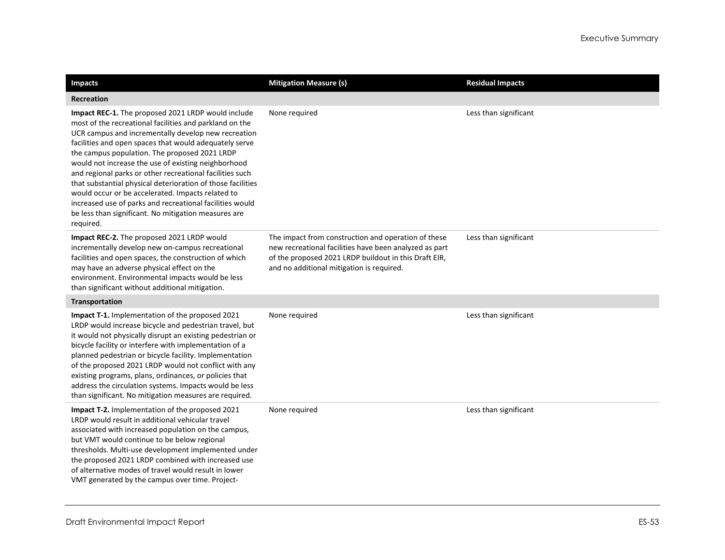| <b>Impacts</b>                                                                                                                                                                                                                                                                                                                                                                                                                                                                                                                                                                                                                                          | <b>Mitigation Measure (s)</b>                                                                                                                                                                                       | <b>Residual Impacts</b> |
|---------------------------------------------------------------------------------------------------------------------------------------------------------------------------------------------------------------------------------------------------------------------------------------------------------------------------------------------------------------------------------------------------------------------------------------------------------------------------------------------------------------------------------------------------------------------------------------------------------------------------------------------------------|---------------------------------------------------------------------------------------------------------------------------------------------------------------------------------------------------------------------|-------------------------|
| <b>Recreation</b>                                                                                                                                                                                                                                                                                                                                                                                                                                                                                                                                                                                                                                       |                                                                                                                                                                                                                     |                         |
| Impact REC-1. The proposed 2021 LRDP would include<br>most of the recreational facilities and parkland on the<br>UCR campus and incrementally develop new recreation<br>facilities and open spaces that would adequately serve<br>the campus population. The proposed 2021 LRDP<br>would not increase the use of existing neighborhood<br>and regional parks or other recreational facilities such<br>that substantial physical deterioration of those facilities<br>would occur or be accelerated. Impacts related to<br>increased use of parks and recreational facilities would<br>be less than significant. No mitigation measures are<br>required. | None required                                                                                                                                                                                                       | Less than significant   |
| Impact REC-2. The proposed 2021 LRDP would<br>incrementally develop new on-campus recreational<br>facilities and open spaces, the construction of which<br>may have an adverse physical effect on the<br>environment. Environmental impacts would be less<br>than significant without additional mitigation.                                                                                                                                                                                                                                                                                                                                            | The impact from construction and operation of these<br>new recreational facilities have been analyzed as part<br>of the proposed 2021 LRDP buildout in this Draft EIR,<br>and no additional mitigation is required. | Less than significant   |
| Transportation                                                                                                                                                                                                                                                                                                                                                                                                                                                                                                                                                                                                                                          |                                                                                                                                                                                                                     |                         |
| Impact T-1. Implementation of the proposed 2021<br>LRDP would increase bicycle and pedestrian travel, but<br>it would not physically disrupt an existing pedestrian or<br>bicycle facility or interfere with implementation of a<br>planned pedestrian or bicycle facility. Implementation<br>of the proposed 2021 LRDP would not conflict with any<br>existing programs, plans, ordinances, or policies that<br>address the circulation systems. Impacts would be less<br>than significant. No mitigation measures are required.                                                                                                                       | None required                                                                                                                                                                                                       | Less than significant   |
| Impact T-2. Implementation of the proposed 2021<br>LRDP would result in additional vehicular travel<br>associated with increased population on the campus,<br>but VMT would continue to be below regional<br>thresholds. Multi-use development implemented under<br>the proposed 2021 LRDP combined with increased use<br>of alternative modes of travel would result in lower<br>VMT generated by the campus over time. Project-                                                                                                                                                                                                                       | None required                                                                                                                                                                                                       | Less than significant   |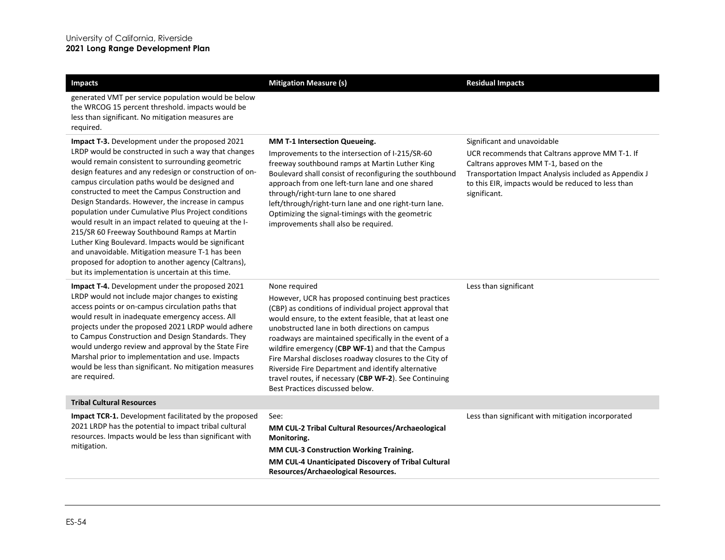| <b>Impacts</b>                                                                                                                                                                                                                                                                                                                                                                                                                                                                                                                                                                                                                                                                                                                                                                  | <b>Mitigation Measure (s)</b>                                                                                                                                                                                                                                                                                                                                                                                                                                                                                                                                            | <b>Residual Impacts</b>                                                                                                                                                                                                                                 |
|---------------------------------------------------------------------------------------------------------------------------------------------------------------------------------------------------------------------------------------------------------------------------------------------------------------------------------------------------------------------------------------------------------------------------------------------------------------------------------------------------------------------------------------------------------------------------------------------------------------------------------------------------------------------------------------------------------------------------------------------------------------------------------|--------------------------------------------------------------------------------------------------------------------------------------------------------------------------------------------------------------------------------------------------------------------------------------------------------------------------------------------------------------------------------------------------------------------------------------------------------------------------------------------------------------------------------------------------------------------------|---------------------------------------------------------------------------------------------------------------------------------------------------------------------------------------------------------------------------------------------------------|
| generated VMT per service population would be below<br>the WRCOG 15 percent threshold. impacts would be<br>less than significant. No mitigation measures are<br>required.                                                                                                                                                                                                                                                                                                                                                                                                                                                                                                                                                                                                       |                                                                                                                                                                                                                                                                                                                                                                                                                                                                                                                                                                          |                                                                                                                                                                                                                                                         |
| <b>Impact T-3.</b> Development under the proposed 2021<br>LRDP would be constructed in such a way that changes<br>would remain consistent to surrounding geometric<br>design features and any redesign or construction of on-<br>campus circulation paths would be designed and<br>constructed to meet the Campus Construction and<br>Design Standards. However, the increase in campus<br>population under Cumulative Plus Project conditions<br>would result in an impact related to queuing at the I-<br>215/SR 60 Freeway Southbound Ramps at Martin<br>Luther King Boulevard. Impacts would be significant<br>and unavoidable. Mitigation measure T-1 has been<br>proposed for adoption to another agency (Caltrans),<br>but its implementation is uncertain at this time. | MM T-1 Intersection Queueing.<br>Improvements to the intersection of I-215/SR-60<br>freeway southbound ramps at Martin Luther King<br>Boulevard shall consist of reconfiguring the southbound<br>approach from one left-turn lane and one shared<br>through/right-turn lane to one shared<br>left/through/right-turn lane and one right-turn lane.<br>Optimizing the signal-timings with the geometric<br>improvements shall also be required.                                                                                                                           | Significant and unavoidable<br>UCR recommends that Caltrans approve MM T-1. If<br>Caltrans approves MM T-1, based on the<br>Transportation Impact Analysis included as Appendix J<br>to this EIR, impacts would be reduced to less than<br>significant. |
| Impact T-4. Development under the proposed 2021<br>LRDP would not include major changes to existing<br>access points or on-campus circulation paths that<br>would result in inadequate emergency access. All<br>projects under the proposed 2021 LRDP would adhere<br>to Campus Construction and Design Standards. They<br>would undergo review and approval by the State Fire<br>Marshal prior to implementation and use. Impacts<br>would be less than significant. No mitigation measures<br>are required.                                                                                                                                                                                                                                                                   | None required<br>However, UCR has proposed continuing best practices<br>(CBP) as conditions of individual project approval that<br>would ensure, to the extent feasible, that at least one<br>unobstructed lane in both directions on campus<br>roadways are maintained specifically in the event of a<br>wildfire emergency (CBP WF-1) and that the Campus<br>Fire Marshal discloses roadway closures to the City of<br>Riverside Fire Department and identify alternative<br>travel routes, if necessary (CBP WF-2). See Continuing<br>Best Practices discussed below. | Less than significant                                                                                                                                                                                                                                   |
| <b>Tribal Cultural Resources</b>                                                                                                                                                                                                                                                                                                                                                                                                                                                                                                                                                                                                                                                                                                                                                |                                                                                                                                                                                                                                                                                                                                                                                                                                                                                                                                                                          |                                                                                                                                                                                                                                                         |
| <b>Impact TCR-1.</b> Development facilitated by the proposed<br>2021 LRDP has the potential to impact tribal cultural<br>resources. Impacts would be less than significant with<br>mitigation.                                                                                                                                                                                                                                                                                                                                                                                                                                                                                                                                                                                  | See:<br>MM CUL-2 Tribal Cultural Resources/Archaeological<br>Monitoring.<br>MM CUL-3 Construction Working Training.<br>MM CUL-4 Unanticipated Discovery of Tribal Cultural<br>Resources/Archaeological Resources.                                                                                                                                                                                                                                                                                                                                                        | Less than significant with mitigation incorporated                                                                                                                                                                                                      |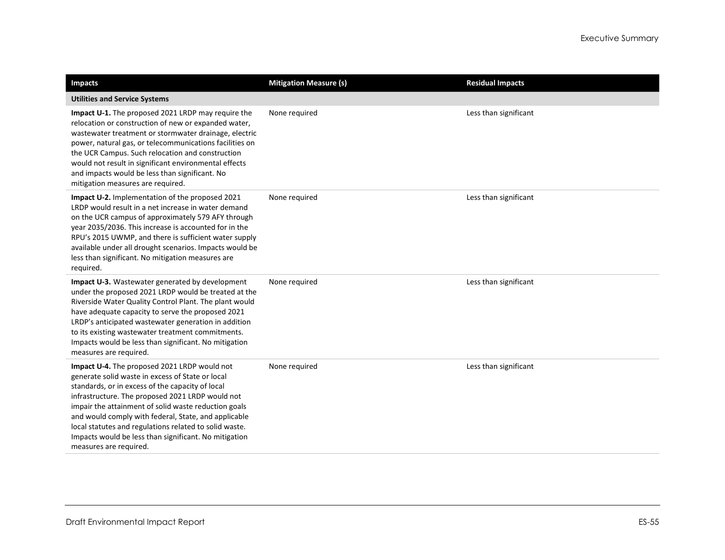| <b>Impacts</b>                                                                                                                                                                                                                                                                                                                                                                                                                                                        | <b>Mitigation Measure (s)</b> | <b>Residual Impacts</b> |
|-----------------------------------------------------------------------------------------------------------------------------------------------------------------------------------------------------------------------------------------------------------------------------------------------------------------------------------------------------------------------------------------------------------------------------------------------------------------------|-------------------------------|-------------------------|
| <b>Utilities and Service Systems</b>                                                                                                                                                                                                                                                                                                                                                                                                                                  |                               |                         |
| Impact U-1. The proposed 2021 LRDP may require the<br>relocation or construction of new or expanded water,<br>wastewater treatment or stormwater drainage, electric<br>power, natural gas, or telecommunications facilities on<br>the UCR Campus. Such relocation and construction<br>would not result in significant environmental effects<br>and impacts would be less than significant. No<br>mitigation measures are required.                                    | None required                 | Less than significant   |
| <b>Impact U-2.</b> Implementation of the proposed 2021<br>LRDP would result in a net increase in water demand<br>on the UCR campus of approximately 579 AFY through<br>year 2035/2036. This increase is accounted for in the<br>RPU's 2015 UWMP, and there is sufficient water supply<br>available under all drought scenarios. Impacts would be<br>less than significant. No mitigation measures are<br>required.                                                    | None required                 | Less than significant   |
| Impact U-3. Wastewater generated by development<br>under the proposed 2021 LRDP would be treated at the<br>Riverside Water Quality Control Plant. The plant would<br>have adequate capacity to serve the proposed 2021<br>LRDP's anticipated wastewater generation in addition<br>to its existing wastewater treatment commitments.<br>Impacts would be less than significant. No mitigation<br>measures are required.                                                | None required                 | Less than significant   |
| Impact U-4. The proposed 2021 LRDP would not<br>generate solid waste in excess of State or local<br>standards, or in excess of the capacity of local<br>infrastructure. The proposed 2021 LRDP would not<br>impair the attainment of solid waste reduction goals<br>and would comply with federal, State, and applicable<br>local statutes and regulations related to solid waste.<br>Impacts would be less than significant. No mitigation<br>measures are required. | None required                 | Less than significant   |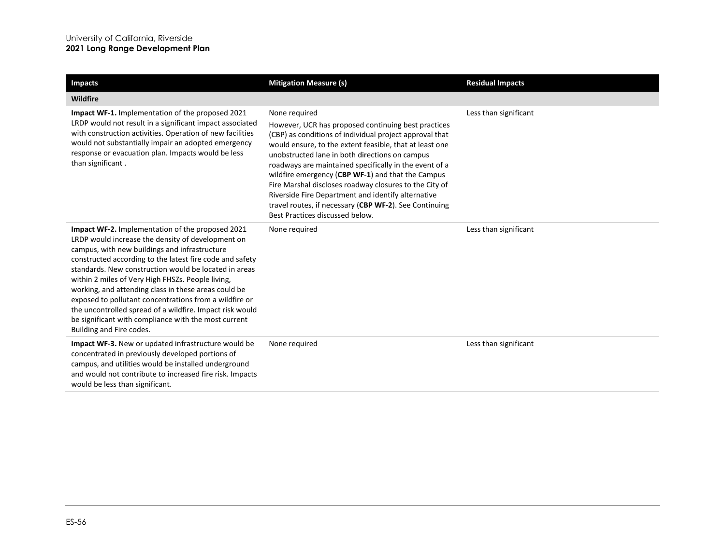| <b>Impacts</b>                                                                                                                                                                                                                                                                                                                                                                                                                                                                                                                                                                                     | <b>Mitigation Measure (s)</b>                                                                                                                                                                                                                                                                                                                                                                                                                                                                                                                                            | <b>Residual Impacts</b> |
|----------------------------------------------------------------------------------------------------------------------------------------------------------------------------------------------------------------------------------------------------------------------------------------------------------------------------------------------------------------------------------------------------------------------------------------------------------------------------------------------------------------------------------------------------------------------------------------------------|--------------------------------------------------------------------------------------------------------------------------------------------------------------------------------------------------------------------------------------------------------------------------------------------------------------------------------------------------------------------------------------------------------------------------------------------------------------------------------------------------------------------------------------------------------------------------|-------------------------|
| <b>Wildfire</b>                                                                                                                                                                                                                                                                                                                                                                                                                                                                                                                                                                                    |                                                                                                                                                                                                                                                                                                                                                                                                                                                                                                                                                                          |                         |
| <b>Impact WF-1.</b> Implementation of the proposed 2021<br>LRDP would not result in a significant impact associated<br>with construction activities. Operation of new facilities<br>would not substantially impair an adopted emergency<br>response or evacuation plan. Impacts would be less<br>than significant.                                                                                                                                                                                                                                                                                 | None required<br>However, UCR has proposed continuing best practices<br>(CBP) as conditions of individual project approval that<br>would ensure, to the extent feasible, that at least one<br>unobstructed lane in both directions on campus<br>roadways are maintained specifically in the event of a<br>wildfire emergency (CBP WF-1) and that the Campus<br>Fire Marshal discloses roadway closures to the City of<br>Riverside Fire Department and identify alternative<br>travel routes, if necessary (CBP WF-2). See Continuing<br>Best Practices discussed below. | Less than significant   |
| Impact WF-2. Implementation of the proposed 2021<br>LRDP would increase the density of development on<br>campus, with new buildings and infrastructure<br>constructed according to the latest fire code and safety<br>standards. New construction would be located in areas<br>within 2 miles of Very High FHSZs. People living,<br>working, and attending class in these areas could be<br>exposed to pollutant concentrations from a wildfire or<br>the uncontrolled spread of a wildfire. Impact risk would<br>be significant with compliance with the most current<br>Building and Fire codes. | None required                                                                                                                                                                                                                                                                                                                                                                                                                                                                                                                                                            | Less than significant   |
| <b>Impact WF-3.</b> New or updated infrastructure would be<br>concentrated in previously developed portions of<br>campus, and utilities would be installed underground<br>and would not contribute to increased fire risk. Impacts<br>would be less than significant.                                                                                                                                                                                                                                                                                                                              | None required                                                                                                                                                                                                                                                                                                                                                                                                                                                                                                                                                            | Less than significant   |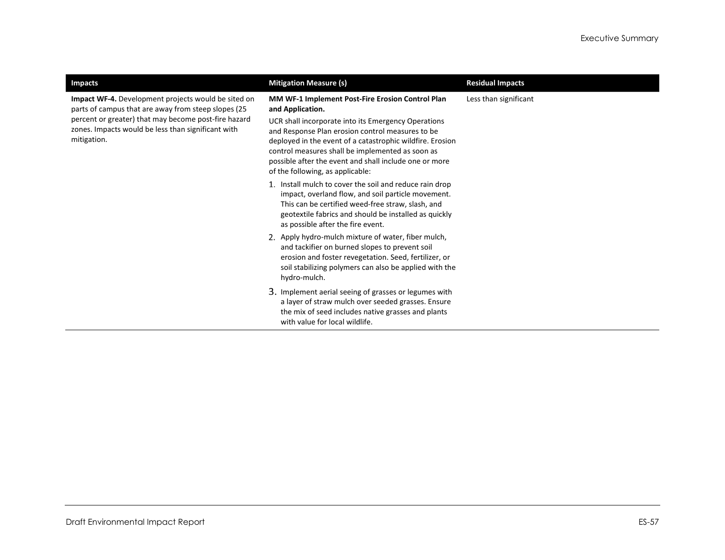| <b>Impacts</b>                                                                                                                                                                                                                          | <b>Mitigation Measure (s)</b>                                                                                                                                                                                                                                                                                                                                                                  | <b>Residual Impacts</b> |
|-----------------------------------------------------------------------------------------------------------------------------------------------------------------------------------------------------------------------------------------|------------------------------------------------------------------------------------------------------------------------------------------------------------------------------------------------------------------------------------------------------------------------------------------------------------------------------------------------------------------------------------------------|-------------------------|
| Impact WF-4. Development projects would be sited on<br>parts of campus that are away from steep slopes (25<br>percent or greater) that may become post-fire hazard<br>zones. Impacts would be less than significant with<br>mitigation. | MM WF-1 Implement Post-Fire Erosion Control Plan<br>and Application.<br>UCR shall incorporate into its Emergency Operations<br>and Response Plan erosion control measures to be<br>deployed in the event of a catastrophic wildfire. Erosion<br>control measures shall be implemented as soon as<br>possible after the event and shall include one or more<br>of the following, as applicable: | Less than significant   |
|                                                                                                                                                                                                                                         | 1. Install mulch to cover the soil and reduce rain drop<br>impact, overland flow, and soil particle movement.<br>This can be certified weed-free straw, slash, and<br>geotextile fabrics and should be installed as quickly<br>as possible after the fire event.                                                                                                                               |                         |
|                                                                                                                                                                                                                                         | 2. Apply hydro-mulch mixture of water, fiber mulch,<br>and tackifier on burned slopes to prevent soil<br>erosion and foster revegetation. Seed, fertilizer, or<br>soil stabilizing polymers can also be applied with the<br>hydro-mulch.                                                                                                                                                       |                         |
|                                                                                                                                                                                                                                         | 3. Implement aerial seeing of grasses or legumes with<br>a layer of straw mulch over seeded grasses. Ensure<br>the mix of seed includes native grasses and plants<br>with value for local wildlife.                                                                                                                                                                                            |                         |